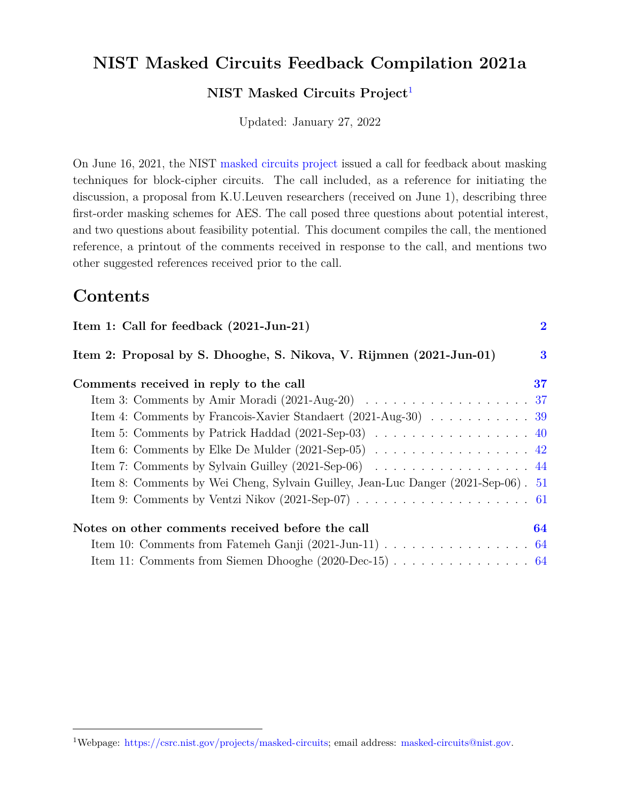## **NIST Masked Circuits Feedback Compilation 2021a**

**NIST Masked Circuits Project**[1](#page-63-0)

Updated: January 27, 2022

On June 16, 2021, the NIST [masked circuits project](https://csrc.nist.gov/Projects/masked-circuits) issued a call for feedback about masking techniques for block-cipher circuits. The call included, as a reference for initiating the discussion, a proposal from K.U.Leuven researchers (received on June 1), describing three first-order masking schemes for AES. The call posed three questions about potential interest, and two questions about feasibility potential. This document compiles the call, the mentioned reference, a printout of the comments received in response to the call, and mentions two other suggested references received prior to the call.

## **Contents**

| Item 1: Call for feedback (2021-Jun-21)                                                              | $\bf{2}$ |
|------------------------------------------------------------------------------------------------------|----------|
| Item 2: Proposal by S. Dhooghe, S. Nikova, V. Rijmnen (2021-Jun-01)                                  | $\bf{3}$ |
| Comments received in reply to the call                                                               | 37       |
| Item 3: Comments by Amir Moradi (2021-Aug-20) $\ldots \ldots \ldots \ldots \ldots \ldots \ldots 37$  |          |
| Item 4: Comments by Francois-Xavier Standaert (2021-Aug-30) 39                                       |          |
|                                                                                                      |          |
|                                                                                                      |          |
| Item 7: Comments by Sylvain Guilley (2021-Sep-06) 44                                                 |          |
| Item 8: Comments by Wei Cheng, Sylvain Guilley, Jean-Luc Danger (2021-Sep-06). 51                    |          |
| Item 9: Comments by Ventzi Nikov (2021-Sep-07) $\ldots \ldots \ldots \ldots \ldots \ldots \ldots 61$ |          |
| Notes on other comments received before the call                                                     | 64       |
|                                                                                                      |          |
|                                                                                                      |          |

<sup>1</sup>Webpage: [https://csrc.nist.gov/projects/masked-circuits;](https://csrc.nist.gov/projects/masked-circuits) email address: [masked-circuits@nist.gov.](mailto:masked-circuits@nist.gov)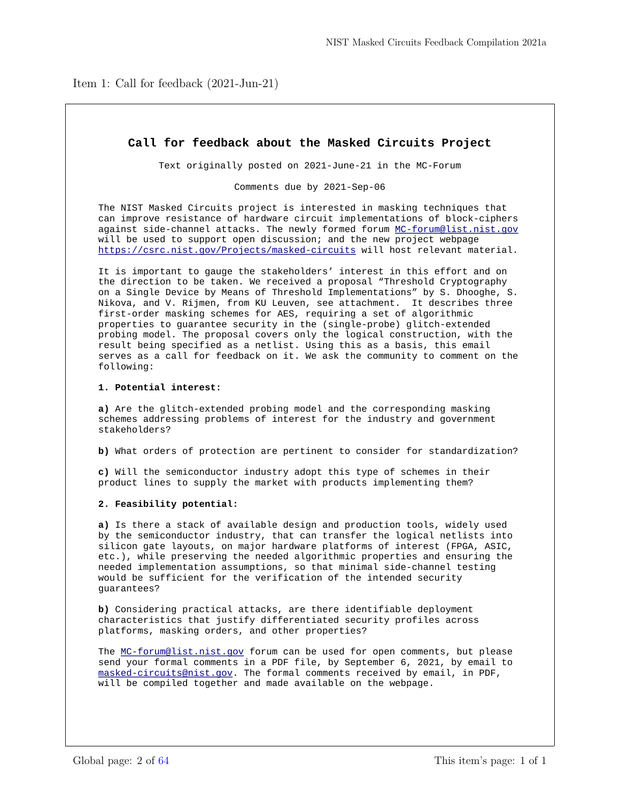<span id="page-1-0"></span>Item 1: Call for feedback (2021-Jun-21)

## **Call for feedback about the Masked Circuits Project**

Text originally posted on 2021-June-21 in the MC-Forum

Comments due by 2021-Sep-06

The NIST Masked Circuits project is interested in masking techniques that can improve resistance of hardware circuit implementations of block-ciphers against side-channel attacks. The newly formed forum MC-forum@list.nist.gov will be used to support open discussion; and the new project webpage https://csrc.nist.gov/Projects/masked-circuits will host relevant material.

It is important to gauge the stakeholders' interest in this effort and on the direction to be taken. We received a proposal "Threshold Cryptography on a Single Device by Means of Threshold Implementations" by S. Dhooghe, S. Nikova, and V. Rijmen, from KU Leuven, see attachment. It describes three first-order masking schemes for AES, requiring a set of algorithmic properties to guarantee security in the (single-probe) glitch-extended probing model. The proposal covers only the logical construction, with the result being specified as a netlist. Using this as a basis, this email serves as a call for feedback on it. We ask the community to comment on the following:

#### **1. Potential interest:**

**a)** Are the glitch-extended probing model and the corresponding masking schemes addressing problems of interest for the industry and government stakeholders?

**b)** What orders of protection are pertinent to consider for standardization?

**c)** Will the semiconductor industry adopt this type of schemes in their product lines to supply the market with products implementing them?

#### **2. Feasibility potential:**

**a)** Is there a stack of available design and production tools, widely used by the semiconductor industry, that can transfer the logical netlists into silicon gate layouts, on major hardware platforms of interest (FPGA, ASIC, etc.), while preserving the needed algorithmic properties and ensuring the needed implementation assumptions, so that minimal side-channel testing would be sufficient for the verification of the intended security guarantees?

**b)** Considering practical attacks, are there identifiable deployment characteristics that justify differentiated security profiles across platforms, masking orders, and other properties?

The MC-forum@list.nist.gov forum can be used for open comments, but please send your formal comments in a PDF file, by September 6, 2021, by email to masked-circuits@nist.gov. The formal comments received by email, in PDF, will be compiled together and made available on the webpage.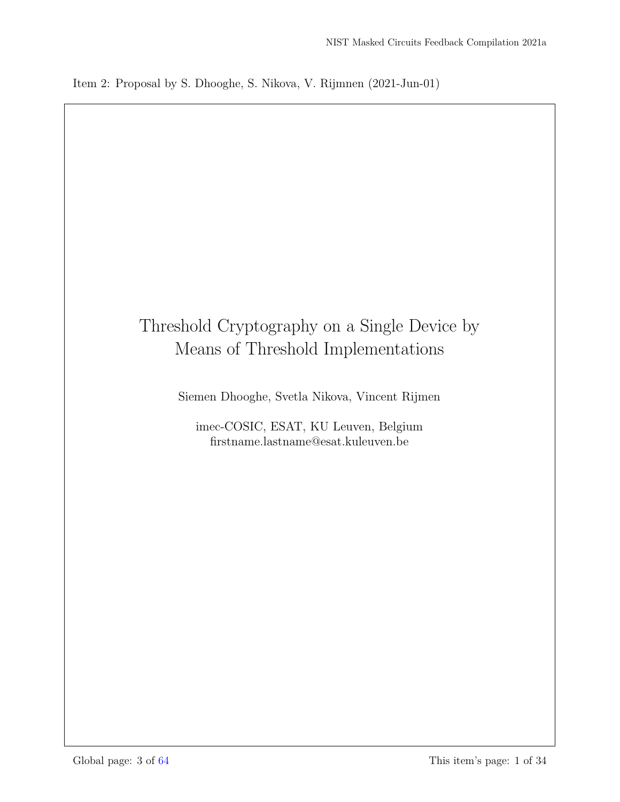# <span id="page-2-0"></span>Threshold Cryptography on a Single Device by Means of Threshold Implementations

Siemen Dhooghe, Svetla Nikova, Vincent Rijmen

imec-COSIC, ESAT, KU Leuven, Belgium firstname.lastname@esat.kuleuven.be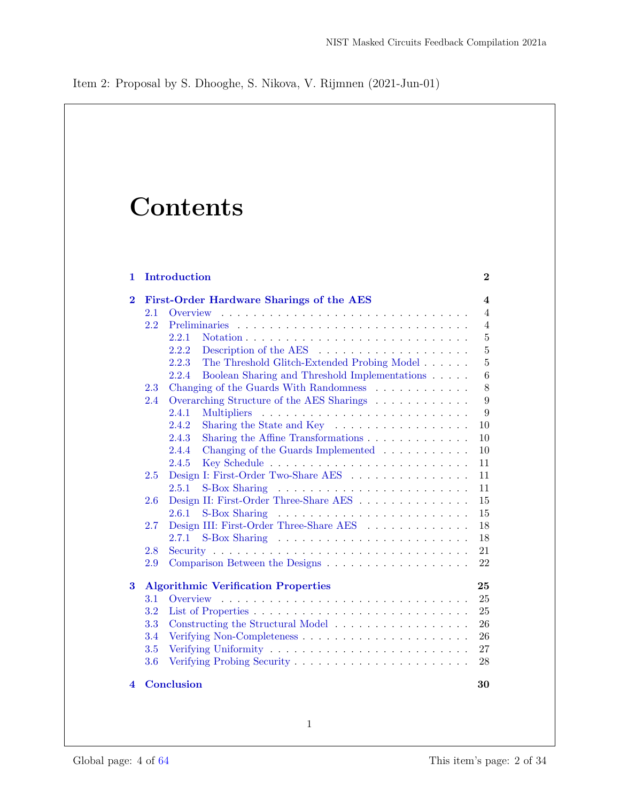# **Contents**

| 1              |     | <b>Introduction</b>                                                           | $\bf{2}$       |
|----------------|-----|-------------------------------------------------------------------------------|----------------|
| $\overline{2}$ |     | First-Order Hardware Sharings of the AES                                      | 4              |
|                | 2.1 | Overview                                                                      | $\overline{4}$ |
|                | 2.2 |                                                                               | $\overline{4}$ |
|                |     | 2.2.1                                                                         | $\overline{5}$ |
|                |     | Description of the AES $\dots \dots \dots \dots \dots \dots \dots$<br>2.2.2   | $\overline{5}$ |
|                |     | 2.2.3<br>The Threshold Glitch-Extended Probing Model                          | $\bf 5$        |
|                |     | Boolean Sharing and Threshold Implementations $\hfill\ldots\ldots$<br>2.2.4   | 6              |
|                | 2.3 | Changing of the Guards With Randomness                                        | 8              |
|                | 2.4 | Overarching Structure of the AES Sharings                                     | 9              |
|                |     | 2.4.1                                                                         | 9              |
|                |     | 2.4.2<br>Sharing the State and Key $\dots \dots \dots \dots \dots$            | 10             |
|                |     | Sharing the Affine Transformations<br>2.4.3                                   | 10             |
|                |     | 2.4.4<br>Changing of the Guards Implemented $\ldots \ldots \ldots$            | 10             |
|                |     | 2.4.5                                                                         | 11             |
|                | 2.5 | Design I: First-Order Two-Share AES                                           | 11             |
|                |     | 2.5.1                                                                         | 11             |
|                | 2.6 | Design II: First-Order Three-Share AES                                        | 15             |
|                |     | 2.6.1                                                                         | 15             |
|                | 2.7 | Design III: First-Order Three-Share AES                                       | 18             |
|                |     | 2.7.1                                                                         | 18             |
|                | 2.8 |                                                                               | 21             |
|                | 2.9 |                                                                               | 22             |
| 3              |     | <b>Algorithmic Verification Properties</b>                                    | 25             |
|                | 3.1 | Overview<br><u>. Kanada a sa kasa sa kasa sa kasa sa kasa sa kasa sa kasa</u> | 25             |
|                | 3.2 |                                                                               | 25             |
|                | 3.3 | Constructing the Structural Model                                             | 26             |
|                | 3.4 |                                                                               | 26             |
|                | 3.5 |                                                                               | 27             |
|                | 3.6 |                                                                               | 28             |
| 4              |     | <b>Conclusion</b>                                                             | 30             |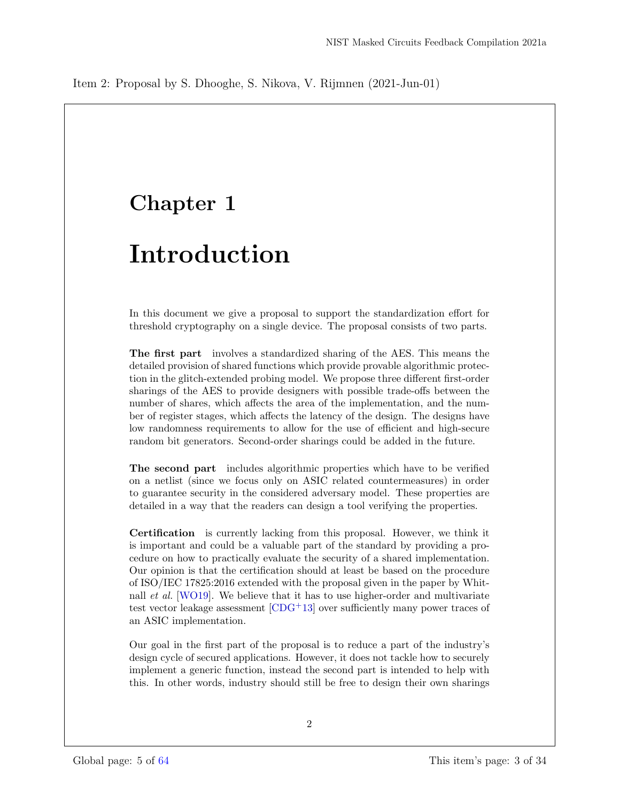# Chapter 1

# Introduction

In this document we give a proposal to support the standardization effort for threshold cryptography on a single device. The proposal consists of two parts.

The first part involves a standardized sharing of the AES. This means the detailed provision of shared functions which provide provable algorithmic protection in the glitch-extended probing model. We propose three different first-order sharings of the AES to provide designers with possible trade-offs between the number of shares, which affects the area of the implementation, and the number of register stages, which affects the latency of the design. The designs have low randomness requirements to allow for the use of efficient and high-secure random bit generators. Second-order sharings could be added in the future.

The second part includes algorithmic properties which have to be verified on a netlist (since we focus only on ASIC related countermeasures) in order to guarantee security in the considered adversary model. These properties are detailed in a way that the readers can design a tool verifying the properties.

Certification is currently lacking from this proposal. However, we think it is important and could be a valuable part of the standard by providing a procedure on how to practically evaluate the security of a shared implementation. Our opinion is that the certification should at least be based on the procedure of ISO/IEC 17825:2016 extended with the proposal given in the paper by Whitnall et al. [WO19]. We believe that it has to use higher-order and multivariate test vector leakage assessment  $[CDG+13]$  over sufficiently many power traces of an ASIC implementation.

Our goal in the first part of the proposal is to reduce a part of the industry's design cycle of secured applications. However, it does not tackle how to securely implement a generic function, instead the second part is intended to help with this. In other words, industry should still be free to design their own sharings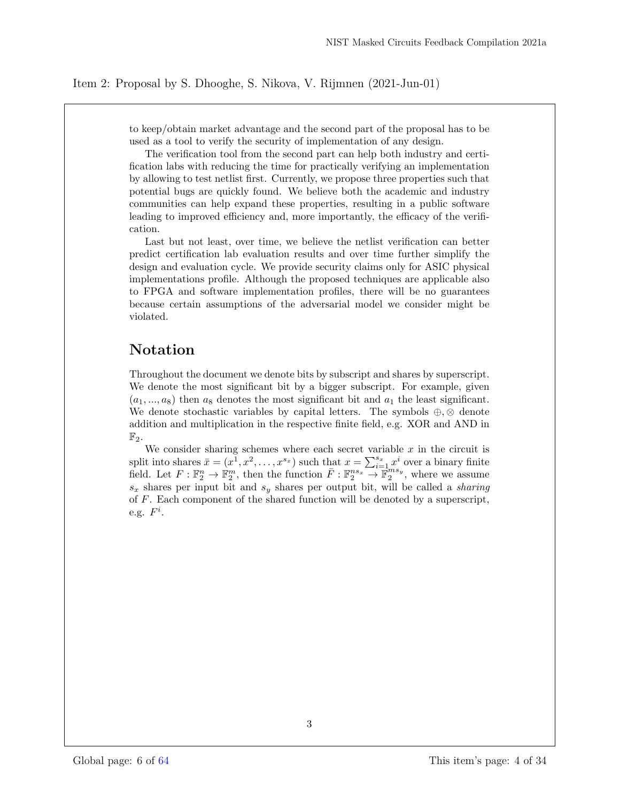to keep/obtain market advantage and the second part of the proposal has to be used as a tool to verify the security of implementation of any design.

The verification tool from the second part can help both industry and certification labs with reducing the time for practically verifying an implementation by allowing to test netlist first. Currently, we propose three properties such that potential bugs are quickly found. We believe both the academic and industry communities can help expand these properties, resulting in a public software leading to improved efficiency and, more importantly, the efficacy of the verification.

Last but not least, over time, we believe the netlist verification can better predict certification lab evaluation results and over time further simplify the design and evaluation cycle. We provide security claims only for ASIC physical implementations profile. Although the proposed techniques are applicable also to FPGA and software implementation profiles, there will be no guarantees because certain assumptions of the adversarial model we consider might be violated.

## Notation

Throughout the document we denote bits by subscript and shares by superscript. We denote the most significant bit by a bigger subscript. For example, given  $(a_1, ..., a_8)$  then  $a_8$  denotes the most significant bit and  $a_1$  the least significant. We denote stochastic variables by capital letters. The symbols  $\oplus$ ,  $\otimes$  denote addition and multiplication in the respective finite field, e.g. XOR and AND in  $\mathbb{F}_2$ .

We consider sharing schemes where each secret variable  $x$  in the circuit is split into shares  $\bar{x} = (x^{\bar{1}}, x^2, \dots, x^{s_x})$  such that  $x = \sum_{i=1}^{s_x} x^i$  over a binary finite field. Let  $F: \mathbb{F}_2^n \to \mathbb{F}_2^m$ , then the function  $\overline{F}: \mathbb{F}_2^{ns_x} \to \mathbb{F}_2^{ms_y}$ , where we assume  $s_x$  shares per input bit and  $s_y$  shares per output bit, will be called a *sharing* of F. Each component of the shared function will be denoted by a superscript, e.g.  $F^i$ .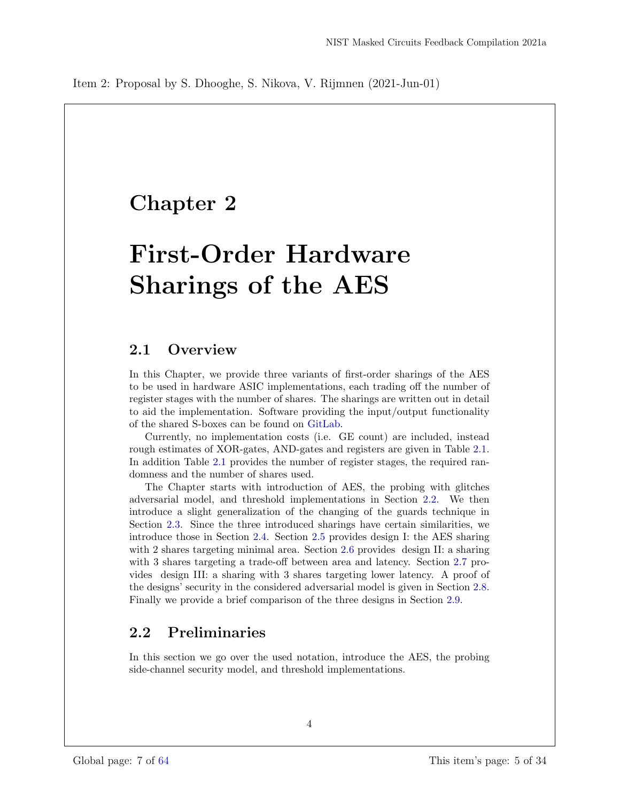# Chapter 2

# First-Order Hardware Sharings of the AES

## 2.1 Overview

In this Chapter, we provide three variants of first-order sharings of the AES to be used in hardware ASIC implementations, each trading off the number of register stages with the number of shares. The sharings are written out in detail to aid the implementation. Software providing the input/output functionality of the shared S-boxes can be found on GitLab.

Currently, no implementation costs (i.e. GE count) are included, instead rough estimates of XOR-gates, AND-gates and registers are given in Table 2.1. In addition Table 2.1 provides the number of register stages, the required randomness and the number of shares used.

The Chapter starts with introduction of AES, the probing with glitches adversarial model, and threshold implementations in Section 2.2. We then introduce a slight generalization of the changing of the guards technique in Section 2.3. Since the three introduced sharings have certain similarities, we introduce those in Section 2.4. Section 2.5 provides design I: the AES sharing with 2 shares targeting minimal area. Section 2.6 provides design II: a sharing with 3 shares targeting a trade-off between area and latency. Section 2.7 provides design III: a sharing with 3 shares targeting lower latency. A proof of the designs' security in the considered adversarial model is given in Section 2.8. Finally we provide a brief comparison of the three designs in Section 2.9.

## 2.2 Preliminaries

In this section we go over the used notation, introduce the AES, the probing side-channel security model, and threshold implementations.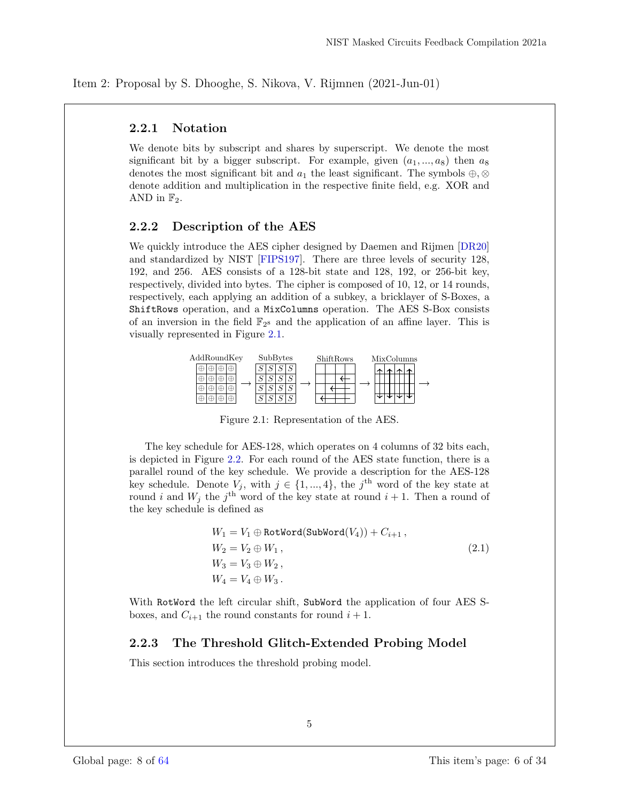## 2.2.1 Notation

We denote bits by subscript and shares by superscript. We denote the most significant bit by a bigger subscript. For example, given  $(a_1, ..., a_8)$  then  $a_8$ denotes the most significant bit and  $a_1$  the least significant. The symbols  $\oplus$ , ⊗ denote addition and multiplication in the respective finite field, e.g. XOR and AND in  $\mathbb{F}_2$ .

### 2.2.2 Description of the AES

We quickly introduce the AES cipher designed by Daemen and Rijmen [DR20] and standardized by NIST [FIPS197]. There are three levels of security 128, 192, and 256. AES consists of a 128-bit state and 128, 192, or 256-bit key, respectively, divided into bytes. The cipher is composed of 10, 12, or 14 rounds, respectively, each applying an addition of a subkey, a bricklayer of S-Boxes, a ShiftRows operation, and a MixColumns operation. The AES S-Box consists of an inversion in the field  $\mathbb{F}_{2^8}$  and the application of an affine layer. This is visually represented in Figure 2.1.



Figure 2.1: Representation of the AES.

The key schedule for AES-128, which operates on 4 columns of 32 bits each, is depicted in Figure 2.2. For each round of the AES state function, there is a parallel round of the key schedule. We provide a description for the AES-128 key schedule. Denote  $V_j$ , with  $j \in \{1, ..., 4\}$ , the j<sup>th</sup> word of the key state at round i and  $W_j$  the j<sup>th</sup> word of the key state at round  $i + 1$ . Then a round of the key schedule is defined as

$$
W_1 = V_1 \oplus RotWord(SubWord(V_4)) + C_{i+1},
$$
  
\n
$$
W_2 = V_2 \oplus W_1,
$$
  
\n
$$
W_3 = V_3 \oplus W_2,
$$
  
\n
$$
W_4 = V_4 \oplus W_3.
$$
\n(2.1)

With RotWord the left circular shift, SubWord the application of four AES Sboxes, and  $C_{i+1}$  the round constants for round  $i+1$ .

## 2.2.3 The Threshold Glitch-Extended Probing Model

This section introduces the threshold probing model.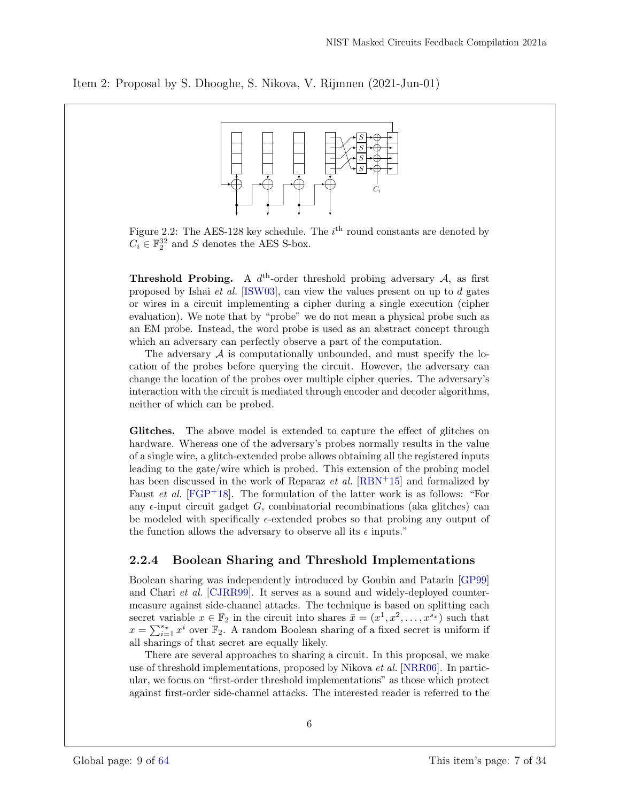

Figure 2.2: The AES-128 key schedule. The  $i<sup>th</sup>$  round constants are denoted by  $C_i \in \mathbb{F}_2^{32}$  and S denotes the AES S-box.

**Threshold Probing.** A  $d^{\text{th}}$ -order threshold probing adversary A, as first proposed by Ishai et al. [ISW03], can view the values present on up to d gates or wires in a circuit implementing a cipher during a single execution (cipher evaluation). We note that by "probe" we do not mean a physical probe such as an EM probe. Instead, the word probe is used as an abstract concept through which an adversary can perfectly observe a part of the computation.

The adversary  $A$  is computationally unbounded, and must specify the location of the probes before querying the circuit. However, the adversary can change the location of the probes over multiple cipher queries. The adversary's interaction with the circuit is mediated through encoder and decoder algorithms, neither of which can be probed.

Glitches. The above model is extended to capture the effect of glitches on hardware. Whereas one of the adversary's probes normally results in the value of a single wire, a glitch-extended probe allows obtaining all the registered inputs leading to the gate/wire which is probed. This extension of the probing model has been discussed in the work of Reparaz *et al.*  $[RBN+15]$  and formalized by Faust *et al.*  $[FGP+18]$ . The formulation of the latter work is as follows: "For any  $\epsilon$ -input circuit gadget G, combinatorial recombinations (aka glitches) can be modeled with specifically  $\epsilon$ -extended probes so that probing any output of the function allows the adversary to observe all its  $\epsilon$  inputs."

### 2.2.4 Boolean Sharing and Threshold Implementations

Boolean sharing was independently introduced by Goubin and Patarin [GP99] and Chari et al. [CJRR99]. It serves as a sound and widely-deployed countermeasure against side-channel attacks. The technique is based on splitting each secret variable  $x \in \mathbb{F}_2$  in the circuit into shares  $\bar{x} = (x^1, x^2, \dots, x^{s_x})$  such that  $x = \sum_{i=1}^{s_x} x^i$  over  $\mathbb{F}_2$ . A random Boolean sharing of a fixed secret is uniform if all sharings of that secret are equally likely.

There are several approaches to sharing a circuit. In this proposal, we make use of threshold implementations, proposed by Nikova et al. [NRR06]. In particular, we focus on "first-order threshold implementations" as those which protect against first-order side-channel attacks. The interested reader is referred to the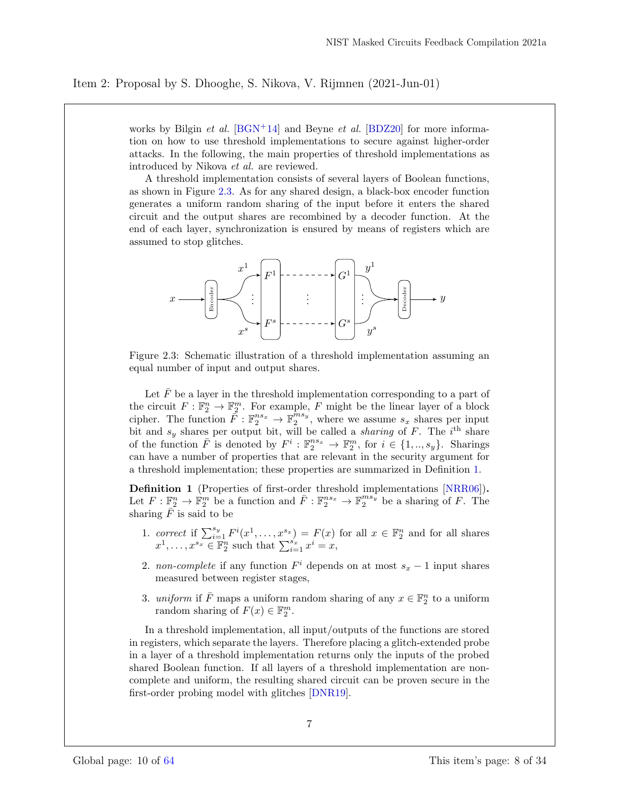works by Bilgin *et al.* [BGN<sup>+</sup>14] and Beyne *et al.* [BDZ20] for more information on how to use threshold implementations to secure against higher-order attacks. In the following, the main properties of threshold implementations as introduced by Nikova et al. are reviewed.

A threshold implementation consists of several layers of Boolean functions, as shown in Figure 2.3. As for any shared design, a black-box encoder function generates a uniform random sharing of the input before it enters the shared circuit and the output shares are recombined by a decoder function. At the end of each layer, synchronization is ensured by means of registers which are assumed to stop glitches.



Figure 2.3: Schematic illustration of a threshold implementation assuming an equal number of input and output shares.

Let  $\bar{F}$  be a layer in the threshold implementation corresponding to a part of the circuit  $F: \mathbb{F}_2^n \to \mathbb{F}_2^m$ . For example, F might be the linear layer of a block cipher. The function  $\tilde{F}: \mathbb{F}_2^{ns_x} \to \mathbb{F}_2^{\hat{m}s_y}$ , where we assume  $s_x$  shares per input bit and  $s_y$  shares per output bit, will be called a *sharing* of F. The i<sup>th</sup> share of the function  $\overline{F}$  is denoted by  $F^i : \mathbb{F}_2^{ns_x} \to \mathbb{F}_2^m$ , for  $i \in \{1, ..., s_y\}$ . Sharings can have a number of properties that are relevant in the security argument for a threshold implementation; these properties are summarized in Definition 1.

Definition 1 (Properties of first-order threshold implementations [NRR06]). Let  $F: \mathbb{F}_2^n \to \mathbb{F}_2^m$  be a function and  $\overline{F}: \mathbb{F}_2^{ns_x} \to \mathbb{F}_2^{ms_y}$  be a sharing of F. The sharing  $\bar{F}$  is said to be

- 1. correct if  $\sum_{i=1}^{s_y} F^i(x^1,\ldots,x^{s_x}) = F(x)$  for all  $x \in \mathbb{F}_2^n$  and for all shares  $x^1, \ldots, x^{s_x} \in \mathbb{F}_2^n$  such that  $\sum_{i=1}^{s_x} x^i = x$ ,
- 2. non-complete if any function  $F<sup>i</sup>$  depends on at most  $s_x 1$  input shares measured between register stages,
- 3. uniform if  $\overline{F}$  maps a uniform random sharing of any  $x \in \mathbb{F}_2^n$  to a uniform random sharing of  $F(x) \in \mathbb{F}_2^m$ .

In a threshold implementation, all input/outputs of the functions are stored in registers, which separate the layers. Therefore placing a glitch-extended probe in a layer of a threshold implementation returns only the inputs of the probed shared Boolean function. If all layers of a threshold implementation are noncomplete and uniform, the resulting shared circuit can be proven secure in the first-order probing model with glitches [DNR19].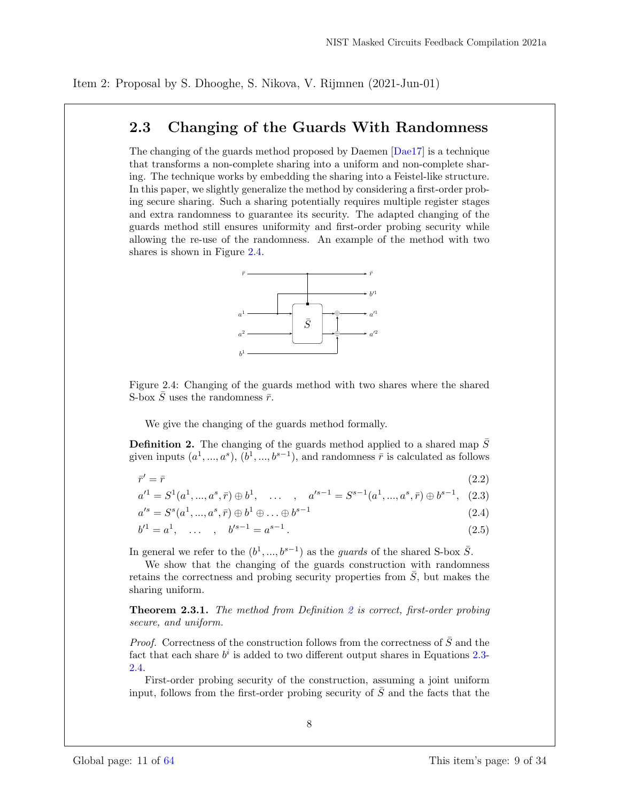## 2.3 Changing of the Guards With Randomness

The changing of the guards method proposed by Daemen [Dae17] is a technique that transforms a non-complete sharing into a uniform and non-complete sharing. The technique works by embedding the sharing into a Feistel-like structure. In this paper, we slightly generalize the method by considering a first-order probing secure sharing. Such a sharing potentially requires multiple register stages and extra randomness to guarantee its security. The adapted changing of the guards method still ensures uniformity and first-order probing security while allowing the re-use of the randomness. An example of the method with two shares is shown in Figure 2.4.



Figure 2.4: Changing of the guards method with two shares where the shared S-box  $\bar{S}$  uses the randomness  $\bar{r}$ .

We give the changing of the guards method formally.

**Definition 2.** The changing of the guards method applied to a shared map  $\bar{S}$ given inputs  $(a^1, ..., a^s)$ ,  $(b^1, ..., b^{s-1})$ , and randomness  $\bar{r}$  is calculated as follows

$$
\bar{r}' = \bar{r} \tag{2.2}
$$

$$
a'^{1} = S^{1}(a^{1}, ..., a^{s}, \bar{r}) \oplus b^{1}, \quad \dots \quad , \quad a'^{s-1} = S^{s-1}(a^{1}, ..., a^{s}, \bar{r}) \oplus b^{s-1}, \quad (2.3)
$$

$$
a'^s = S^s(a^1, ..., a^s, \bar{r}) \oplus b^1 \oplus ... \oplus b^{s-1}
$$
\n(2.4)

$$
b'^1 = a^1, \quad \dots \quad , \quad b'^{s-1} = a^{s-1} \,. \tag{2.5}
$$

In general we refer to the  $(b^1, ..., b^{s-1})$  as the *guards* of the shared S-box  $\overline{S}$ .

We show that the changing of the guards construction with randomness retains the correctness and probing security properties from  $\overline{S}$ , but makes the sharing uniform.

Theorem 2.3.1. The method from Definition 2 is correct, first-order probing secure, and uniform.

*Proof.* Correctness of the construction follows from the correctness of  $\overline{S}$  and the fact that each share  $b^i$  is added to two different output shares in Equations 2.3-2.4.

First-order probing security of the construction, assuming a joint uniform input, follows from the first-order probing security of  $\overline{S}$  and the facts that the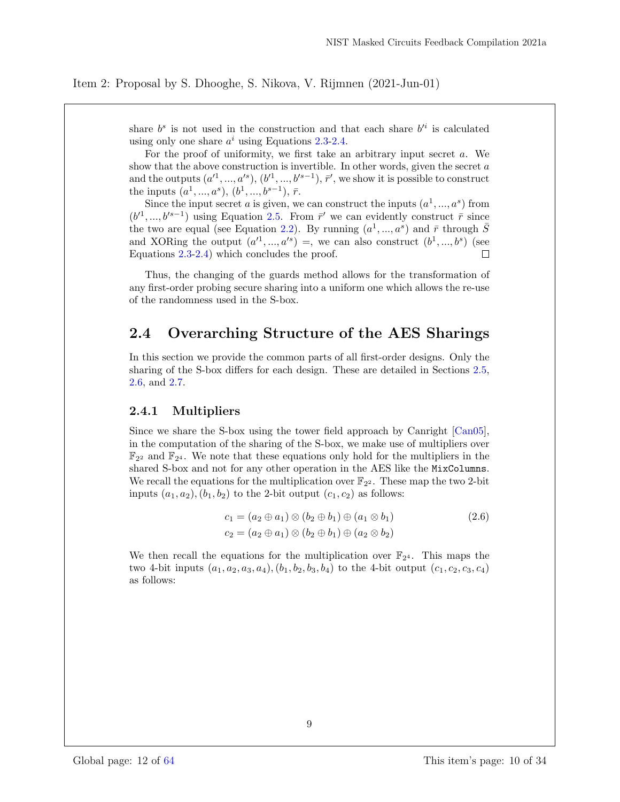share  $b^s$  is not used in the construction and that each share  $b'^i$  is calculated using only one share  $a^i$  using Equations 2.3-2.4.

For the proof of uniformity, we first take an arbitrary input secret a. We show that the above construction is invertible. In other words, given the secret  $a$ and the outputs  $(a'^1, ..., a'^s), (b'^1, ..., b'^{s-1}), \bar{r}'$ , we show it is possible to construct the inputs  $(a^1, ..., a^s), (b^1, ..., b^{s-1}), \bar{r}.$ 

Since the input secret a is given, we can construct the inputs  $(a^1, ..., a^s)$  from  $(b'1, ..., b'^{s-1})$  using Equation 2.5. From  $\bar{r}'$  we can evidently construct  $\bar{r}$  since the two are equal (see Equation 2.2). By running  $(a^1, ..., a^s)$  and  $\bar{r}$  through  $\bar{S}$ and XORing the output  $(a'^1, ..., a'^s) =$ , we can also construct  $(b^1, ..., b^s)$  (see Equations 2.3-2.4) which concludes the proof.  $\Box$ 

Thus, the changing of the guards method allows for the transformation of any first-order probing secure sharing into a uniform one which allows the re-use of the randomness used in the S-box.

## 2.4 Overarching Structure of the AES Sharings

In this section we provide the common parts of all first-order designs. Only the sharing of the S-box differs for each design. These are detailed in Sections 2.5, 2.6, and 2.7.

### 2.4.1 Multipliers

Since we share the S-box using the tower field approach by Canright [Can05], in the computation of the sharing of the S-box, we make use of multipliers over  $\mathbb{F}_{2^2}$  and  $\mathbb{F}_{2^4}$ . We note that these equations only hold for the multipliers in the shared S-box and not for any other operation in the AES like the MixColumns. We recall the equations for the multiplication over  $\mathbb{F}_{2^2}$ . These map the two 2-bit inputs  $(a_1, a_2), (b_1, b_2)$  to the 2-bit output  $(c_1, c_2)$  as follows:

$$
c_1 = (a_2 \oplus a_1) \otimes (b_2 \oplus b_1) \oplus (a_1 \otimes b_1)
$$
  
\n
$$
c_2 = (a_2 \oplus a_1) \otimes (b_2 \oplus b_1) \oplus (a_2 \otimes b_2)
$$
\n(2.6)

We then recall the equations for the multiplication over  $\mathbb{F}_{2^4}$ . This maps the two 4-bit inputs  $(a_1, a_2, a_3, a_4), (b_1, b_2, b_3, b_4)$  to the 4-bit output  $(c_1, c_2, c_3, c_4)$ as follows: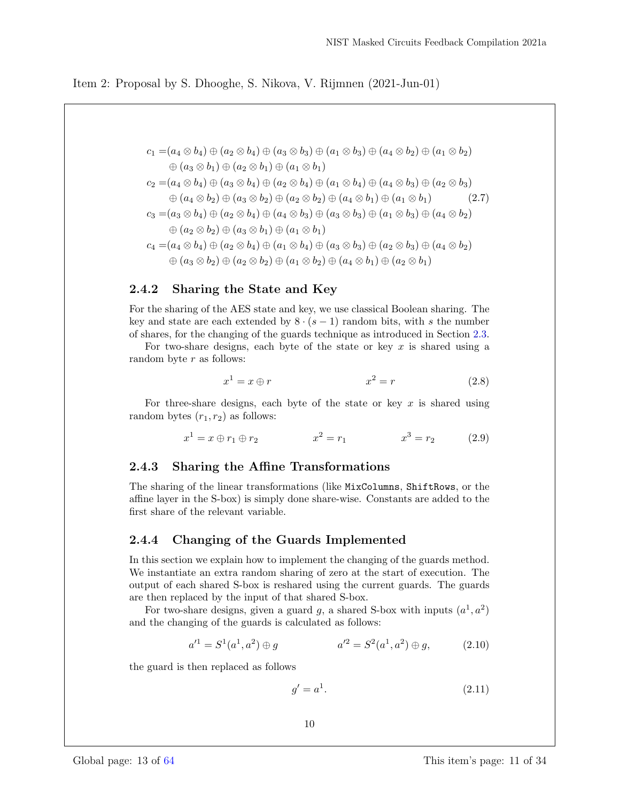$$
c_1 = (a_4 \otimes b_4) \oplus (a_2 \otimes b_4) \oplus (a_3 \otimes b_3) \oplus (a_1 \otimes b_3) \oplus (a_4 \otimes b_2) \oplus (a_1 \otimes b_2)
$$
  
\n
$$
\oplus (a_3 \otimes b_1) \oplus (a_2 \otimes b_1) \oplus (a_1 \otimes b_1)
$$
  
\n
$$
c_2 = (a_4 \otimes b_4) \oplus (a_3 \otimes b_4) \oplus (a_2 \otimes b_4) \oplus (a_1 \otimes b_4) \oplus (a_4 \otimes b_3) \oplus (a_2 \otimes b_3)
$$
  
\n
$$
\oplus (a_4 \otimes b_2) \oplus (a_3 \otimes b_2) \oplus (a_2 \otimes b_2) \oplus (a_4 \otimes b_1) \oplus (a_1 \otimes b_1)
$$
  
\n
$$
c_3 = (a_3 \otimes b_4) \oplus (a_2 \otimes b_4) \oplus (a_4 \otimes b_3) \oplus (a_3 \otimes b_3) \oplus (a_1 \otimes b_3) \oplus (a_4 \otimes b_2)
$$
  
\n
$$
\oplus (a_2 \otimes b_2) \oplus (a_3 \otimes b_1) \oplus (a_1 \otimes b_1)
$$
  
\n
$$
c_4 = (a_4 \otimes b_4) \oplus (a_2 \otimes b_4) \oplus (a_1 \otimes b_4) \oplus (a_3 \otimes b_3) \oplus (a_2 \otimes b_3) \oplus (a_4 \otimes b_2)
$$
  
\n
$$
\oplus (a_3 \otimes b_2) \oplus (a_2 \otimes b_2) \oplus (a_1 \otimes b_2) \oplus (a_4 \otimes b_1) \oplus (a_2 \otimes b_1)
$$

## 2.4.2 Sharing the State and Key

For the sharing of the AES state and key, we use classical Boolean sharing. The key and state are each extended by  $8 \cdot (s - 1)$  random bits, with s the number of shares, for the changing of the guards technique as introduced in Section 2.3.

For two-share designs, each byte of the state or key  $x$  is shared using a random byte  $r$  as follows:

$$
x^1 = x \oplus r \tag{2.8}
$$

For three-share designs, each byte of the state or key  $x$  is shared using random bytes  $(r_1, r_2)$  as follows:

$$
x^{1} = x \oplus r_{1} \oplus r_{2} \qquad x^{2} = r_{1} \qquad x^{3} = r_{2} \qquad (2.9)
$$

### 2.4.3 Sharing the Affine Transformations

The sharing of the linear transformations (like MixColumns, ShiftRows, or the affine layer in the S-box) is simply done share-wise. Constants are added to the first share of the relevant variable.

### 2.4.4 Changing of the Guards Implemented

In this section we explain how to implement the changing of the guards method. We instantiate an extra random sharing of zero at the start of execution. The output of each shared S-box is reshared using the current guards. The guards are then replaced by the input of that shared S-box.

For two-share designs, given a guard g, a shared S-box with inputs  $(a^1, a^2)$ and the changing of the guards is calculated as follows:

$$
a'^1 = S^1(a^1, a^2) \oplus g \qquad \qquad a'^2 = S^2(a^1, a^2) \oplus g, \qquad (2.10)
$$

the guard is then replaced as follows

$$
g' = a^1. \tag{2.11}
$$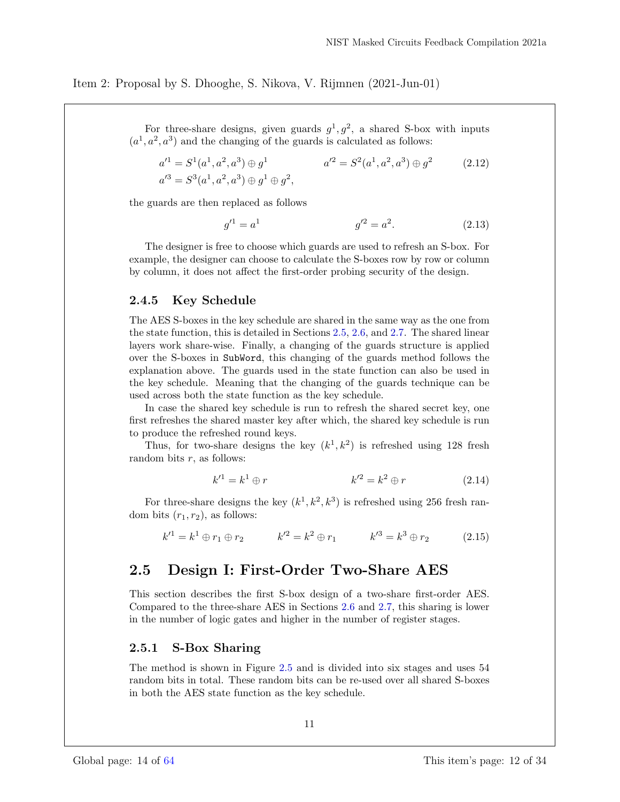For three-share designs, given guards  $g^1, g^2$ , a shared S-box with inputs  $(a<sup>1</sup>, a<sup>2</sup>, a<sup>3</sup>)$  and the changing of the guards is calculated as follows:

$$
a'^{1} = S^{1}(a^{1}, a^{2}, a^{3}) \oplus g^{1} \qquad a'^{2} = S^{2}(a^{1}, a^{2}, a^{3}) \oplus g^{2} \qquad (2.12)
$$
  

$$
a'^{3} = S^{3}(a^{1}, a^{2}, a^{3}) \oplus g^{1} \oplus g^{2},
$$

the guards are then replaced as follows

$$
g'^1 = a^1 \qquad \qquad g'^2 = a^2. \tag{2.13}
$$

The designer is free to choose which guards are used to refresh an S-box. For example, the designer can choose to calculate the S-boxes row by row or column by column, it does not affect the first-order probing security of the design.

### 2.4.5 Key Schedule

The AES S-boxes in the key schedule are shared in the same way as the one from the state function, this is detailed in Sections 2.5, 2.6, and 2.7. The shared linear layers work share-wise. Finally, a changing of the guards structure is applied over the S-boxes in SubWord, this changing of the guards method follows the explanation above. The guards used in the state function can also be used in the key schedule. Meaning that the changing of the guards technique can be used across both the state function as the key schedule.

In case the shared key schedule is run to refresh the shared secret key, one first refreshes the shared master key after which, the shared key schedule is run to produce the refreshed round keys.

Thus, for two-share designs the key  $(k^1, k^2)$  is refreshed using 128 fresh random bits  $r$ , as follows:

$$
k'^{1} = k^{1} \oplus r \qquad k'^{2} = k^{2} \oplus r \qquad (2.14)
$$

For three-share designs the key  $(k^1, k^2, k^3)$  is refreshed using 256 fresh random bits  $(r_1, r_2)$ , as follows:

$$
k'^1 = k^1 \oplus r_1 \oplus r_2 \qquad k'^2 = k^2 \oplus r_1 \qquad k'^3 = k^3 \oplus r_2 \qquad (2.15)
$$

## 2.5 Design I: First-Order Two-Share AES

This section describes the first S-box design of a two-share first-order AES. Compared to the three-share AES in Sections 2.6 and 2.7, this sharing is lower in the number of logic gates and higher in the number of register stages.

### 2.5.1 S-Box Sharing

The method is shown in Figure 2.5 and is divided into six stages and uses 54 random bits in total. These random bits can be re-used over all shared S-boxes in both the AES state function as the key schedule.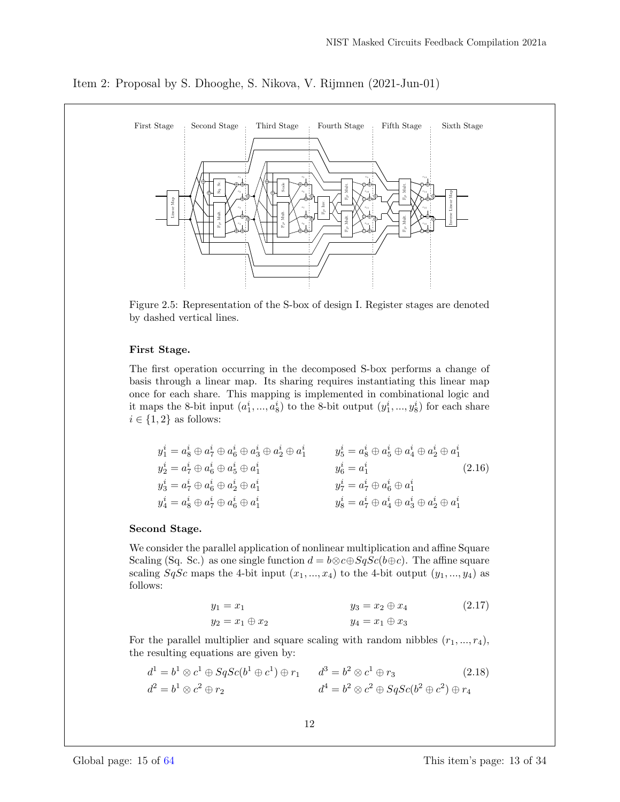

Item 2: Proposal by S. Dhooghe, S. Nikova, V. Rijmnen (2021-Jun-01)

Figure 2.5: Representation of the S-box of design I. Register stages are denoted by dashed vertical lines.

#### First Stage.

The first operation occurring in the decomposed S-box performs a change of basis through a linear map. Its sharing requires instantiating this linear map once for each share. This mapping is implemented in combinational logic and it maps the 8-bit input  $(a_1^i, ..., a_8^i)$  to the 8-bit output  $(y_1^i, ..., y_8^i)$  for each share  $i \in \{1,2\}$  as follows:

$$
y_1^i = a_8^i \oplus a_7^i \oplus a_6^i \oplus a_3^i \oplus a_2^i \oplus a_1^i
$$
  
\n
$$
y_2^i = a_7^i \oplus a_6^i \oplus a_5^i \oplus a_1^i
$$
  
\n
$$
y_3^i = a_7^i \oplus a_6^i \oplus a_2^i \oplus a_1^i
$$
  
\n
$$
y_4^i = a_8^i \oplus a_7^i \oplus a_6^i \oplus a_1^i
$$
  
\n
$$
y_5^i = a_8^i \oplus a_5^i \oplus a_4^i
$$
  
\n
$$
y_6^i = a_1^i
$$
  
\n
$$
y_7^i = a_7^i \oplus a_6^i \oplus a_1^i
$$
  
\n
$$
y_8^i = a_7^i \oplus a_6^i \oplus a_1^i
$$
  
\n
$$
y_9^i = a_7^i \oplus a_6^i \oplus a_1^i
$$
  
\n
$$
y_9^i = a_7^i \oplus a_6^i \oplus a_1^i
$$
  
\n
$$
y_9^i = a_7^i \oplus a_6^i \oplus a_2^i \oplus a_1^i
$$
  
\n(2.16)

#### Second Stage.

We consider the parallel application of nonlinear multiplication and affine Square Scaling (Sq. Sc.) as one single function  $d = b \otimes c \oplus SqSc(b \oplus c)$ . The affine square scaling  $SqSc$  maps the 4-bit input  $(x_1, ..., x_4)$  to the 4-bit output  $(y_1, ..., y_4)$  as follows:

$$
y_1 = x_1
$$
  
\n $y_2 = x_1 \oplus x_2$   
\n $y_3 = x_2 \oplus x_4$   
\n $y_4 = x_1 \oplus x_3$   
\n(2.17)

For the parallel multiplier and square scaling with random nibbles  $(r_1, ..., r_4)$ , the resulting equations are given by:

$$
d1 = b1 \otimes c1 \oplus SqSc(b1 \oplus c1) \oplus r1 \qquad d3 = b2 \otimes c1 \oplus r3 \qquad (2.18)
$$
  

$$
d2 = b1 \otimes c2 \oplus r2 \qquad d4 = b2 \otimes c2 \oplus SqSc(b2 \oplus c2) \oplus r4
$$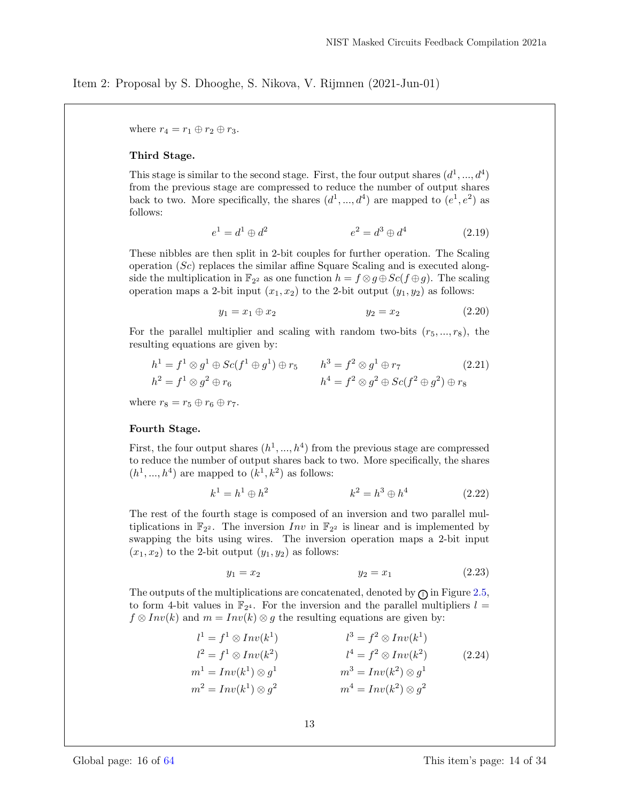where  $r_4 = r_1 \oplus r_2 \oplus r_3$ .

#### Third Stage.

This stage is similar to the second stage. First, the four output shares  $(d^1, ..., d^4)$ from the previous stage are compressed to reduce the number of output shares back to two. More specifically, the shares  $(d^1, ..., d^4)$  are mapped to  $(e^1, e^2)$  as follows:

$$
e^{1} = d^{1} \oplus d^{2} \qquad \qquad e^{2} = d^{3} \oplus d^{4} \qquad (2.19)
$$

These nibbles are then split in 2-bit couples for further operation. The Scaling operation  $(Sc)$  replaces the similar affine Square Scaling and is executed alongside the multiplication in  $\mathbb{F}_{2^2}$  as one function  $h = f \otimes g \oplus Sc(f \oplus g)$ . The scaling operation maps a 2-bit input  $(x_1, x_2)$  to the 2-bit output  $(y_1, y_2)$  as follows:

$$
y_1 = x_1 \oplus x_2 \qquad \qquad y_2 = x_2 \qquad (2.20)
$$

For the parallel multiplier and scaling with random two-bits  $(r_5, ..., r_8)$ , the resulting equations are given by:

$$
h1 = f1 \otimes g1 \oplus Sc(f1 \oplus g1) \oplus r5 \t h3 = f2 \otimes g1 \oplus r7 \t (2.21)
$$
  
\n
$$
h2 = f1 \otimes g2 \oplus r6 \t h4 = f2 \otimes g2 \oplus Sc(f2 \oplus g2) \oplus r8
$$

where  $r_8 = r_5 \oplus r_6 \oplus r_7$ .

#### Fourth Stage.

First, the four output shares  $(h^1, ..., h^4)$  from the previous stage are compressed to reduce the number of output shares back to two. More specifically, the shares  $(h<sup>1</sup>, ..., h<sup>4</sup>)$  are mapped to  $(k<sup>1</sup>, k<sup>2</sup>)$  as follows:

$$
k^1 = h^1 \oplus h^2 \qquad k^2 = h^3 \oplus h^4 \qquad (2.22)
$$

The rest of the fourth stage is composed of an inversion and two parallel multiplications in  $\mathbb{F}_{2}$ . The inversion  $Inv$  in  $\mathbb{F}_{2}$  is linear and is implemented by swapping the bits using wires. The inversion operation maps a 2-bit input  $(x_1, x_2)$  to the 2-bit output  $(y_1, y_2)$  as follows:

$$
y_1 = x_2 \t\t y_2 = x_1 \t\t (2.23)
$$

The outputs of the multiplications are concatenated, denoted by  $\mathcal{F}$  in Figure 2.5, to form 4-bit values in  $\mathbb{F}_{2^4}$ . For the inversion and the parallel multipliers  $l =$  $f \otimes Inv(k)$  and  $m = Inv(k) \otimes g$  the resulting equations are given by:

$$
l^{1} = f^{1} \otimes Inv(k^{1})
$$
  
\n
$$
l^{2} = f^{1} \otimes Inv(k^{2})
$$
  
\n
$$
l^{3} = f^{2} \otimes Inv(k^{1})
$$
  
\n
$$
l^{4} = f^{2} \otimes Inv(k^{2})
$$
  
\n
$$
m^{1} = Inv(k^{1}) \otimes g^{1}
$$
  
\n
$$
m^{2} = Inv(k^{1}) \otimes g^{2}
$$
  
\n
$$
m^{3} = Inv(k^{2}) \otimes g^{1}
$$
  
\n
$$
m^{4} = Inv(k^{2}) \otimes g^{2}
$$
  
\n
$$
(2.24)
$$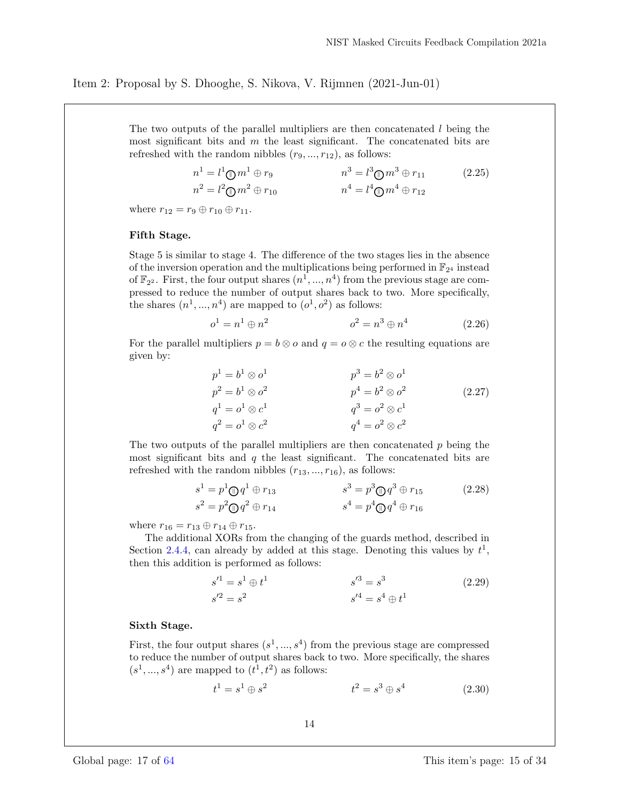The two outputs of the parallel multipliers are then concatenated  $l$  being the most significant bits and  $m$  the least significant. The concatenated bits are refreshed with the random nibbles  $(r_9, ..., r_{12})$ , as follows:

$$
n^{1} = l^{1} \oplus m^{1} \oplus r_{9}
$$
  
\n
$$
n^{2} = l^{2} \oplus m^{2} \oplus r_{10}
$$
  
\n
$$
n^{3} = l^{3} \oplus m^{3} \oplus r_{11}
$$
  
\n
$$
n^{4} = l^{4} \oplus m^{4} \oplus r_{12}
$$
  
\n(2.25)

where  $r_{12} = r_9 \oplus r_{10} \oplus r_{11}$ .

#### Fifth Stage.

Stage 5 is similar to stage 4. The difference of the two stages lies in the absence of the inversion operation and the multiplications being performed in  $\mathbb{F}_{2^4}$  instead of  $\mathbb{F}_{2^2}$ . First, the four output shares  $(n^1, ..., n^4)$  from the previous stage are compressed to reduce the number of output shares back to two. More specifically, the shares  $(n^1, ..., n^4)$  are mapped to  $(o^1, o^2)$  as follows:

$$
o^1 = n^1 \oplus n^2 \qquad \qquad o^2 = n^3 \oplus n^4 \qquad (2.26)
$$

For the parallel multipliers  $p = b \otimes o$  and  $q = o \otimes c$  the resulting equations are given by:

$$
p1 = b1 \otimes o1 \np2 = b1 \otimes o2 \nq1 = o1 \otimes c1 \nq2 = o1 \otimes c2 \nq3 = o2 \otimes o2 \nq4 = o2 \otimes c2
$$
\n(2.27)

The two outputs of the parallel multipliers are then concatenated  $p$  being the most significant bits and  $q$  the least significant. The concatenated bits are refreshed with the random nibbles  $(r_{13}, ..., r_{16})$ , as follows:

$$
s^{1} = p^{1} \oplus q^{1} \oplus r_{13} \qquad s^{3} = p^{3} \oplus q^{3} \oplus r_{15} \qquad (2.28)
$$
  

$$
s^{2} = p^{2} \oplus q^{2} \oplus r_{14} \qquad s^{4} = p^{4} \oplus q^{4} \oplus r_{16}
$$

where  $r_{16} = r_{13} \oplus r_{14} \oplus r_{15}$ .

The additional XORs from the changing of the guards method, described in Section 2.4.4, can already by added at this stage. Denoting this values by  $t^1$ , then this addition is performed as follows:

$$
s'^{1} = s^{1} \oplus t^{1}
$$
  
\n
$$
s'^{2} = s^{2}
$$
  
\n
$$
s'^{3} = s^{3}
$$
  
\n
$$
s'^{4} = s^{4} \oplus t^{1}
$$
  
\n(2.29)

#### Sixth Stage.

First, the four output shares  $(s^1, ..., s^4)$  from the previous stage are compressed to reduce the number of output shares back to two. More specifically, the shares  $(s<sup>1</sup>,...,s<sup>4</sup>)$  are mapped to  $(t<sup>1</sup>,t<sup>2</sup>)$  as follows:

$$
t^1 = s^1 \oplus s^2 \qquad \qquad t^2 = s^3 \oplus s^4 \qquad (2.30)
$$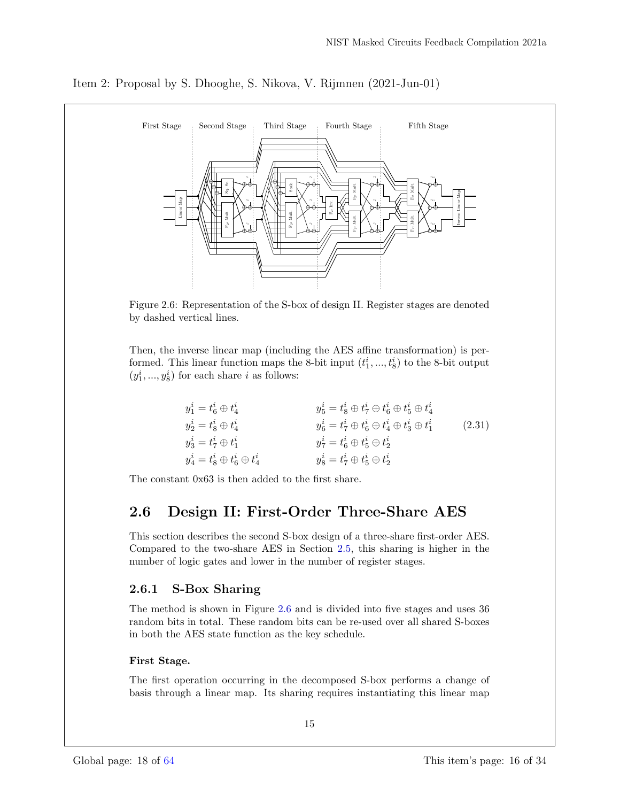

Item 2: Proposal by S. Dhooghe, S. Nikova, V. Rijmnen (2021-Jun-01)

Figure 2.6: Representation of the S-box of design II. Register stages are denoted by dashed vertical lines.

Then, the inverse linear map (including the AES affine transformation) is performed. This linear function maps the 8-bit input  $(t_1^i, ..., t_8^i)$  to the 8-bit output  $(y_1^i, ..., y_8^i)$  for each share *i* as follows:

| $y_1^i = t_6^i \oplus t_4^i$              | $y_5^i=t_8^i\oplus t_7^i\oplus t_6^i\oplus t_5^i\oplus t_4^i$       |        |
|-------------------------------------------|---------------------------------------------------------------------|--------|
| $y_2^i = t_8^i \oplus t_4^i$              | $y_6^i = t_7^i \oplus t_6^i \oplus t_4^i \oplus t_3^i \oplus t_1^i$ | (2.31) |
| $y_3^i = t_7^i \oplus t_1^i$              | $y_7^i = t_6^i \oplus t_5^i \oplus t_2^i$                           |        |
| $y_4^i = t_8^i \oplus t_6^i \oplus t_4^i$ | $y_8^i=t_7^i\oplus t_5^i\oplus t_2^i$                               |        |

The constant 0x63 is then added to the first share.

## 2.6 Design II: First-Order Three-Share AES

This section describes the second S-box design of a three-share first-order AES. Compared to the two-share AES in Section 2.5, this sharing is higher in the number of logic gates and lower in the number of register stages.

## 2.6.1 S-Box Sharing

The method is shown in Figure 2.6 and is divided into five stages and uses 36 random bits in total. These random bits can be re-used over all shared S-boxes in both the AES state function as the key schedule.

## First Stage.

The first operation occurring in the decomposed S-box performs a change of basis through a linear map. Its sharing requires instantiating this linear map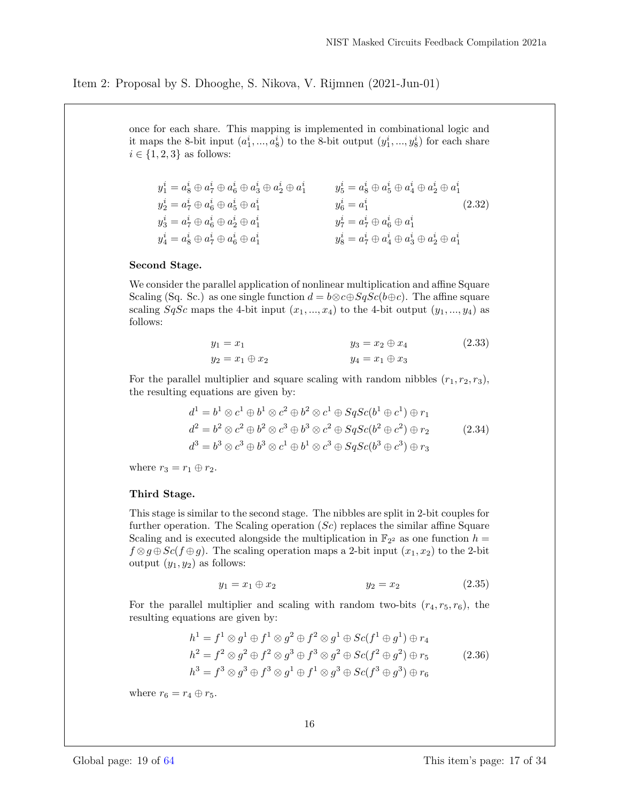once for each share. This mapping is implemented in combinational logic and it maps the 8-bit input  $(a_1^i, ..., a_8^i)$  to the 8-bit output  $(y_1^i, ..., y_8^i)$  for each share  $i \in \{1, 2, 3\}$  as follows:

$$
y_1^i = a_8^i \oplus a_7^i \oplus a_6^i \oplus a_3^i \oplus a_2^i \oplus a_1^i
$$
  
\n
$$
y_2^i = a_7^i \oplus a_6^i \oplus a_5^i \oplus a_1^i
$$
  
\n
$$
y_3^i = a_7^i \oplus a_6^i \oplus a_2^i \oplus a_1^i
$$
  
\n
$$
y_4^i = a_8^i \oplus a_7^i \oplus a_6^i \oplus a_2^i
$$
  
\n
$$
y_5^i = a_8^i \oplus a_5^i \oplus a_1^i
$$
  
\n
$$
y_6^i = a_1^i
$$
  
\n
$$
y_7^i = a_7^i \oplus a_6^i \oplus a_1^i
$$
  
\n
$$
y_8^i = a_7^i \oplus a_6^i \oplus a_1^i
$$
  
\n
$$
y_9^i = a_7^i \oplus a_6^i \oplus a_1^i
$$
  
\n
$$
y_9^i = a_7^i \oplus a_6^i \oplus a_1^i
$$
  
\n
$$
y_9^i = a_7^i \oplus a_6^i \oplus a_1^i
$$
  
\n
$$
y_9^i = a_7^i \oplus a_6^i \oplus a_1^i
$$
  
\n(2.32)

#### Second Stage.

We consider the parallel application of nonlinear multiplication and affine Square Scaling (Sq. Sc.) as one single function  $d = b \otimes c \oplus S q S c (b \oplus c)$ . The affine square scaling  $SqSc$  maps the 4-bit input  $(x_1, ..., x_4)$  to the 4-bit output  $(y_1, ..., y_4)$  as follows:

$$
y_1 = x_1
$$
  
\n $y_2 = x_1 \oplus x_2$   
\n $y_3 = x_2 \oplus x_4$   
\n $y_4 = x_1 \oplus x_3$   
\n(2.33)

For the parallel multiplier and square scaling with random nibbles  $(r_1, r_2, r_3)$ , the resulting equations are given by:

$$
d1 = b1 \otimes c1 \oplus b1 \otimes c2 \oplus b2 \otimes c1 \oplus SqSc(b1 \oplus c1) \oplus r1
$$
  
\n
$$
d2 = b2 \otimes c2 \oplus b2 \otimes c3 \oplus b3 \otimes c2 \oplus SqSc(b2 \oplus c2) \oplus r2
$$
 (2.34)  
\n
$$
d3 = b3 \otimes c3 \oplus b3 \otimes c1 \oplus b1 \otimes c3 \oplus SqSc(b3 \oplus c3) \oplus r3
$$

where  $r_3 = r_1 \oplus r_2$ .

#### Third Stage.

This stage is similar to the second stage. The nibbles are split in 2-bit couples for further operation. The Scaling operation  $(Sc)$  replaces the similar affine Square Scaling and is executed alongside the multiplication in  $\mathbb{F}_{2^2}$  as one function  $h =$  $f \otimes g \oplus Sc(f \oplus g)$ . The scaling operation maps a 2-bit input  $(x_1, x_2)$  to the 2-bit output  $(y_1, y_2)$  as follows:

$$
y_1 = x_1 \oplus x_2 \qquad \qquad y_2 = x_2 \qquad \qquad (2.35)
$$

For the parallel multiplier and scaling with random two-bits  $(r_4, r_5, r_6)$ , the resulting equations are given by:

$$
h1 = f1 \otimes g1 \oplus f1 \otimes g2 \oplus f2 \otimes g1 \oplus Sc(f1 \oplus g1) \oplus r4
$$
  
\n
$$
h2 = f2 \otimes g2 \oplus f2 \otimes g3 \oplus f3 \otimes g2 \oplus Sc(f2 \oplus g2) \oplus r5
$$
 (2.36)  
\n
$$
h3 = f3 \otimes g3 \oplus f3 \otimes g1 \oplus f1 \otimes g3 \oplus Sc(f3 \oplus g3) \oplus r6
$$

where  $r_6 = r_4 \oplus r_5$ .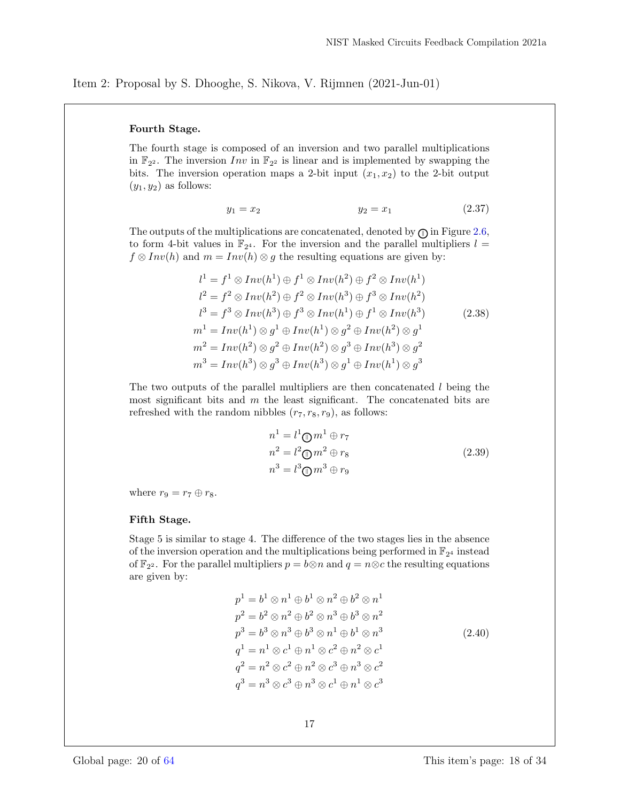#### Fourth Stage.

The fourth stage is composed of an inversion and two parallel multiplications in  $\mathbb{F}_{2^2}$ . The inversion  $Inv$  in  $\mathbb{F}_{2^2}$  is linear and is implemented by swapping the bits. The inversion operation maps a 2-bit input  $(x_1, x_2)$  to the 2-bit output  $(y_1, y_2)$  as follows:

$$
y_1 = x_2 \t\t y_2 = x_1 \t\t (2.37)
$$

The outputs of the multiplications are concatenated, denoted by  $\mathcal{F}$  in Figure 2.6, to form 4-bit values in  $\mathbb{F}_{2^4}$ . For the inversion and the parallel multipliers  $l =$  $f \otimes Inv(h)$  and  $m = Inv(h) \otimes g$  the resulting equations are given by:

$$
l^{1} = f^{1} \otimes Inv(h^{1}) \oplus f^{1} \otimes Inv(h^{2}) \oplus f^{2} \otimes Inv(h^{1})
$$
  
\n
$$
l^{2} = f^{2} \otimes Inv(h^{2}) \oplus f^{2} \otimes Inv(h^{3}) \oplus f^{3} \otimes Inv(h^{2})
$$
  
\n
$$
l^{3} = f^{3} \otimes Inv(h^{3}) \oplus f^{3} \otimes Inv(h^{1}) \oplus f^{1} \otimes Inv(h^{3})
$$
  
\n
$$
m^{1} = Inv(h^{1}) \otimes g^{1} \oplus Inv(h^{1}) \otimes g^{2} \oplus Inv(h^{2}) \otimes g^{1}
$$
  
\n
$$
m^{2} = Inv(h^{2}) \otimes g^{2} \oplus Inv(h^{2}) \otimes g^{3} \oplus Inv(h^{3}) \otimes g^{2}
$$
  
\n
$$
m^{3} = Inv(h^{3}) \otimes g^{3} \oplus Inv(h^{3}) \otimes g^{1} \oplus Inv(h^{1}) \otimes g^{3}
$$

The two outputs of the parallel multipliers are then concatenated  $l$  being the most significant bits and  $m$  the least significant. The concatenated bits are refreshed with the random nibbles  $(r_7, r_8, r_9)$ , as follows:

$$
n1 = l1 \oplus m1 \oplus r7
$$
  
\n
$$
n2 = l2 \oplus m2 \oplus r8
$$
  
\n
$$
n3 = l3 \oplus m3 \oplus r9
$$
\n(2.39)

where  $r_9 = r_7 \oplus r_8$ .

#### Fifth Stage.

Stage 5 is similar to stage 4. The difference of the two stages lies in the absence of the inversion operation and the multiplications being performed in  $\mathbb{F}_{2^4}$  instead of  $\mathbb{F}_{2^2}$ . For the parallel multipliers  $p = b \otimes n$  and  $q = n \otimes c$  the resulting equations are given by:

$$
p^{1} = b^{1} \otimes n^{1} \oplus b^{1} \otimes n^{2} \oplus b^{2} \otimes n^{1}
$$
  
\n
$$
p^{2} = b^{2} \otimes n^{2} \oplus b^{2} \otimes n^{3} \oplus b^{3} \otimes n^{2}
$$
  
\n
$$
p^{3} = b^{3} \otimes n^{3} \oplus b^{3} \otimes n^{1} \oplus b^{1} \otimes n^{3}
$$
  
\n
$$
q^{1} = n^{1} \otimes c^{1} \oplus n^{1} \otimes c^{2} \oplus n^{2} \otimes c^{1}
$$
  
\n
$$
q^{2} = n^{2} \otimes c^{2} \oplus n^{2} \otimes c^{3} \oplus n^{3} \otimes c^{2}
$$
  
\n
$$
q^{3} = n^{3} \otimes c^{3} \oplus n^{3} \otimes c^{1} \oplus n^{1} \otimes c^{3}
$$
  
\n(2.40)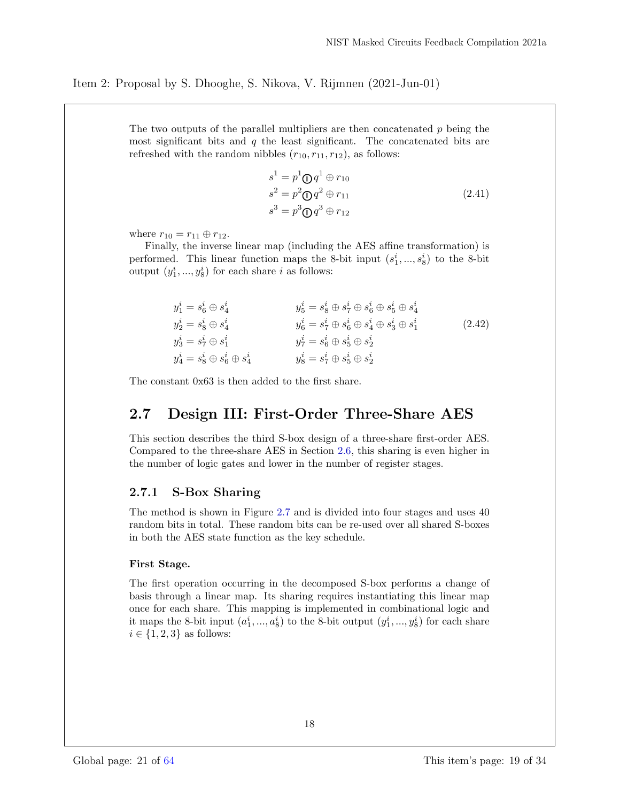The two outputs of the parallel multipliers are then concatenated  $p$  being the most significant bits and  $q$  the least significant. The concatenated bits are refreshed with the random nibbles  $(r_{10}, r_{11}, r_{12})$ , as follows:

$$
s1 = p1 \oplus q1 \oplus r10
$$
  
\n
$$
s2 = p2 \oplus q2 \oplus r11
$$
  
\n
$$
s3 = p3 \oplus q3 \oplus r12
$$
\n(2.41)

where  $r_{10} = r_{11} \oplus r_{12}$ .

Finally, the inverse linear map (including the AES affine transformation) is performed. This linear function maps the 8-bit input  $(s_1^i, ..., s_8^i)$  to the 8-bit output  $(y_1^i, ..., y_8^i)$  for each share *i* as follows:

| $y_1^i = s_6^i \oplus s_4^i$              | $y_5^i = s_8^i \oplus s_7^i \oplus s_6^i \oplus s_5^i \oplus s_4^i$                   |        |
|-------------------------------------------|---------------------------------------------------------------------------------------|--------|
| $y_2^i = s_8^i \oplus s_4^i$              | $y_{6}^{i}=s_{7}^{i}\oplus s_{6}^{i}\oplus s_{4}^{i}\oplus s_{3}^{i}\oplus s_{1}^{i}$ | (2.42) |
| $y_3^i = s_7^i \oplus s_1^i$              | $y_7^i = s_6^i \oplus s_5^i \oplus s_2^i$                                             |        |
| $y_4^i = s_8^i \oplus s_6^i \oplus s_4^i$ | $y_8^i = s_7^i \oplus s_5^i \oplus s_2^i$                                             |        |

The constant 0x63 is then added to the first share.

## 2.7 Design III: First-Order Three-Share AES

This section describes the third S-box design of a three-share first-order AES. Compared to the three-share AES in Section 2.6, this sharing is even higher in the number of logic gates and lower in the number of register stages.

### 2.7.1 S-Box Sharing

The method is shown in Figure 2.7 and is divided into four stages and uses 40 random bits in total. These random bits can be re-used over all shared S-boxes in both the AES state function as the key schedule.

#### First Stage.

The first operation occurring in the decomposed S-box performs a change of basis through a linear map. Its sharing requires instantiating this linear map once for each share. This mapping is implemented in combinational logic and it maps the 8-bit input  $(a_1^i, ..., a_8^i)$  to the 8-bit output  $(y_1^i, ..., y_8^i)$  for each share  $i \in \{1, 2, 3\}$  as follows: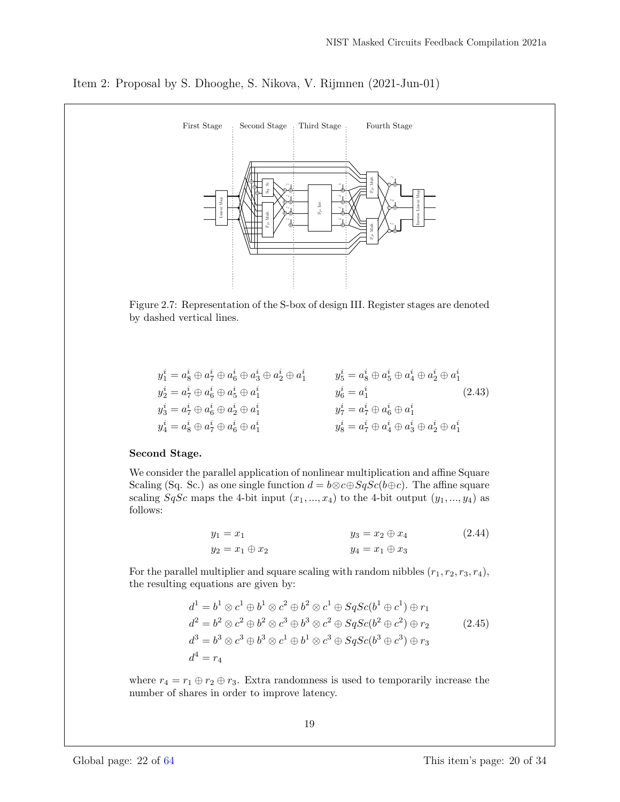

Item 2: Proposal by S. Dhooghe, S. Nikova, V. Rijmnen (2021-Jun-01)

Figure 2.7: Representation of the S-box of design III. Register stages are denoted by dashed vertical lines.

| $y_1^i = a_8^i \oplus a_7^i \oplus a_6^i \oplus a_3^i \oplus a_2^i \oplus a_1^i$ | $y_5^i = a_8^i \oplus a_5^i \oplus a_4^i \oplus a_2^i \oplus a_1^i$ |        |
|----------------------------------------------------------------------------------|---------------------------------------------------------------------|--------|
| $y_2^i = a_7^i \oplus a_6^i \oplus a_5^i \oplus a_1^i$                           | $y_6^i = a_1^i$                                                     | (2.43) |
| $y_3^i = a_7^i \oplus a_6^i \oplus a_2^i \oplus a_1^i$                           | $y_7^i = a_7^i \oplus a_6^i \oplus a_1^i$                           |        |
| $y^i_4=a^i_8\oplus a^i_7\oplus a^i_6\oplus a^i_1$                                | $y_8^i = a_7^i \oplus a_4^i \oplus a_3^i \oplus a_2^i \oplus a_1^i$ |        |

#### Second Stage.

We consider the parallel application of nonlinear multiplication and affine Square Scaling (Sq. Sc.) as one single function  $d = b \otimes c \oplus S q S c (b \oplus c)$ . The affine square scaling  $SqSc$  maps the 4-bit input  $(x_1, ..., x_4)$  to the 4-bit output  $(y_1, ..., y_4)$  as follows:

$$
y_1 = x_1
$$
  
\n $y_2 = x_1 \oplus x_2$   
\n $y_3 = x_2 \oplus x_4$   
\n $y_4 = x_1 \oplus x_3$   
\n(2.44)

For the parallel multiplier and square scaling with random nibbles  $(r_1, r_2, r_3, r_4)$ , the resulting equations are given by:

$$
d1 = b1 \otimes c1 \oplus b1 \otimes c2 \oplus b2 \otimes c1 \oplus SqSc(b1 \oplus c1) \oplus r1
$$
  
\n
$$
d2 = b2 \otimes c2 \oplus b2 \otimes c3 \oplus b3 \otimes c2 \oplus SqSc(b2 \oplus c2) \oplus r2
$$
  
\n
$$
d3 = b3 \otimes c3 \oplus b3 \otimes c1 \oplus b1 \otimes c3 \oplus SqSc(b3 \oplus c3) \oplus r3
$$
  
\n
$$
d4 = r4
$$
 (2.45)

where  $r_4 = r_1 \oplus r_2 \oplus r_3$ . Extra randomness is used to temporarily increase the number of shares in order to improve latency.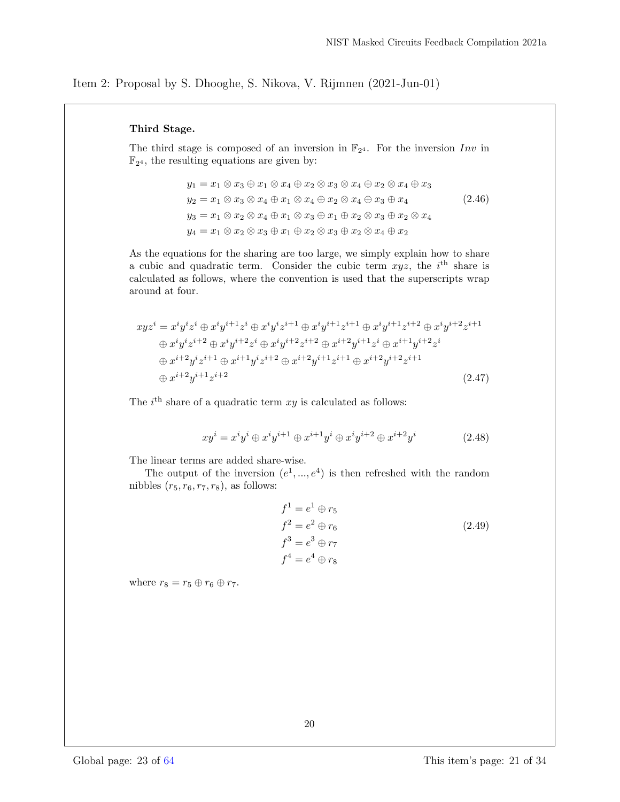#### Third Stage.

The third stage is composed of an inversion in  $\mathbb{F}_{2^4}$ . For the inversion Inv in  $\mathbb{F}_{2^4}$ , the resulting equations are given by:

$$
y_1 = x_1 \otimes x_3 \oplus x_1 \otimes x_4 \oplus x_2 \otimes x_3 \otimes x_4 \oplus x_2 \otimes x_4 \oplus x_3
$$
  
\n
$$
y_2 = x_1 \otimes x_3 \otimes x_4 \oplus x_1 \otimes x_4 \oplus x_2 \otimes x_4 \oplus x_3 \oplus x_4
$$
  
\n
$$
y_3 = x_1 \otimes x_2 \otimes x_4 \oplus x_1 \otimes x_3 \oplus x_1 \oplus x_2 \otimes x_3 \oplus x_2 \otimes x_4
$$
  
\n
$$
y_4 = x_1 \otimes x_2 \otimes x_3 \oplus x_1 \oplus x_2 \otimes x_3 \oplus x_2 \otimes x_4 \oplus x_2
$$
  
\n(2.46)

As the equations for the sharing are too large, we simply explain how to share a cubic and quadratic term. Consider the cubic term  $xyz$ , the i<sup>th</sup> share is calculated as follows, where the convention is used that the superscripts wrap around at four.

$$
xyz^{i} = x^{i}y^{i}z^{i} \oplus x^{i}y^{i+1}z^{i} \oplus x^{i}y^{i}z^{i+1} \oplus x^{i}y^{i+1}z^{i+1} \oplus x^{i}y^{i+1}z^{i+2} \oplus x^{i}y^{i+2}z^{i+1}
$$
  
\n
$$
\oplus x^{i}y^{i}z^{i+2} \oplus x^{i}y^{i+2}z^{i} \oplus x^{i}y^{i+2}z^{i+2} \oplus x^{i+2}y^{i+1}z^{i} \oplus x^{i+1}y^{i+2}z^{i}
$$
  
\n
$$
\oplus x^{i+2}y^{i}z^{i+1} \oplus x^{i+1}y^{i}z^{i+2} \oplus x^{i+2}y^{i+1}z^{i+1} \oplus x^{i+2}y^{i+2}z^{i+1}
$$
  
\n
$$
\oplus x^{i+2}y^{i+1}z^{i+2} \qquad (2.47)
$$

The  $i<sup>th</sup>$  share of a quadratic term  $xy$  is calculated as follows:

$$
xy^{i} = x^{i}y^{i} \oplus x^{i}y^{i+1} \oplus x^{i+1}y^{i} \oplus x^{i}y^{i+2} \oplus x^{i+2}y^{i}
$$
 (2.48)

The linear terms are added share-wise.

The output of the inversion  $(e^1, ..., e^4)$  is then refreshed with the random nibbles  $(r_5, r_6, r_7, r_8)$ , as follows:

$$
f1 = e1 \oplus r5
$$
  
\n
$$
f2 = e2 \oplus r6
$$
  
\n
$$
f3 = e3 \oplus r7
$$
  
\n
$$
f4 = e4 \oplus r8
$$
  
\n(2.49)

where  $r_8 = r_5 \oplus r_6 \oplus r_7$ .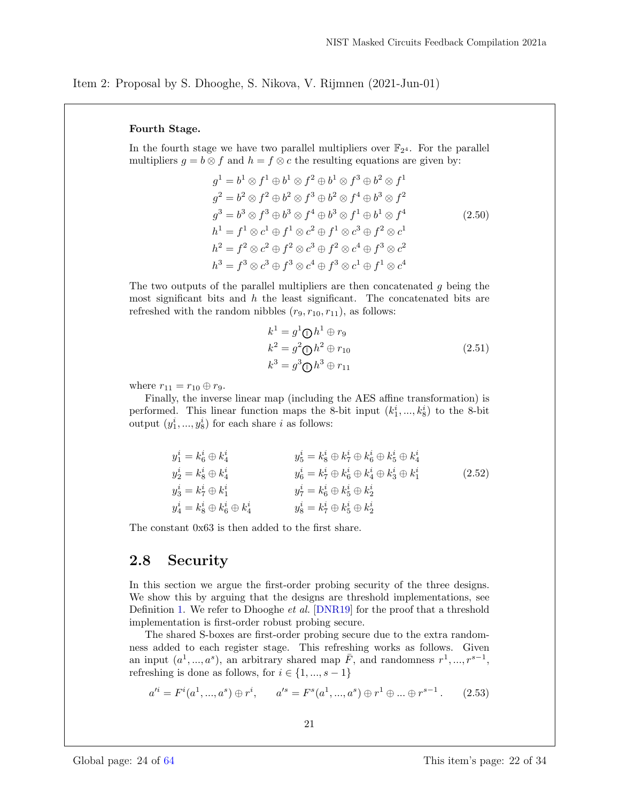#### Fourth Stage.

In the fourth stage we have two parallel multipliers over  $\mathbb{F}_{2^4}$ . For the parallel multipliers  $g = b \otimes f$  and  $h = f \otimes c$  the resulting equations are given by:

$$
g^{1} = b^{1} \otimes f^{1} \oplus b^{1} \otimes f^{2} \oplus b^{1} \otimes f^{3} \oplus b^{2} \otimes f^{1}
$$
  
\n
$$
g^{2} = b^{2} \otimes f^{2} \oplus b^{2} \otimes f^{3} \oplus b^{2} \otimes f^{4} \oplus b^{3} \otimes f^{2}
$$
  
\n
$$
g^{3} = b^{3} \otimes f^{3} \oplus b^{3} \otimes f^{4} \oplus b^{3} \otimes f^{1} \oplus b^{1} \otimes f^{4}
$$
  
\n
$$
h^{1} = f^{1} \otimes c^{1} \oplus f^{1} \otimes c^{2} \oplus f^{1} \otimes c^{3} \oplus f^{2} \otimes c^{1}
$$
  
\n
$$
h^{2} = f^{2} \otimes c^{2} \oplus f^{2} \otimes c^{3} \oplus f^{2} \otimes c^{4} \oplus f^{3} \otimes c^{2}
$$
  
\n
$$
h^{3} = f^{3} \otimes c^{3} \oplus f^{3} \otimes c^{4} \oplus f^{3} \otimes c^{1} \oplus f^{1} \otimes c^{4}
$$
  
\n(2.50)

The two outputs of the parallel multipliers are then concatenated  $g$  being the most significant bits and  $h$  the least significant. The concatenated bits are refreshed with the random nibbles  $(r_9, r_{10}, r_{11})$ , as follows:

$$
k1 = g1 \oplus h1 \oplus r9
$$
  
\n
$$
k2 = g2 \oplus h2 \oplus r10
$$
  
\n
$$
k3 = g3 \oplus h3 \oplus r11
$$
\n(2.51)

where  $r_{11} = r_{10} \oplus r_9$ .

Finally, the inverse linear map (including the AES affine transformation) is performed. This linear function maps the 8-bit input  $(k_1^i, ..., k_8^i)$  to the 8-bit output  $(y_1^i, ..., y_8^i)$  for each share *i* as follows:

$$
y_1^i = k_6^i \oplus k_4^i
$$
  
\n
$$
y_2^i = k_8^i \oplus k_4^i
$$
  
\n
$$
y_2^i = k_8^i \oplus k_4^i
$$
  
\n
$$
y_3^i = k_7^i \oplus k_1^i
$$
  
\n
$$
y_4^i = k_8^i \oplus k_6^i
$$
  
\n
$$
y_5^i = k_8^i \oplus k_6^i \oplus k_4^i
$$
  
\n
$$
y_6^i = k_7^i \oplus k_6^i \oplus k_4^i
$$
  
\n
$$
y_7^i = k_6^i \oplus k_5^i \oplus k_2^i
$$
  
\n
$$
y_8^i = k_7^i \oplus k_5^i \oplus k_2^i
$$
  
\n
$$
y_9^i = k_7^i \oplus k_5^i \oplus k_2^i
$$
  
\n(2.52)

The constant 0x63 is then added to the first share.

## 2.8 Security

In this section we argue the first-order probing security of the three designs. We show this by arguing that the designs are threshold implementations, see Definition 1. We refer to Dhooghe et al. [DNR19] for the proof that a threshold implementation is first-order robust probing secure.

The shared S-boxes are first-order probing secure due to the extra randomness added to each register stage. This refreshing works as follows. Given an input  $(a^1, ..., a^s)$ , an arbitrary shared map  $\overline{F}$ , and randomness  $r^1, ..., r^{s-1}$ , refreshing is done as follows, for  $i \in \{1, ..., s - 1\}$ 

$$
a'^{i} = F^{i}(a^{1},...,a^{s}) \oplus r^{i}, \qquad a'^{s} = F^{s}(a^{1},...,a^{s}) \oplus r^{1} \oplus ... \oplus r^{s-1}.
$$
 (2.53)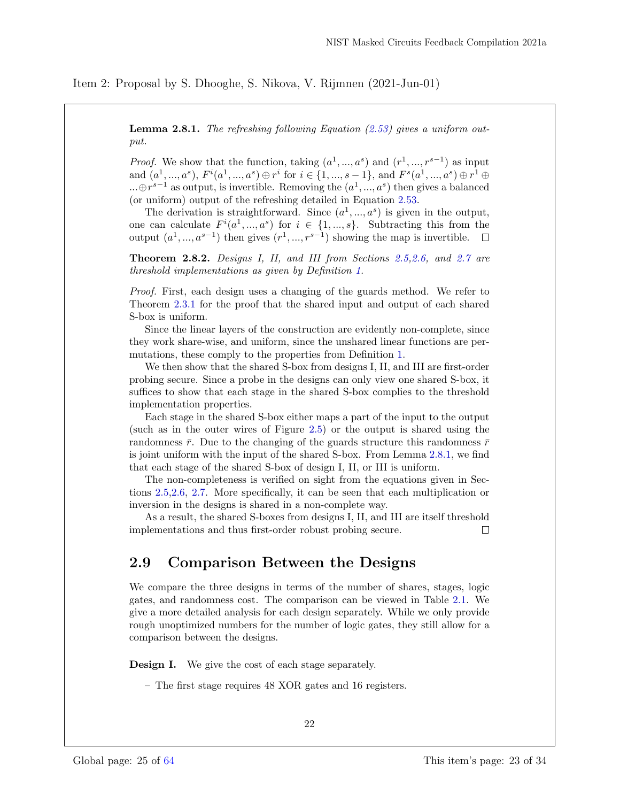**Lemma 2.8.1.** The refreshing following Equation  $(2.53)$  gives a uniform output.

*Proof.* We show that the function, taking  $(a^1, ..., a^s)$  and  $(r^1, ..., r^{s-1})$  as input and  $(a^1, ..., a^s)$ ,  $F^i(a^1, ..., a^s) \oplus r^i$  for  $i \in \{1, ..., s - 1\}$ , and  $F^s(a^1, ..., a^s) \oplus r^1 \oplus$  $\dots \oplus r^{s-1}$  as output, is invertible. Removing the  $(a^1, ..., a^s)$  then gives a balanced (or uniform) output of the refreshing detailed in Equation 2.53.

The derivation is straightforward. Since  $(a^1, ..., a^s)$  is given in the output, one can calculate  $F^{i}(a^{1},...,a^{s})$  for  $i \in \{1,...,s\}$ . Subtracting this from the output  $(a^1, ..., a^{s-1})$  then gives  $(r^1, ..., r^{s-1})$  showing the map is invertible.

Theorem 2.8.2. Designs I, II, and III from Sections 2.5,2.6, and 2.7 are threshold implementations as given by Definition 1.

*Proof.* First, each design uses a changing of the guards method. We refer to Theorem 2.3.1 for the proof that the shared input and output of each shared S-box is uniform.

Since the linear layers of the construction are evidently non-complete, since they work share-wise, and uniform, since the unshared linear functions are permutations, these comply to the properties from Definition 1.

We then show that the shared S-box from designs I, II, and III are first-order probing secure. Since a probe in the designs can only view one shared S-box, it suffices to show that each stage in the shared S-box complies to the threshold implementation properties.

Each stage in the shared S-box either maps a part of the input to the output (such as in the outer wires of Figure 2.5) or the output is shared using the randomness  $\bar{r}$ . Due to the changing of the guards structure this randomness  $\bar{r}$ is joint uniform with the input of the shared S-box. From Lemma 2.8.1, we find that each stage of the shared S-box of design I, II, or III is uniform.

The non-completeness is verified on sight from the equations given in Sections 2.5,2.6, 2.7. More specifically, it can be seen that each multiplication or inversion in the designs is shared in a non-complete way.

As a result, the shared S-boxes from designs I, II, and III are itself threshold implementations and thus first-order robust probing secure.  $\Box$ 

## 2.9 Comparison Between the Designs

We compare the three designs in terms of the number of shares, stages, logic gates, and randomness cost. The comparison can be viewed in Table 2.1. We give a more detailed analysis for each design separately. While we only provide rough unoptimized numbers for the number of logic gates, they still allow for a comparison between the designs.

**Design I.** We give the cost of each stage separately.

– The first stage requires 48 XOR gates and 16 registers.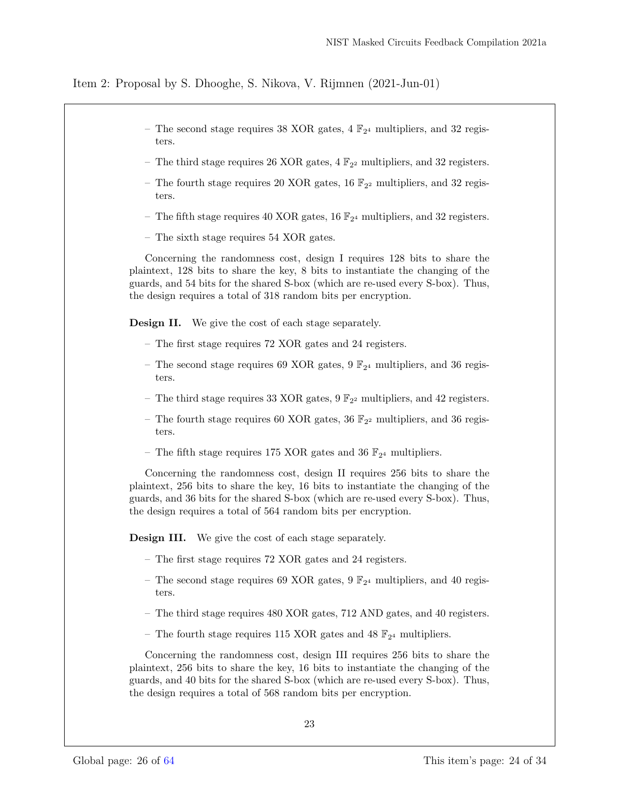- The second stage requires 38 XOR gates, 4  $\mathbb{F}_{2^4}$  multipliers, and 32 registers.
- The third stage requires 26 XOR gates,  $4 \mathbb{F}_{2^2}$  multipliers, and 32 registers.
- The fourth stage requires 20 XOR gates, 16  $\mathbb{F}_{2^2}$  multipliers, and 32 registers.
- The fifth stage requires 40 XOR gates, 16  $\mathbb{F}_{2^4}$  multipliers, and 32 registers.
- The sixth stage requires 54 XOR gates.

Concerning the randomness cost, design I requires 128 bits to share the plaintext, 128 bits to share the key, 8 bits to instantiate the changing of the guards, and 54 bits for the shared S-box (which are re-used every S-box). Thus, the design requires a total of 318 random bits per encryption.

Design II. We give the cost of each stage separately.

- The first stage requires 72 XOR gates and 24 registers.
- The second stage requires 69 XOR gates, 9  $\mathbb{F}_{2^4}$  multipliers, and 36 registers.
- The third stage requires 33 XOR gates,  $9 \mathbb{F}_{2^2}$  multipliers, and 42 registers.
- The fourth stage requires 60 XOR gates, 36  $\mathbb{F}_{2^2}$  multipliers, and 36 registers.
- The fifth stage requires 175 XOR gates and 36  $\mathbb{F}_{2^4}$  multipliers.

Concerning the randomness cost, design II requires 256 bits to share the plaintext, 256 bits to share the key, 16 bits to instantiate the changing of the guards, and 36 bits for the shared S-box (which are re-used every S-box). Thus, the design requires a total of 564 random bits per encryption.

Design III. We give the cost of each stage separately.

- The first stage requires 72 XOR gates and 24 registers.
- The second stage requires 69 XOR gates, 9  $\mathbb{F}_{2^4}$  multipliers, and 40 registers.
- The third stage requires 480 XOR gates, 712 AND gates, and 40 registers.
- The fourth stage requires 115 XOR gates and 48  $\mathbb{F}_{2^4}$  multipliers.

Concerning the randomness cost, design III requires 256 bits to share the plaintext, 256 bits to share the key, 16 bits to instantiate the changing of the guards, and 40 bits for the shared S-box (which are re-used every S-box). Thus, the design requires a total of 568 random bits per encryption.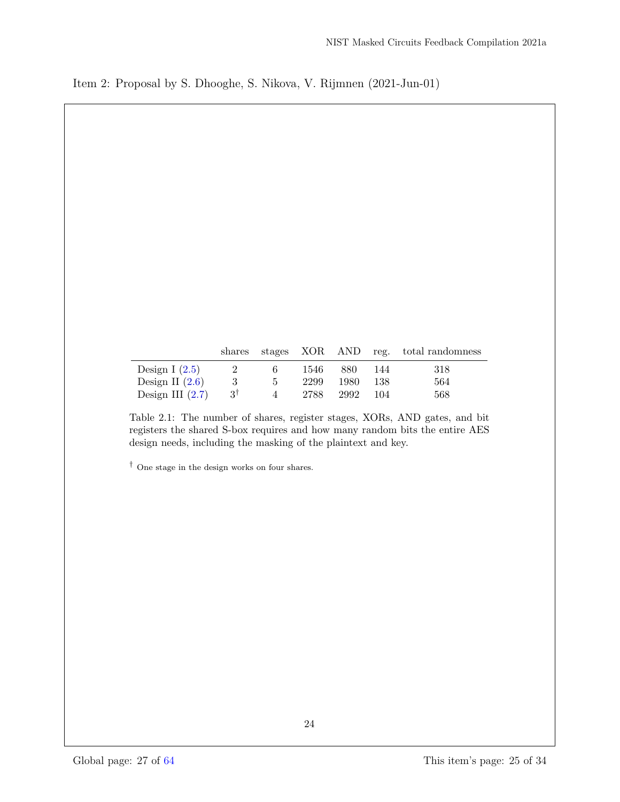|                    |                |               |      |      |      | shares stages XOR AND reg. total randomness |
|--------------------|----------------|---------------|------|------|------|---------------------------------------------|
| Design I $(2.5)$   | $\sim 2$       | 6.            | 1546 | 880- | -144 | 318                                         |
| Design II $(2.6)$  | -3             | $\mathcal{D}$ | 2299 | 1980 | -138 | 564                                         |
| Design III $(2.7)$ | $-3^{\dagger}$ | 4             | 2788 | 2992 | 104  | 568                                         |

Table 2.1: The number of shares, register stages, XORs, AND gates, and bit registers the shared S-box requires and how many random bits the entire AES design needs, including the masking of the plaintext and key.

† One stage in the design works on four shares.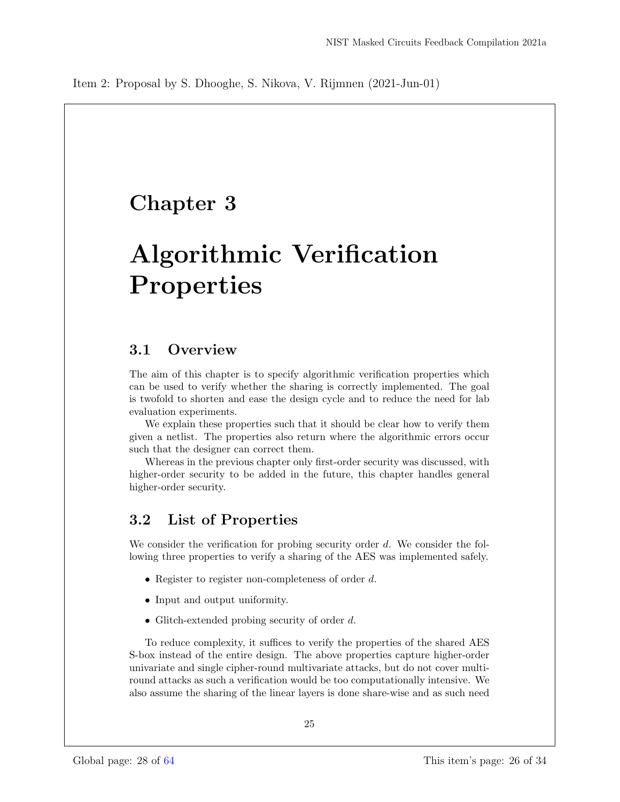# Chapter 3

# Algorithmic Verification Properties

## 3.1 Overview

The aim of this chapter is to specify algorithmic verification properties which can be used to verify whether the sharing is correctly implemented. The goal is twofold to shorten and ease the design cycle and to reduce the need for lab evaluation experiments.

We explain these properties such that it should be clear how to verify them given a netlist. The properties also return where the algorithmic errors occur such that the designer can correct them.

Whereas in the previous chapter only first-order security was discussed, with higher-order security to be added in the future, this chapter handles general higher-order security.

## 3.2 List of Properties

We consider the verification for probing security order  $d$ . We consider the following three properties to verify a sharing of the AES was implemented safely.

- Register to register non-completeness of order d.
- Input and output uniformity.
- Glitch-extended probing security of order d.

To reduce complexity, it suffices to verify the properties of the shared AES S-box instead of the entire design. The above properties capture higher-order univariate and single cipher-round multivariate attacks, but do not cover multiround attacks as such a verification would be too computationally intensive. We also assume the sharing of the linear layers is done share-wise and as such need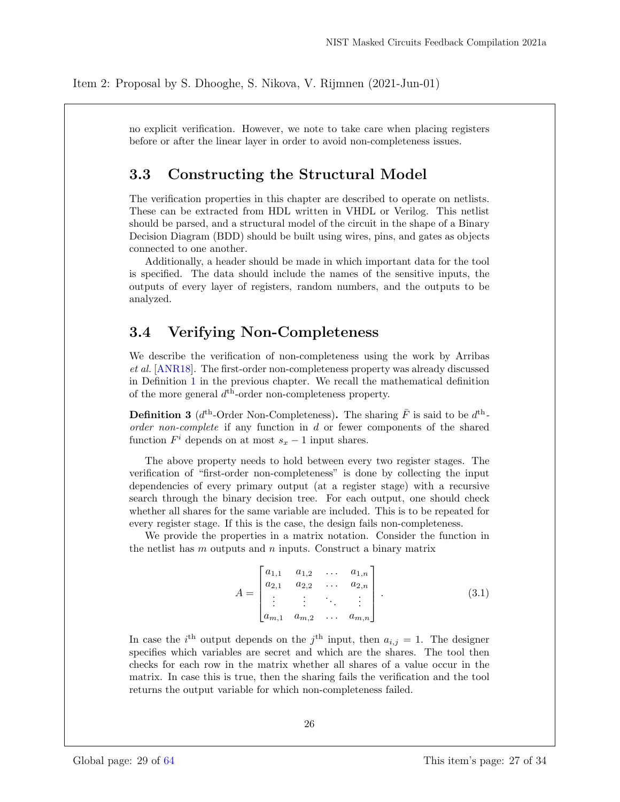no explicit verification. However, we note to take care when placing registers before or after the linear layer in order to avoid non-completeness issues.

## 3.3 Constructing the Structural Model

The verification properties in this chapter are described to operate on netlists. These can be extracted from HDL written in VHDL or Verilog. This netlist should be parsed, and a structural model of the circuit in the shape of a Binary Decision Diagram (BDD) should be built using wires, pins, and gates as objects connected to one another.

Additionally, a header should be made in which important data for the tool is specified. The data should include the names of the sensitive inputs, the outputs of every layer of registers, random numbers, and the outputs to be analyzed.

## 3.4 Verifying Non-Completeness

We describe the verification of non-completeness using the work by Arribas et al. [ANR18]. The first-order non-completeness property was already discussed in Definition 1 in the previous chapter. We recall the mathematical definition of the more general  $d^{\text{th}}$ -order non-completeness property.

**Definition 3** ( $d^{\text{th}}$ -Order Non-Completeness). The sharing  $\bar{F}$  is said to be  $d^{\text{th}}$ order non-complete if any function in d or fewer components of the shared function  $F^i$  depends on at most  $s_x - 1$  input shares.

The above property needs to hold between every two register stages. The verification of "first-order non-completeness" is done by collecting the input dependencies of every primary output (at a register stage) with a recursive search through the binary decision tree. For each output, one should check whether all shares for the same variable are included. This is to be repeated for every register stage. If this is the case, the design fails non-completeness.

We provide the properties in a matrix notation. Consider the function in the netlist has  $m$  outputs and  $n$  inputs. Construct a binary matrix

$$
A = \begin{bmatrix} a_{1,1} & a_{1,2} & \dots & a_{1,n} \\ a_{2,1} & a_{2,2} & \dots & a_{2,n} \\ \vdots & \vdots & \ddots & \vdots \\ a_{m,1} & a_{m,2} & \dots & a_{m,n} \end{bmatrix} .
$$
 (3.1)

In case the *i*<sup>th</sup> output depends on the *j*<sup>th</sup> input, then  $a_{i,j} = 1$ . The designer specifies which variables are secret and which are the shares. The tool then checks for each row in the matrix whether all shares of a value occur in the matrix. In case this is true, then the sharing fails the verification and the tool returns the output variable for which non-completeness failed.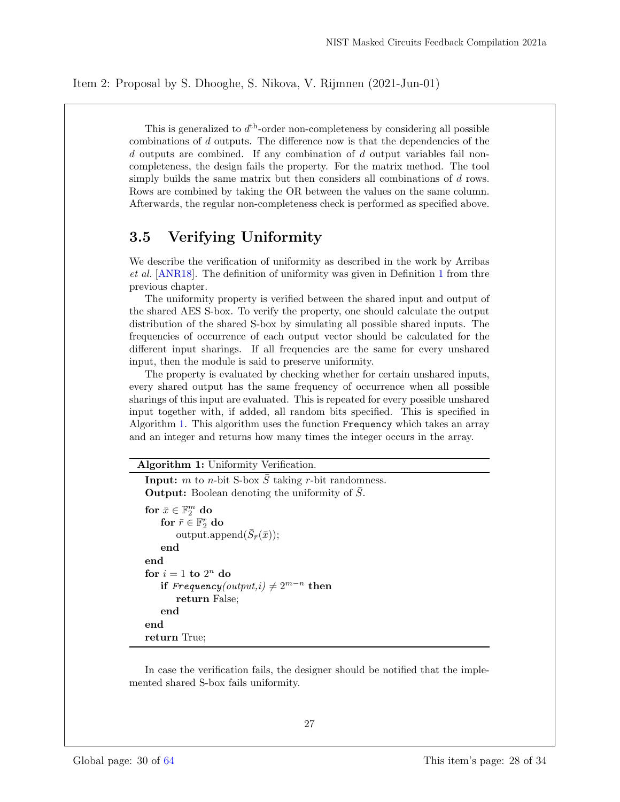This is generalized to  $d<sup>th</sup>$ -order non-completeness by considering all possible combinations of  $d$  outputs. The difference now is that the dependencies of the  $d$  outputs are combined. If any combination of  $d$  output variables fail noncompleteness, the design fails the property. For the matrix method. The tool simply builds the same matrix but then considers all combinations of d rows. Rows are combined by taking the OR between the values on the same column. Afterwards, the regular non-completeness check is performed as specified above.

## 3.5 Verifying Uniformity

We describe the verification of uniformity as described in the work by Arribas et al. [ANR18]. The definition of uniformity was given in Definition 1 from thre previous chapter.

The uniformity property is verified between the shared input and output of the shared AES S-box. To verify the property, one should calculate the output distribution of the shared S-box by simulating all possible shared inputs. The frequencies of occurrence of each output vector should be calculated for the different input sharings. If all frequencies are the same for every unshared input, then the module is said to preserve uniformity.

The property is evaluated by checking whether for certain unshared inputs, every shared output has the same frequency of occurrence when all possible sharings of this input are evaluated. This is repeated for every possible unshared input together with, if added, all random bits specified. This is specified in Algorithm 1. This algorithm uses the function Frequency which takes an array and an integer and returns how many times the integer occurs in the array.

#### Algorithm 1: Uniformity Verification.

```
Input: m to n-bit S-box \overline{S} taking r-bit randomness.
Output: Boolean denoting the uniformity of \overline{S}.
for \bar{x} \in \mathbb{F}_2^m do
    for \bar{r} \in \mathbb{F}_2^r do
         output.append(\bar{S}_{\bar{r}}(\bar{x}));end
end
for i = 1 to 2^n do
    if Frequency(output, i) \neq 2^{m-n} then
        return False;
    end
end
return True;
```
In case the verification fails, the designer should be notified that the implemented shared S-box fails uniformity.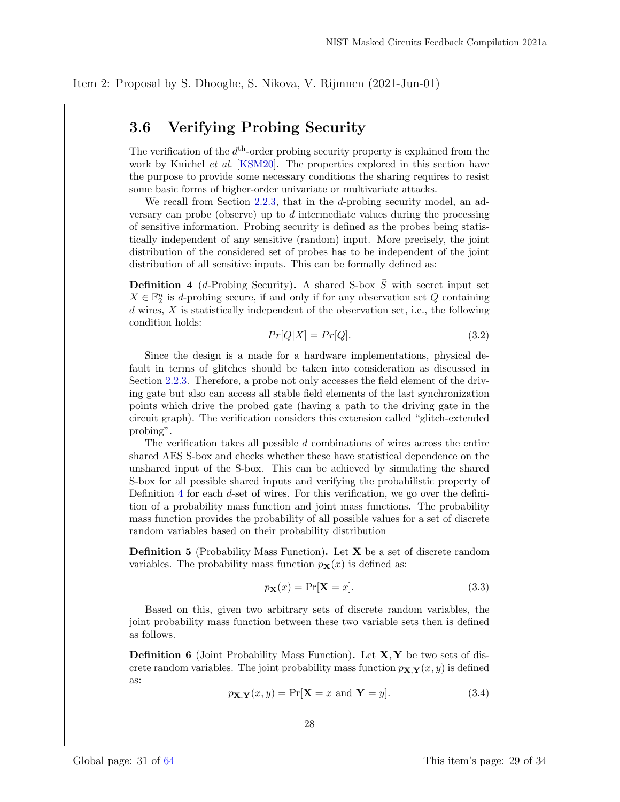## 3.6 Verifying Probing Security

The verification of the  $d<sup>th</sup>$ -order probing security property is explained from the work by Knichel *et al.* [KSM20]. The properties explored in this section have the purpose to provide some necessary conditions the sharing requires to resist some basic forms of higher-order univariate or multivariate attacks.

We recall from Section 2.2.3, that in the d-probing security model, an adversary can probe (observe) up to d intermediate values during the processing of sensitive information. Probing security is defined as the probes being statistically independent of any sensitive (random) input. More precisely, the joint distribution of the considered set of probes has to be independent of the joint distribution of all sensitive inputs. This can be formally defined as:

**Definition 4** (*d*-Probing Security). A shared S-box  $\overline{S}$  with secret input set  $X \in \mathbb{F}_2^n$  is d-probing secure, if and only if for any observation set  $Q$  containing d wires, X is statistically independent of the observation set, i.e., the following condition holds:

$$
Pr[Q|X] = Pr[Q]. \tag{3.2}
$$

Since the design is a made for a hardware implementations, physical default in terms of glitches should be taken into consideration as discussed in Section 2.2.3. Therefore, a probe not only accesses the field element of the driving gate but also can access all stable field elements of the last synchronization points which drive the probed gate (having a path to the driving gate in the circuit graph). The verification considers this extension called "glitch-extended probing".

The verification takes all possible  $d$  combinations of wires across the entire shared AES S-box and checks whether these have statistical dependence on the unshared input of the S-box. This can be achieved by simulating the shared S-box for all possible shared inputs and verifying the probabilistic property of Definition 4 for each d-set of wires. For this verification, we go over the definition of a probability mass function and joint mass functions. The probability mass function provides the probability of all possible values for a set of discrete random variables based on their probability distribution

Definition 5 (Probability Mass Function). Let X be a set of discrete random variables. The probability mass function  $p_{\mathbf{X}}(x)$  is defined as:

$$
p_{\mathbf{X}}(x) = \Pr[\mathbf{X} = x]. \tag{3.3}
$$

Based on this, given two arbitrary sets of discrete random variables, the joint probability mass function between these two variable sets then is defined as follows.

**Definition 6** (Joint Probability Mass Function). Let  $X, Y$  be two sets of discrete random variables. The joint probability mass function  $p_{\mathbf{X},\mathbf{Y}}(x, y)$  is defined as:

$$
p_{\mathbf{X},\mathbf{Y}}(x,y) = \Pr[\mathbf{X} = x \text{ and } \mathbf{Y} = y]. \tag{3.4}
$$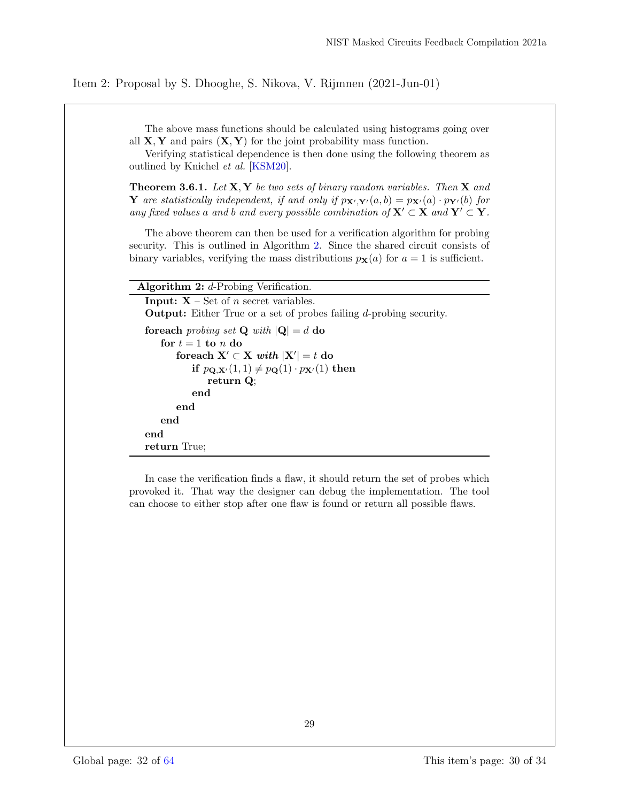The above mass functions should be calculated using histograms going over all  $X, Y$  and pairs  $(X, Y)$  for the joint probability mass function.

Verifying statistical dependence is then done using the following theorem as outlined by Knichel et al. [KSM20].

**Theorem 3.6.1.** Let  $X, Y$  be two sets of binary random variables. Then  $X$  and Y are statistically independent, if and only if  $p_{\mathbf{X}',\mathbf{Y}'}(a, b) = p_{\mathbf{X}'}(a) \cdot p_{\mathbf{Y}'}(b)$  for any fixed values a and b and every possible combination of  $X' \subset X$  and  $Y' \subset Y$ .

The above theorem can then be used for a verification algorithm for probing security. This is outlined in Algorithm 2. Since the shared circuit consists of binary variables, verifying the mass distributions  $p_{\mathbf{X}}(a)$  for  $a = 1$  is sufficient.

#### Algorithm  $2: d$ -Probing Verification.

**Input:**  $X$  – Set of *n* secret variables. Output: Either True or a set of probes failing d-probing security. foreach probing set **Q** with  $|Q| = d$  do for  $t = 1$  to n do foreach  $X' \subset X$  with  $|X'| = t$  do if  $p_{\mathbf{Q},\mathbf{X}'}(1,1) \neq p_{\mathbf{Q}}(1) \cdot p_{\mathbf{X}'}(1)$  then return Q; end end end end return True;

In case the verification finds a flaw, it should return the set of probes which provoked it. That way the designer can debug the implementation. The tool can choose to either stop after one flaw is found or return all possible flaws.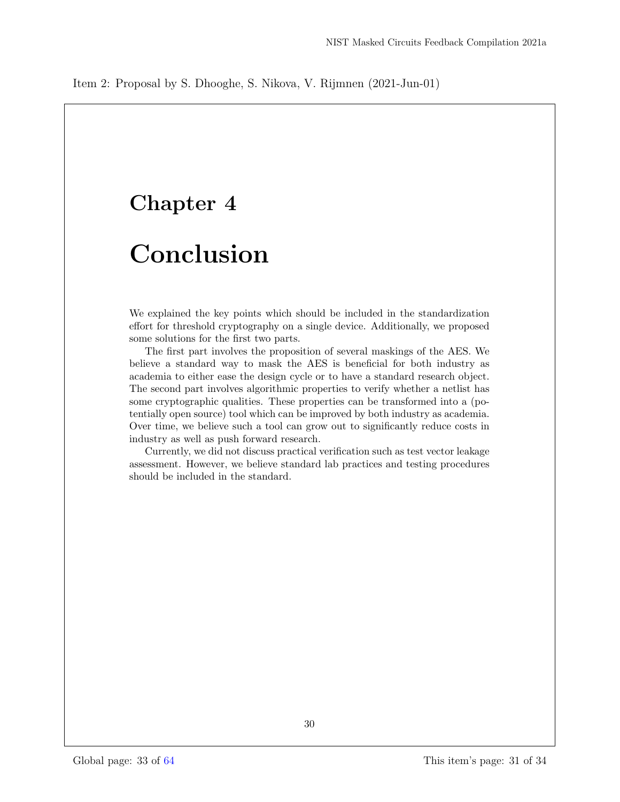# Chapter 4

# Conclusion

We explained the key points which should be included in the standardization effort for threshold cryptography on a single device. Additionally, we proposed some solutions for the first two parts.

The first part involves the proposition of several maskings of the AES. We believe a standard way to mask the AES is beneficial for both industry as academia to either ease the design cycle or to have a standard research object. The second part involves algorithmic properties to verify whether a netlist has some cryptographic qualities. These properties can be transformed into a (potentially open source) tool which can be improved by both industry as academia. Over time, we believe such a tool can grow out to significantly reduce costs in industry as well as push forward research.

Currently, we did not discuss practical verification such as test vector leakage assessment. However, we believe standard lab practices and testing procedures should be included in the standard.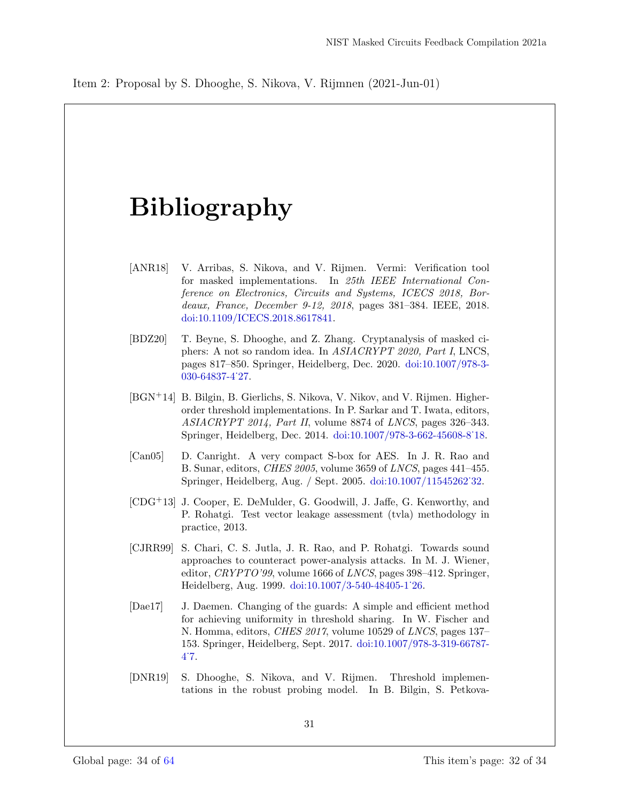# Bibliography

- [ANR18] V. Arribas, S. Nikova, and V. Rijmen. Vermi: Verification tool for masked implementations. In 25th IEEE International Conference on Electronics, Circuits and Systems, ICECS 2018, Bordeaux, France, December 9-12, 2018, pages 381–384. IEEE, 2018. doi:10.1109/ICECS.2018.8617841.
- [BDZ20] T. Beyne, S. Dhooghe, and Z. Zhang. Cryptanalysis of masked ciphers: A not so random idea. In ASIACRYPT 2020, Part I, LNCS, pages 817–850. Springer, Heidelberg, Dec. 2020. doi:10.1007/978-3- 030-64837-4˙27.
- [BGN<sup>+</sup>14] B. Bilgin, B. Gierlichs, S. Nikova, V. Nikov, and V. Rijmen. Higherorder threshold implementations. In P. Sarkar and T. Iwata, editors, ASIACRYPT 2014, Part II, volume 8874 of LNCS, pages 326–343. Springer, Heidelberg, Dec. 2014. doi:10.1007/978-3-662-45608-8˙18.
- [Can05] D. Canright. A very compact S-box for AES. In J. R. Rao and B. Sunar, editors, CHES 2005, volume 3659 of LNCS, pages 441–455. Springer, Heidelberg, Aug. / Sept. 2005. doi:10.1007/11545262˙32.
- [CDG<sup>+</sup>13] J. Cooper, E. DeMulder, G. Goodwill, J. Jaffe, G. Kenworthy, and P. Rohatgi. Test vector leakage assessment (tvla) methodology in practice, 2013.
- [CJRR99] S. Chari, C. S. Jutla, J. R. Rao, and P. Rohatgi. Towards sound approaches to counteract power-analysis attacks. In M. J. Wiener, editor, CRYPTO'99, volume 1666 of LNCS, pages 398-412. Springer, Heidelberg, Aug. 1999. doi:10.1007/3-540-48405-1˙26.
- [Dae17] J. Daemen. Changing of the guards: A simple and efficient method for achieving uniformity in threshold sharing. In W. Fischer and N. Homma, editors, *CHES 2017*, volume 10529 of *LNCS*, pages 137– 153. Springer, Heidelberg, Sept. 2017. doi:10.1007/978-3-319-66787- 4˙7.
- [DNR19] S. Dhooghe, S. Nikova, and V. Rijmen. Threshold implementations in the robust probing model. In B. Bilgin, S. Petkova-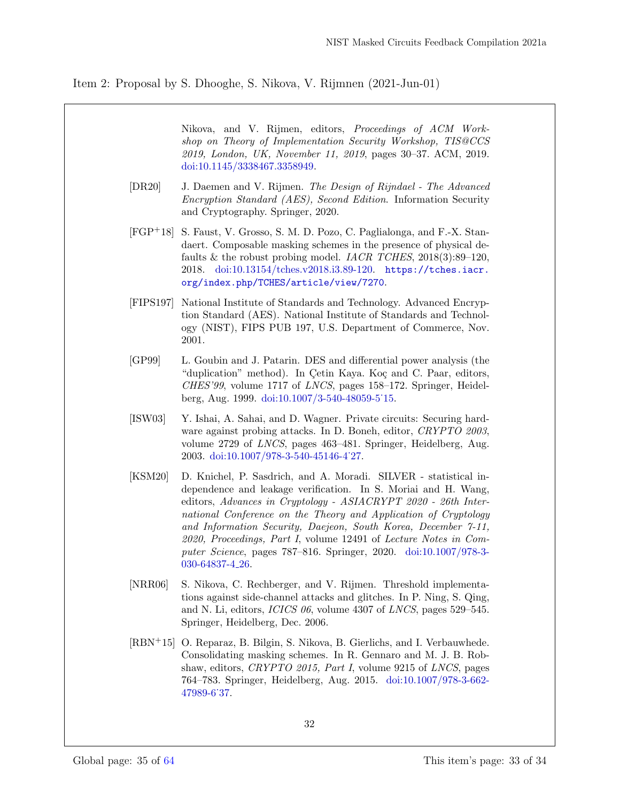Nikova, and V. Rijmen, editors, Proceedings of ACM Workshop on Theory of Implementation Security Workshop, TIS@CCS 2019, London, UK, November 11, 2019, pages 30–37. ACM, 2019. doi:10.1145/3338467.3358949.

- [DR20] J. Daemen and V. Rijmen. The Design of Rijndael The Advanced Encryption Standard (AES), Second Edition. Information Security and Cryptography. Springer, 2020.
- [FGP<sup>+</sup>18] S. Faust, V. Grosso, S. M. D. Pozo, C. Paglialonga, and F.-X. Standaert. Composable masking schemes in the presence of physical defaults & the robust probing model. IACR TCHES,  $2018(3):89-120$ , 2018. doi:10.13154/tches.v2018.i3.89-120. https://tches.iacr. org/index.php/TCHES/article/view/7270.
- [FIPS197] National Institute of Standards and Technology. Advanced Encryption Standard (AES). National Institute of Standards and Technology (NIST), FIPS PUB 197, U.S. Department of Commerce, Nov. 2001.
- [GP99] L. Goubin and J. Patarin. DES and differential power analysis (the "duplication" method). In Çetin Kaya. Koç and C. Paar, editors, CHES'99, volume 1717 of LNCS, pages 158–172. Springer, Heidelberg, Aug. 1999. doi:10.1007/3-540-48059-5˙15.
- [ISW03] Y. Ishai, A. Sahai, and D. Wagner. Private circuits: Securing hardware against probing attacks. In D. Boneh, editor, CRYPTO 2003, volume 2729 of LNCS, pages 463–481. Springer, Heidelberg, Aug. 2003. doi:10.1007/978-3-540-45146-4˙27.
- [KSM20] D. Knichel, P. Sasdrich, and A. Moradi. SILVER statistical independence and leakage verification. In S. Moriai and H. Wang, editors, Advances in Cryptology - ASIACRYPT 2020 - 26th International Conference on the Theory and Application of Cryptology and Information Security, Daejeon, South Korea, December 7-11, 2020, Proceedings, Part I, volume 12491 of Lecture Notes in Computer Science, pages 787–816. Springer, 2020. doi:10.1007/978-3- 030-64837-4 26.
- [NRR06] S. Nikova, C. Rechberger, and V. Rijmen. Threshold implementations against side-channel attacks and glitches. In P. Ning, S. Qing, and N. Li, editors, ICICS 06, volume 4307 of LNCS, pages 529–545. Springer, Heidelberg, Dec. 2006.
- [RBN<sup>+</sup>15] O. Reparaz, B. Bilgin, S. Nikova, B. Gierlichs, and I. Verbauwhede. Consolidating masking schemes. In R. Gennaro and M. J. B. Robshaw, editors, CRYPTO 2015, Part I, volume 9215 of LNCS, pages 764–783. Springer, Heidelberg, Aug. 2015. doi:10.1007/978-3-662- 47989-6˙37.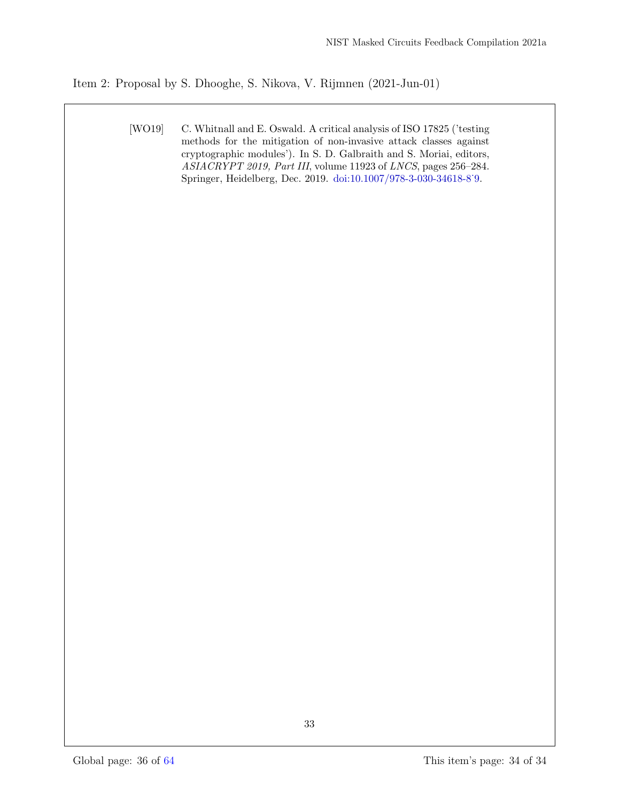[WO19] C. Whitnall and E. Oswald. A critical analysis of ISO 17825 ('testing methods for the mitigation of non-invasive attack classes against cryptographic modules'). In S. D. Galbraith and S. Moriai, editors, ASIACRYPT 2019, Part III, volume 11923 of LNCS, pages 256–284. Springer, Heidelberg, Dec. 2019. doi:10.1007/978-3-030-34618-8˙9.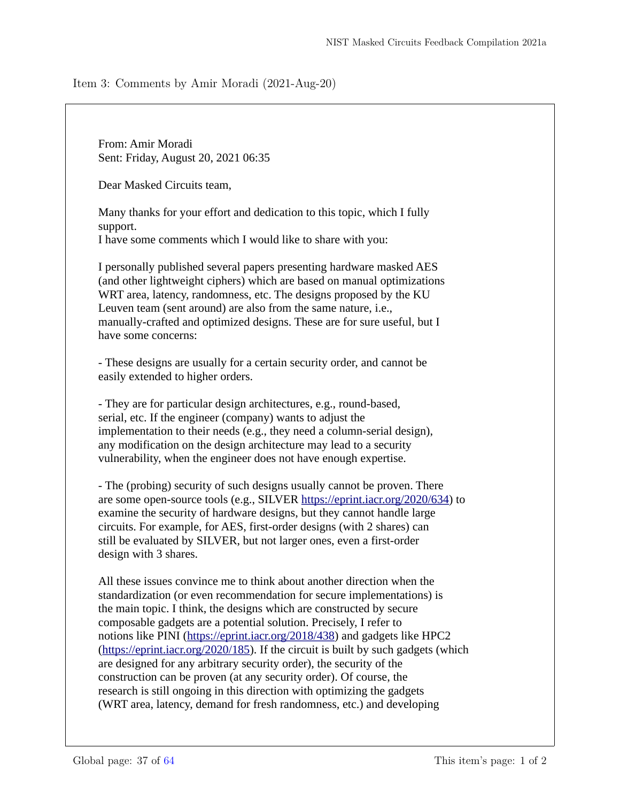## <span id="page-36-0"></span>Item 3: Comments by Amir Moradi (2021-Aug-20)

From: Amir Moradi Sent: Friday, August 20, 2021 06:35

Dear Masked Circuits team,

Many thanks for your effort and dedication to this topic, which I fully support.

I have some comments which I would like to share with you:

I personally published several papers presenting hardware masked AES (and other lightweight ciphers) which are based on manual optimizations WRT area, latency, randomness, etc. The designs proposed by the KU Leuven team (sent around) are also from the same nature, i.e., manually-crafted and optimized designs. These are for sure useful, but I have some concerns:

- These designs are usually for a certain security order, and cannot be easily extended to higher orders.

- They are for particular design architectures, e.g., round-based, serial, etc. If the engineer (company) wants to adjust the implementation to their needs (e.g., they need a column-serial design), any modification on the design architecture may lead to a security vulnerability, when the engineer does not have enough expertise.

- The (probing) security of such designs usually cannot be proven. There are some open-source tools (e.g., SILVER https://eprint.iacr.org/2020/634) to examine the security of hardware designs, but they cannot handle large circuits. For example, for AES, first-order designs (with 2 shares) can still be evaluated by SILVER, but not larger ones, even a first-order design with 3 shares.

All these issues convince me to think about another direction when the standardization (or even recommendation for secure implementations) is the main topic. I think, the designs which are constructed by secure composable gadgets are a potential solution. Precisely, I refer to notions like PINI (https://eprint.iacr.org/2018/438) and gadgets like HPC2 (https://eprint.iacr.org/2020/185). If the circuit is built by such gadgets (which are designed for any arbitrary security order), the security of the construction can be proven (at any security order). Of course, the research is still ongoing in this direction with optimizing the gadgets (WRT area, latency, demand for fresh randomness, etc.) and developing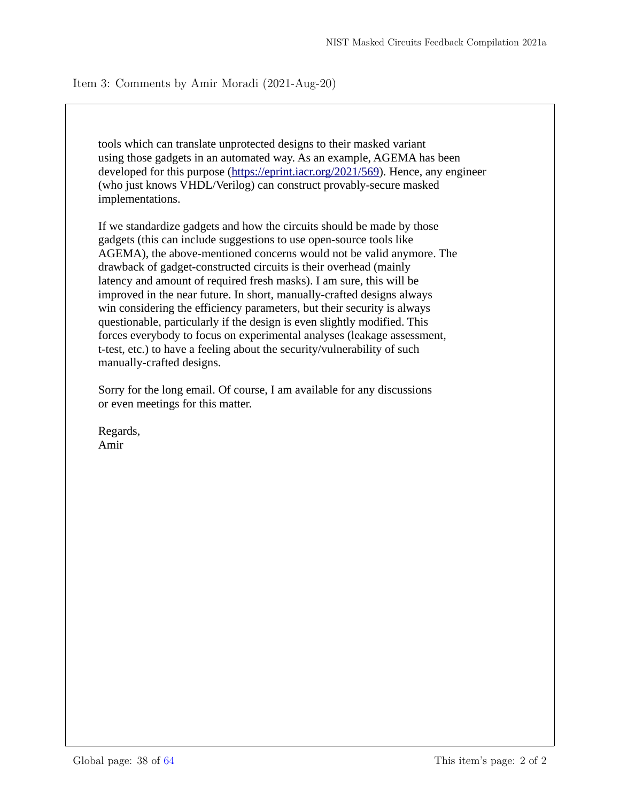Item 3: Comments by Amir Moradi (2021-Aug-20)

tools which can translate unprotected designs to their masked variant using those gadgets in an automated way. As an example, AGEMA has been developed for this purpose (https://eprint.iacr.org/2021/569). Hence, any engineer (who just knows VHDL/Verilog) can construct provably-secure masked implementations.

If we standardize gadgets and how the circuits should be made by those gadgets (this can include suggestions to use open-source tools like AGEMA), the above-mentioned concerns would not be valid anymore. The drawback of gadget-constructed circuits is their overhead (mainly latency and amount of required fresh masks). I am sure, this will be improved in the near future. In short, manually-crafted designs always win considering the efficiency parameters, but their security is always questionable, particularly if the design is even slightly modified. This forces everybody to focus on experimental analyses (leakage assessment, t-test, etc.) to have a feeling about the security/vulnerability of such manually-crafted designs.

Sorry for the long email. Of course, I am available for any discussions or even meetings for this matter.

Regards, Amir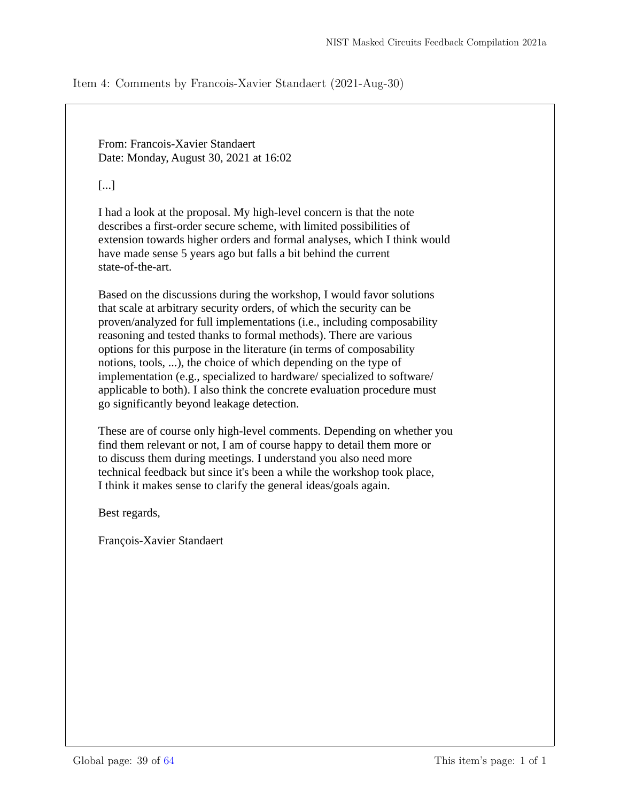<span id="page-38-0"></span>Item 4: Comments by Francois-Xavier Standaert (2021-Aug-30)

From: Francois-Xavier Standaert Date: Monday, August 30, 2021 at 16:02

[...]

I had a look at the proposal. My high-level concern is that the note describes a first-order secure scheme, with limited possibilities of extension towards higher orders and formal analyses, which I think would have made sense 5 years ago but falls a bit behind the current state-of-the-art.

Based on the discussions during the workshop, I would favor solutions that scale at arbitrary security orders, of which the security can be proven/analyzed for full implementations (i.e., including composability reasoning and tested thanks to formal methods). There are various options for this purpose in the literature (in terms of composability notions, tools, ...), the choice of which depending on the type of implementation (e.g., specialized to hardware/ specialized to software/ applicable to both). I also think the concrete evaluation procedure must go significantly beyond leakage detection.

These are of course only high-level comments. Depending on whether you find them relevant or not, I am of course happy to detail them more or to discuss them during meetings. I understand you also need more technical feedback but since it's been a while the workshop took place, I think it makes sense to clarify the general ideas/goals again.

Best regards,

François-Xavier Standaert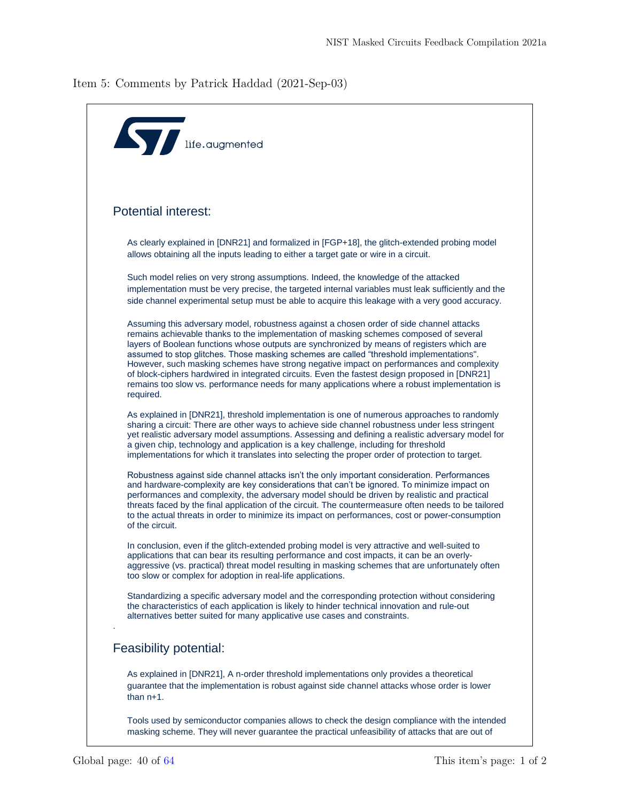<span id="page-39-0"></span>Item 5: Comments by Patrick Haddad (2021-Sep-03)

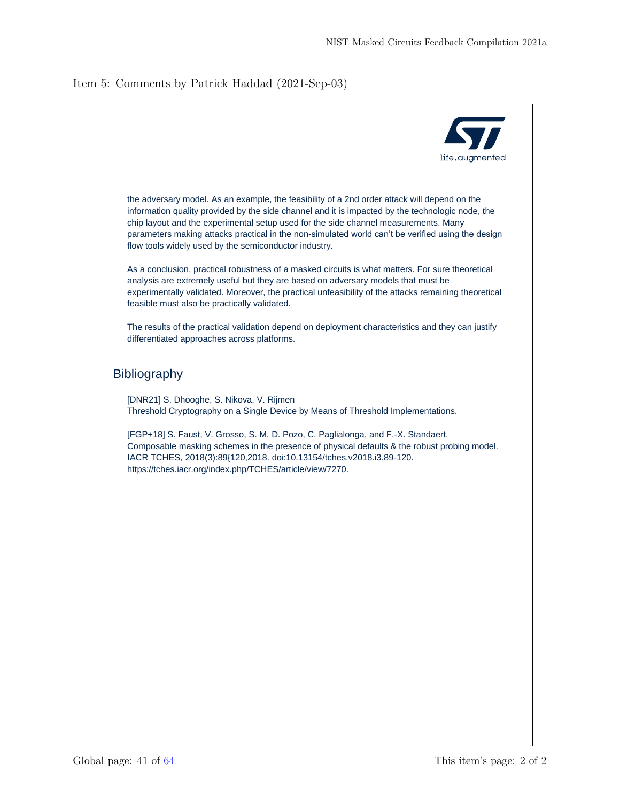## Item 5: Comments by Patrick Haddad (2021-Sep-03)

| <b>Kyr</b>                                                                                                                                                                                                                                                                                                                                                                                                                                            |
|-------------------------------------------------------------------------------------------------------------------------------------------------------------------------------------------------------------------------------------------------------------------------------------------------------------------------------------------------------------------------------------------------------------------------------------------------------|
| life.augmented                                                                                                                                                                                                                                                                                                                                                                                                                                        |
| the adversary model. As an example, the feasibility of a 2nd order attack will depend on the<br>information quality provided by the side channel and it is impacted by the technologic node, the<br>chip layout and the experimental setup used for the side channel measurements. Many<br>parameters making attacks practical in the non-simulated world can't be verified using the design<br>flow tools widely used by the semiconductor industry. |
| As a conclusion, practical robustness of a masked circuits is what matters. For sure theoretical<br>analysis are extremely useful but they are based on adversary models that must be<br>experimentally validated. Moreover, the practical unfeasibility of the attacks remaining theoretical<br>feasible must also be practically validated.                                                                                                         |
| The results of the practical validation depend on deployment characteristics and they can justify<br>differentiated approaches across platforms.                                                                                                                                                                                                                                                                                                      |
| <b>Bibliography</b>                                                                                                                                                                                                                                                                                                                                                                                                                                   |
| [DNR21] S. Dhooghe, S. Nikova, V. Rijmen<br>Threshold Cryptography on a Single Device by Means of Threshold Implementations.                                                                                                                                                                                                                                                                                                                          |
| [FGP+18] S. Faust, V. Grosso, S. M. D. Pozo, C. Paglialonga, and F.-X. Standaert.<br>Composable masking schemes in the presence of physical defaults & the robust probing model.<br>IACR TCHES, 2018(3):89{120,2018. doi:10.13154/tches.v2018.i3.89-120.<br>https://tches.iacr.org/index.php/TCHES/article/view/7270.                                                                                                                                 |
|                                                                                                                                                                                                                                                                                                                                                                                                                                                       |
|                                                                                                                                                                                                                                                                                                                                                                                                                                                       |
|                                                                                                                                                                                                                                                                                                                                                                                                                                                       |
|                                                                                                                                                                                                                                                                                                                                                                                                                                                       |
|                                                                                                                                                                                                                                                                                                                                                                                                                                                       |
|                                                                                                                                                                                                                                                                                                                                                                                                                                                       |
|                                                                                                                                                                                                                                                                                                                                                                                                                                                       |
|                                                                                                                                                                                                                                                                                                                                                                                                                                                       |
|                                                                                                                                                                                                                                                                                                                                                                                                                                                       |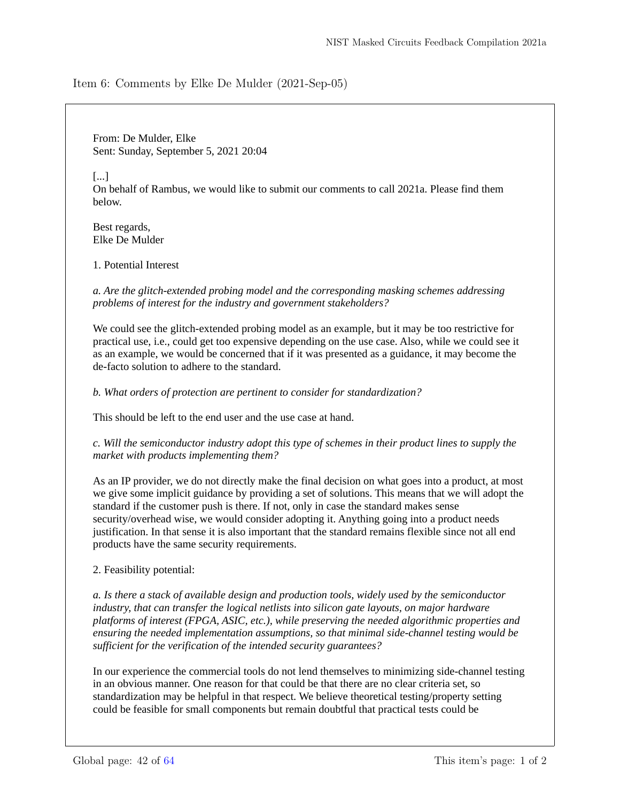<span id="page-41-0"></span>Item 6: Comments by Elke De Mulder (2021-Sep-05)

From: De Mulder, Elke Sent: Sunday, September 5, 2021 20:04

[...]

On behalf of Rambus, we would like to submit our comments to call 2021a. Please find them below.

Best regards, Elke De Mulder

1. Potential Interest

*a. Are the glitch-extended probing model and the corresponding masking schemes addressing problems of interest for the industry and government stakeholders?*

We could see the glitch-extended probing model as an example, but it may be too restrictive for practical use, i.e., could get too expensive depending on the use case. Also, while we could see it as an example, we would be concerned that if it was presented as a guidance, it may become the de-facto solution to adhere to the standard.

*b. What orders of protection are pertinent to consider for standardization?*

This should be left to the end user and the use case at hand.

*c. Will the semiconductor industry adopt this type of schemes in their product lines to supply the market with products implementing them?*

As an IP provider, we do not directly make the final decision on what goes into a product, at most we give some implicit guidance by providing a set of solutions. This means that we will adopt the standard if the customer push is there. If not, only in case the standard makes sense security/overhead wise, we would consider adopting it. Anything going into a product needs justification. In that sense it is also important that the standard remains flexible since not all end products have the same security requirements.

2. Feasibility potential:

*a. Is there a stack of available design and production tools, widely used by the semiconductor industry, that can transfer the logical netlists into silicon gate layouts, on major hardware platforms of interest (FPGA, ASIC, etc.), while preserving the needed algorithmic properties and ensuring the needed implementation assumptions, so that minimal side-channel testing would be sufficient for the verification of the intended security guarantees?*

In our experience the commercial tools do not lend themselves to minimizing side-channel testing in an obvious manner. One reason for that could be that there are no clear criteria set, so standardization may be helpful in that respect. We believe theoretical testing/property setting could be feasible for small components but remain doubtful that practical tests could be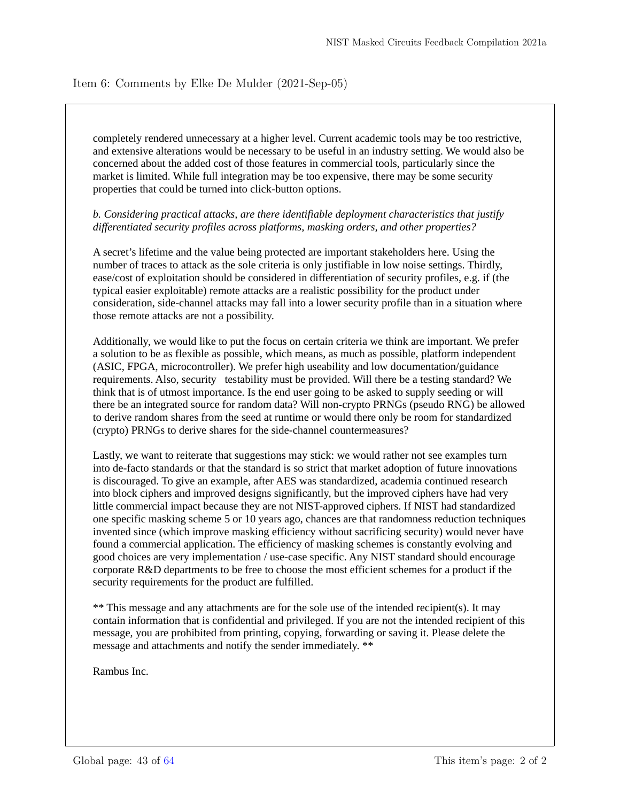## Item 6: Comments by Elke De Mulder (2021-Sep-05)

completely rendered unnecessary at a higher level. Current academic tools may be too restrictive, and extensive alterations would be necessary to be useful in an industry setting. We would also be concerned about the added cost of those features in commercial tools, particularly since the market is limited. While full integration may be too expensive, there may be some security properties that could be turned into click-button options.

## *b. Considering practical attacks, are there identifiable deployment characteristics that justify differentiated security profiles across platforms, masking orders, and other properties?*

A secret's lifetime and the value being protected are important stakeholders here. Using the number of traces to attack as the sole criteria is only justifiable in low noise settings. Thirdly, ease/cost of exploitation should be considered in differentiation of security profiles, e.g. if (the typical easier exploitable) remote attacks are a realistic possibility for the product under consideration, side-channel attacks may fall into a lower security profile than in a situation where those remote attacks are not a possibility.

Additionally, we would like to put the focus on certain criteria we think are important. We prefer a solution to be as flexible as possible, which means, as much as possible, platform independent (ASIC, FPGA, microcontroller). We prefer high useability and low documentation/guidance requirements. Also, security testability must be provided. Will there be a testing standard? We think that is of utmost importance. Is the end user going to be asked to supply seeding or will there be an integrated source for random data? Will non-crypto PRNGs (pseudo RNG) be allowed to derive random shares from the seed at runtime or would there only be room for standardized (crypto) PRNGs to derive shares for the side-channel countermeasures?

Lastly, we want to reiterate that suggestions may stick: we would rather not see examples turn into de-facto standards or that the standard is so strict that market adoption of future innovations is discouraged. To give an example, after AES was standardized, academia continued research into block ciphers and improved designs significantly, but the improved ciphers have had very little commercial impact because they are not NIST-approved ciphers. If NIST had standardized one specific masking scheme 5 or 10 years ago, chances are that randomness reduction techniques invented since (which improve masking efficiency without sacrificing security) would never have found a commercial application. The efficiency of masking schemes is constantly evolving and good choices are very implementation / use-case specific. Any NIST standard should encourage corporate R&D departments to be free to choose the most efficient schemes for a product if the security requirements for the product are fulfilled.

\*\* This message and any attachments are for the sole use of the intended recipient(s). It may contain information that is confidential and privileged. If you are not the intended recipient of this message, you are prohibited from printing, copying, forwarding or saving it. Please delete the message and attachments and notify the sender immediately. \*\*

Rambus Inc.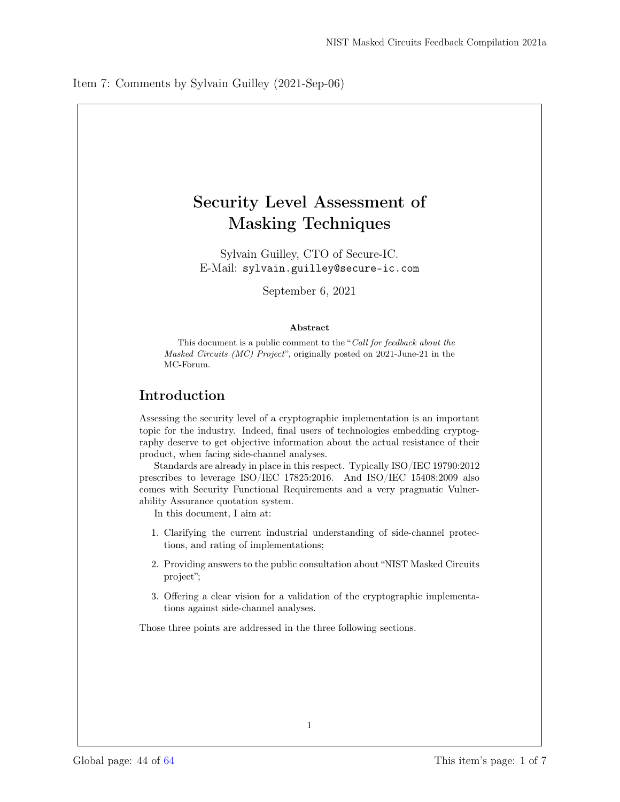## <span id="page-43-0"></span>Security Level Assessment of Masking Techniques

Sylvain Guilley, CTO of Secure-IC. E-Mail: sylvain.guilley@secure-ic.com

September 6, 2021

#### Abstract

This document is a public comment to the "Call for feedback about the Masked Circuits (MC) Project", originally posted on 2021-June-21 in the MC-Forum.

## Introduction

Assessing the security level of a cryptographic implementation is an important topic for the industry. Indeed, final users of technologies embedding cryptography deserve to get objective information about the actual resistance of their product, when facing side-channel analyses.

Standards are already in place in this respect. Typically ISO/IEC 19790:2012 prescribes to leverage ISO/IEC 17825:2016. And ISO/IEC 15408:2009 also comes with Security Functional Requirements and a very pragmatic Vulnerability Assurance quotation system.

In this document, I aim at:

- 1. Clarifying the current industrial understanding of side-channel protections, and rating of implementations;
- 2. Providing answers to the public consultation about "NIST Masked Circuits project";
- 3. Offering a clear vision for a validation of the cryptographic implementations against side-channel analyses.

Those three points are addressed in the three following sections.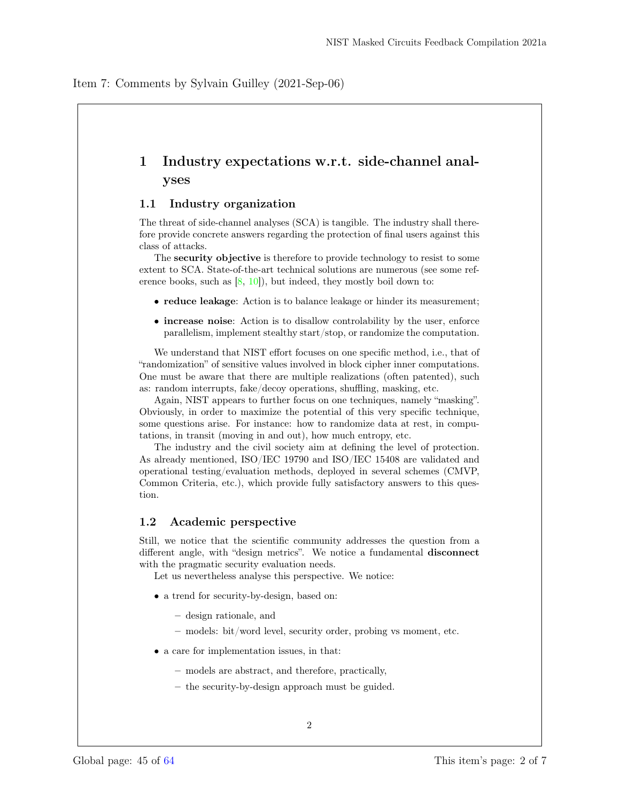## 1 Industry expectations w.r.t. side-channel analyses

#### 1.1 Industry organization

The threat of side-channel analyses (SCA) is tangible. The industry shall therefore provide concrete answers regarding the protection of final users against this class of attacks.

The security objective is therefore to provide technology to resist to some extent to SCA. State-of-the-art technical solutions are numerous (see some reference books, such as  $[8, 10]$ , but indeed, they mostly boil down to:

- reduce leakage: Action is to balance leakage or hinder its measurement;
- increase noise: Action is to disallow controlability by the user, enforce parallelism, implement stealthy start/stop, or randomize the computation.

We understand that NIST effort focuses on one specific method, i.e., that of "randomization" of sensitive values involved in block cipher inner computations. One must be aware that there are multiple realizations (often patented), such as: random interrupts, fake/decoy operations, shuffling, masking, etc.

Again, NIST appears to further focus on one techniques, namely "masking". Obviously, in order to maximize the potential of this very specific technique, some questions arise. For instance: how to randomize data at rest, in computations, in transit (moving in and out), how much entropy, etc.

The industry and the civil society aim at defining the level of protection. As already mentioned, ISO/IEC 19790 and ISO/IEC 15408 are validated and operational testing/evaluation methods, deployed in several schemes (CMVP, Common Criteria, etc.), which provide fully satisfactory answers to this question.

### 1.2 Academic perspective

Still, we notice that the scientific community addresses the question from a different angle, with "design metrics". We notice a fundamental disconnect with the pragmatic security evaluation needs.

Let us nevertheless analyse this perspective. We notice:

- a trend for security-by-design, based on:
	- design rationale, and
	- models: bit/word level, security order, probing vs moment, etc.
- a care for implementation issues, in that:
	- models are abstract, and therefore, practically,
	- the security-by-design approach must be guided.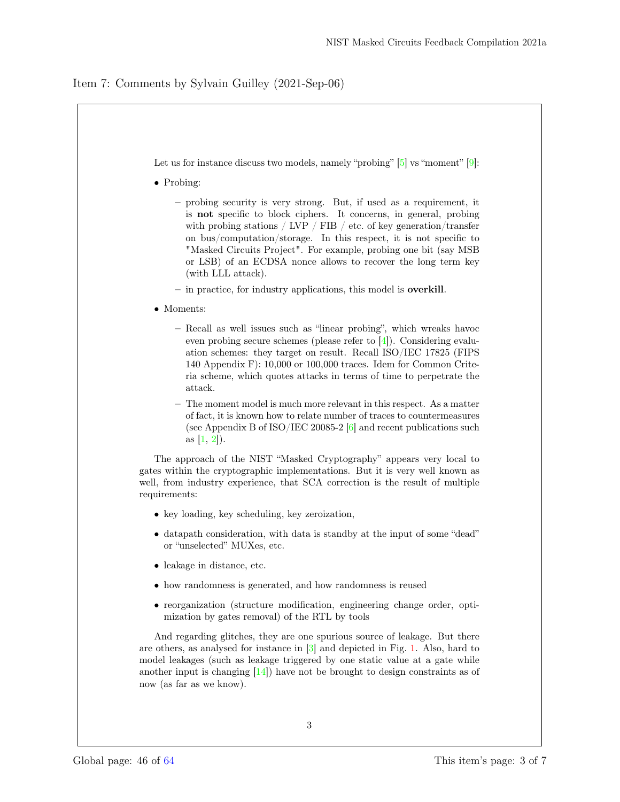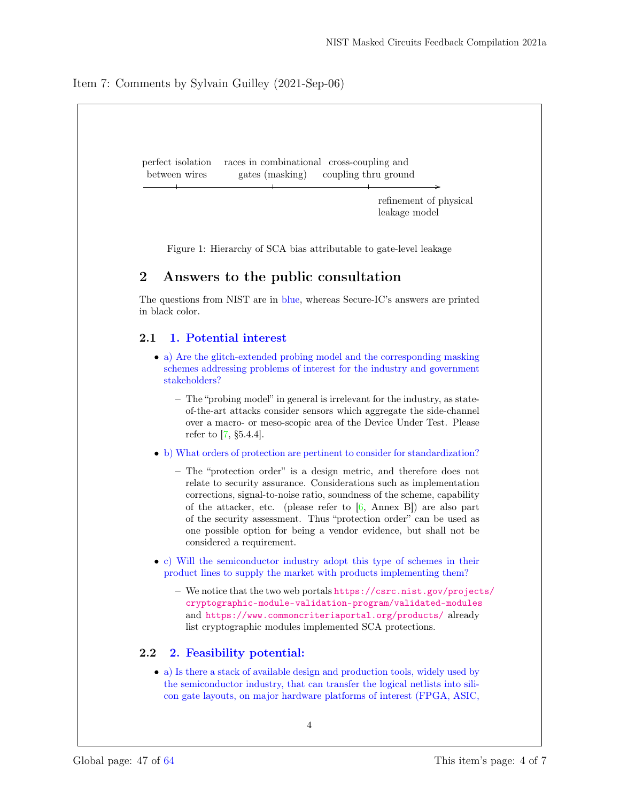

• a) Is there a stack of available design and production tools, widely used by the semiconductor industry, that can transfer the logical netlists into silicon gate layouts, on major hardware platforms of interest (FPGA, ASIC,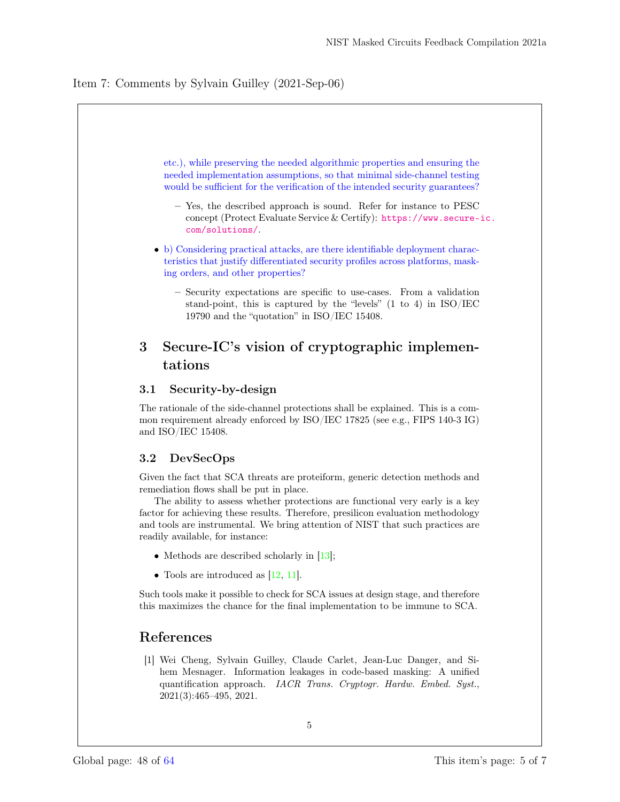

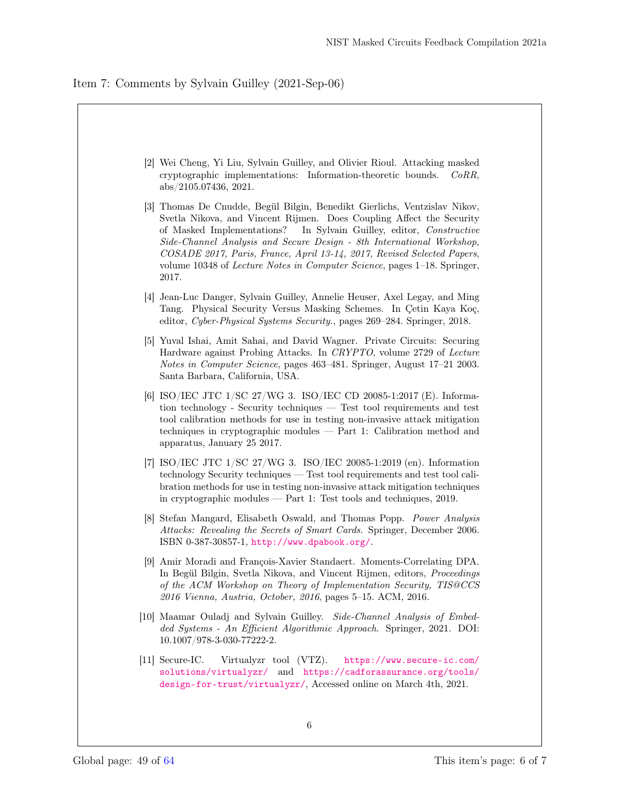

| [2] Wei Cheng, Yi Liu, Sylvain Guilley, and Olivier Rioul. Attacking masked<br>cryptographic implementations: Information-theoretic bounds.<br>CoRR,<br>abs/2105.07436, 2021.                                                                                                                                                                                                                                                                                                       |
|-------------------------------------------------------------------------------------------------------------------------------------------------------------------------------------------------------------------------------------------------------------------------------------------------------------------------------------------------------------------------------------------------------------------------------------------------------------------------------------|
| [3] Thomas De Cnudde, Begül Bilgin, Benedikt Gierlichs, Ventzislav Nikov,<br>Svetla Nikova, and Vincent Rijmen. Does Coupling Affect the Security<br>of Masked Implementations?<br>In Sylvain Guilley, editor, <i>Constructive</i><br>Side-Channel Analysis and Secure Design - 8th International Workshop,<br>COSADE 2017, Paris, France, April 13-14, 2017, Revised Selected Papers,<br>volume 10348 of <i>Lecture Notes in Computer Science</i> , pages 1–18. Springer,<br>2017. |
| [4] Jean-Luc Danger, Sylvain Guilley, Annelie Heuser, Axel Legay, and Ming<br>Tang. Physical Security Versus Masking Schemes. In Çetin Kaya Koç,<br>editor, Cyber-Physical Systems Security., pages 269–284. Springer, 2018.                                                                                                                                                                                                                                                        |
| [5] Yuval Ishai, Amit Sahai, and David Wagner. Private Circuits: Securing<br>Hardware against Probing Attacks. In CRYPTO, volume 2729 of Lecture<br><i>Notes in Computer Science</i> , pages 463–481. Springer, August 17–21 2003.<br>Santa Barbara, California, USA.                                                                                                                                                                                                               |
| [6] ISO/IEC JTC 1/SC 27/WG 3. ISO/IEC CD 20085-1:2017 (E). Informa-<br>$\tau$ tion technology - Security techniques $\tau$ Test tool requirements and test<br>tool calibration methods for use in testing non-invasive attack mitigation<br>techniques in cryptographic modules $-$ Part 1: Calibration method and<br>apparatus, January 25 2017.                                                                                                                                   |
| [7] ISO/IEC JTC $1/SC$ 27/WG 3. ISO/IEC 20085-1:2019 (en). Information<br>technology Security techniques — Test tool requirements and test tool cali-<br>bration methods for use in testing non-invasive attack mitigation techniques<br>in cryptographic modules $-$ Part 1: Test tools and techniques, 2019.                                                                                                                                                                      |
| 8 Stefan Mangard, Elisabeth Oswald, and Thomas Popp. Power Analysis<br>Attacks: Revealing the Secrets of Smart Cards. Springer, December 2006.<br>ISBN 0-387-30857-1, $http://www.dpabook.org/$ .                                                                                                                                                                                                                                                                                   |
| [9] Amir Moradi and François-Xavier Standaert. Moments-Correlating DPA.<br>In Begül Bilgin, Svetla Nikova, and Vincent Rijmen, editors, Proceedings<br>of the ACM Workshop on Theory of Implementation Security, TIS@CCS<br>2016 Vienna, Austria, October, 2016, pages 5–15. ACM, 2016.                                                                                                                                                                                             |
| [10] Maamar Ouladj and Sylvain Guilley. Side-Channel Analysis of Embed-<br>ded Systems - An Efficient Algorithmic Approach. Springer, 2021. DOI:<br>10.1007/978-3-030-77222-2.                                                                                                                                                                                                                                                                                                      |
| $ 11 $ Secure-IC.<br>Virtualyzr tool (VTZ). https://www.secure-ic.com/<br>solutions/virtualyzr/ and https://cadforassurance.org/tools/<br>design-for-trust/virtualyzr/, Accessed online on March 4th, 2021.                                                                                                                                                                                                                                                                         |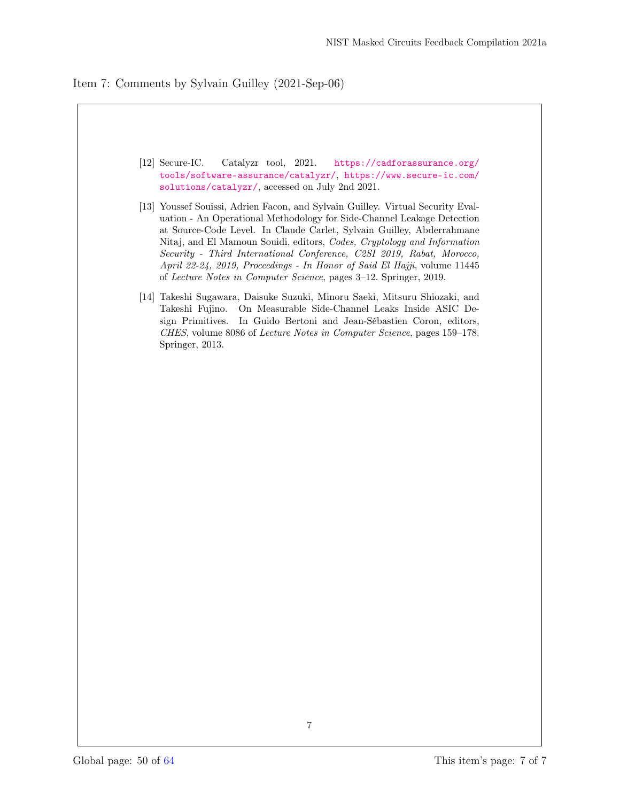

- [12] Secure-IC. Catalyzr tool, 2021. https://cadforassurance.org/ tools/software-assurance/catalyzr/, https://www.secure-ic.com/ solutions/catalyzr/, accessed on July 2nd 2021.
- [13] Youssef Souissi, Adrien Facon, and Sylvain Guilley. Virtual Security Evaluation - An Operational Methodology for Side-Channel Leakage Detection at Source-Code Level. In Claude Carlet, Sylvain Guilley, Abderrahmane Nitaj, and El Mamoun Souidi, editors, Codes, Cryptology and Information Security - Third International Conference, C2SI 2019, Rabat, Morocco, April 22-24, 2019, Proceedings - In Honor of Said El Hajji, volume 11445 of Lecture Notes in Computer Science, pages 3–12. Springer, 2019.
- [14] Takeshi Sugawara, Daisuke Suzuki, Minoru Saeki, Mitsuru Shiozaki, and Takeshi Fujino. On Measurable Side-Channel Leaks Inside ASIC Design Primitives. In Guido Bertoni and Jean-Sébastien Coron, editors, CHES, volume 8086 of Lecture Notes in Computer Science, pages 159–178. Springer, 2013.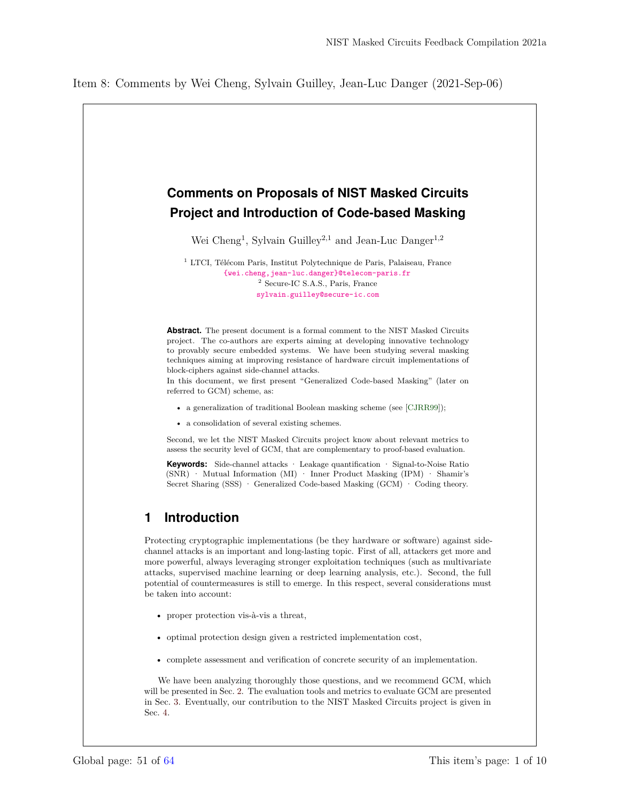## <span id="page-50-0"></span>**Comments on Proposals of NIST Masked Circuits Project and Introduction of Code-based Masking**

Wei Cheng<sup>1</sup>, Sylvain Guilley<sup>2,1</sup> and Jean-Luc Danger<sup>1,2</sup>

<sup>1</sup> LTCI, Télécom Paris, Institut Polytechnique de Paris, Palaiseau, France {wei.cheng,jean-luc.danger}@telecom-paris.fr <sup>2</sup> Secure-IC S.A.S., Paris, France sylvain.guilley@secure-ic.com

**Abstract.** The present document is a formal comment to the NIST Masked Circuits project. The co-authors are experts aiming at developing innovative technology to provably secure embedded systems. We have been studying several masking techniques aiming at improving resistance of hardware circuit implementations of block-ciphers against side-channel attacks.

In this document, we first present "Generalized Code-based Masking" (later on referred to GCM) scheme, as:

- a generalization of traditional Boolean masking scheme (see [CJRR99]);
- a consolidation of several existing schemes.

Second, we let the NIST Masked Circuits project know about relevant metrics to assess the security level of GCM, that are complementary to proof-based evaluation.

**Keywords:** Side-channel attacks · Leakage quantification · Signal-to-Noise Ratio (SNR)  $\cdot$  Mutual Information (MI)  $\cdot$  Inner Product Masking (IPM)  $\cdot$  Shamir's Secret Sharing (SSS) · Generalized Code-based Masking (GCM) · Coding theory.

## **1 Introduction**

Protecting cryptographic implementations (be they hardware or software) against sidechannel attacks is an important and long-lasting topic. First of all, attackers get more and more powerful, always leveraging stronger exploitation techniques (such as multivariate attacks, supervised machine learning or deep learning analysis, etc.). Second, the full potential of countermeasures is still to emerge. In this respect, several considerations must be taken into account:

- proper protection vis-à-vis a threat,
- optimal protection design given a restricted implementation cost,
- complete assessment and verification of concrete security of an implementation.

We have been analyzing thoroughly those questions, and we recommend GCM, which will be presented in Sec. 2. The evaluation tools and metrics to evaluate GCM are presented in Sec. 3. Eventually, our contribution to the NIST Masked Circuits project is given in Sec. 4.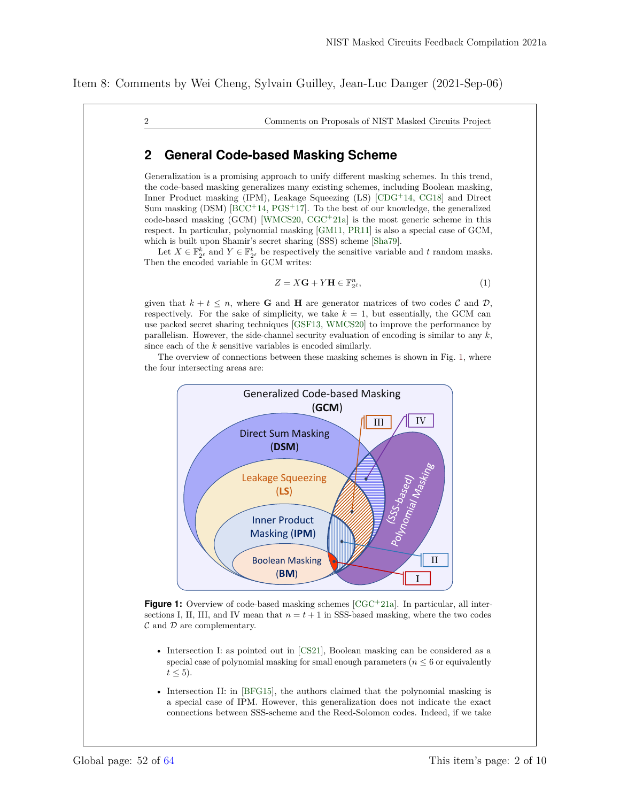2 Comments on Proposals of NIST Masked Circuits Project

## **2 General Code-based Masking Scheme**

Generalization is a promising approach to unify different masking schemes. In this trend, the code-based masking generalizes many existing schemes, including Boolean masking, Inner Product masking (IPM), Leakage Squeezing (LS) [CDG<sup>+</sup>14, CG18] and Direct Sum masking  $(DSM)$   $[BCC<sup>+</sup>14, PGS<sup>+</sup>17]$ . To the best of our knowledge, the generalized  $code-based masking (GCM) [WMCS20, CGC<sup>+</sup>21a]$  is the most generic scheme in this respect. In particular, polynomial masking [GM11, PR11] is also a special case of GCM, which is built upon Shamir's secret sharing (SSS) scheme [Sha79].

Let  $X \in \mathbb{F}_{2^\ell}^k$  and  $Y \in \mathbb{F}_{2^\ell}^t$  be respectively the sensitive variable and  $t$  random masks. Then the encoded variable in GCM writes:

$$
Z = X\mathbf{G} + Y\mathbf{H} \in \mathbb{F}_{2^{\ell}}^{n},\tag{1}
$$

given that  $k + t \leq n$ , where **G** and **H** are generator matrices of two codes C and D, respectively. For the sake of simplicity, we take  $k = 1$ , but essentially, the GCM can use packed secret sharing techniques [GSF13, WMCS20] to improve the performance by parallelism. However, the side-channel security evaluation of encoding is similar to any *k*, since each of the *k* sensitive variables is encoded similarly.

The overview of connections between these masking schemes is shown in Fig. 1, where the four intersecting areas are:



**Figure 1:** Overview of code-based masking schemes [CGC+21a]. In particular, all intersections I, II, III, and IV mean that  $n = t + 1$  in SSS-based masking, where the two codes  $\mathcal C$  and  $\mathcal D$  are complementary.

- Intersection I: as pointed out in [CS21], Boolean masking can be considered as a special case of polynomial masking for small enough parameters ( $n \leq 6$  or equivalently  $t \leq 5$ ).
- Intersection II: in [BFG15], the authors claimed that the polynomial masking is a special case of IPM. However, this generalization does not indicate the exact connections between SSS-scheme and the Reed-Solomon codes. Indeed, if we take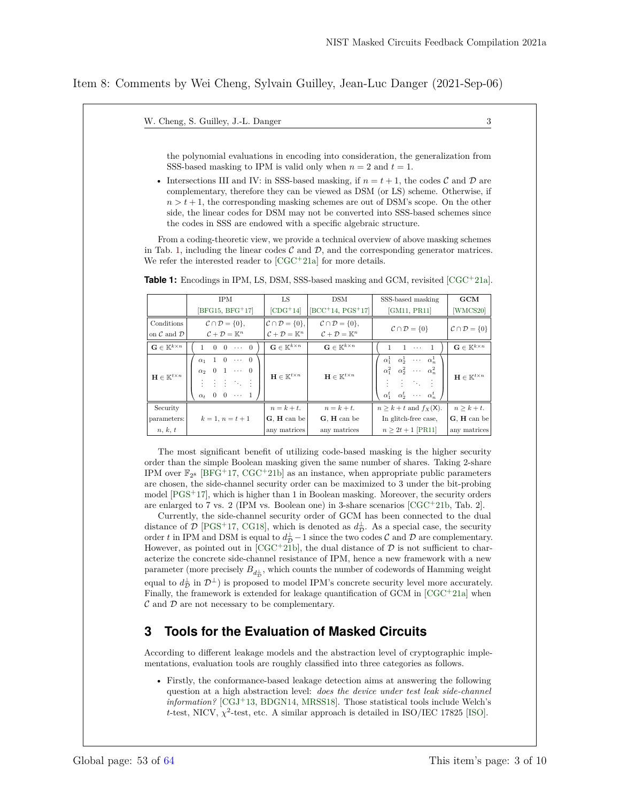W. Cheng, S. Guilley, J.-L. Danger 3

the polynomial evaluations in encoding into consideration, the generalization from SSS-based masking to IPM is valid only when  $n = 2$  and  $t = 1$ .

• Intersections III and IV: in SSS-based masking, if  $n = t + 1$ , the codes C and D are complementary, therefore they can be viewed as DSM (or LS) scheme. Otherwise, if  $n > t + 1$ , the corresponding masking schemes are out of DSM's scope. On the other side, the linear codes for DSM may not be converted into SSS-based schemes since the codes in SSS are endowed with a specific algebraic structure.

From a coding-theoretic view, we provide a technical overview of above masking schemes in Tab. 1, including the linear codes  $\mathcal C$  and  $\mathcal D$ , and the corresponding generator matrices. We refer the interested reader to  $[CGC^+21a]$  for more details.

|                                          | LS.<br><b>IPM</b><br><b>DSM</b>                                                              |                                            |                                            | SSS-based masking                                                                                                                                                                 | $_{\rm GCM}$                             |
|------------------------------------------|----------------------------------------------------------------------------------------------|--------------------------------------------|--------------------------------------------|-----------------------------------------------------------------------------------------------------------------------------------------------------------------------------------|------------------------------------------|
|                                          | $[BFG15, BFG+17]$                                                                            | $[CDG+14]$                                 | $[BCC+14, PGS+17]$                         | [GM11, PR11]                                                                                                                                                                      | [WMCS20]                                 |
| Conditions                               | $\mathcal{C} \cap \mathcal{D} = \{0\},\$                                                     | $\mathcal{C} \cap \mathcal{D} = \{0\},$    | $\mathcal{C} \cap \mathcal{D} = \{0\},\$   |                                                                                                                                                                                   |                                          |
| on $\mathcal C$ and $\mathcal D$         | $\mathcal{C} + \mathcal{D} = \mathbb{K}^n$                                                   | $\mathcal{C} + \mathcal{D} = \mathbb{K}^n$ | $\mathcal{C} + \mathcal{D} = \mathbb{K}^n$ | $C \cap \mathcal{D} = \{0\}$                                                                                                                                                      | $C \cap \mathcal{D} = \{0\}$             |
| $\mathbf{G} \in \mathbb{K}^{k \times n}$ | $1 \quad 0 \quad 0 \quad \cdots \quad 0$                                                     | $\mathbf{G} \in \mathbb{K}^{k \times n}$   | $\mathbf{G} \in \mathbb{K}^{k \times n}$   | $1 \quad 1 \quad \cdots \quad 1$                                                                                                                                                  | $\mathbf{G} \in \mathbb{K}^{k \times n}$ |
| $\mathbf{H} \in \mathbb{K}^{t \times n}$ | $\alpha_1$ 1 0 $\cdots$ 0<br>$\alpha_2$ 0 1 $\cdots$ 0<br>主主主义主<br>$\alpha_t$ 0 0 $\cdots$ 1 | $\mathbf{H} \in \mathbb{K}^{t \times n}$   | $\mathbf{H} \in \mathbb{K}^{t \times n}$   | $\alpha_1^1 \quad \alpha_2^1 \quad \cdots \quad \alpha_n^1$<br>$\alpha_1^2$ – $\alpha_2^2$ – $\cdots$ – $\alpha_n^2$<br>主任人的主任<br>$\alpha_1^t$ $\alpha_2^t$ $\cdots$ $\alpha_n^t$ | $\mathbf{H} \in \mathbb{K}^{t \times n}$ |
| Security                                 |                                                                                              | $n = k + t$ .                              | $n = k + t.$                               | $n \geq k + t$ and $f_X(\mathsf{X})$ .                                                                                                                                            | $n > k + t$ .                            |
| parameters:                              | $k = 1, n = t + 1$                                                                           | G, H can be                                | G. H can be                                | In glitch-free case,                                                                                                                                                              | G. H can be                              |
| n, k, t                                  |                                                                                              | any matrices                               | any matrices                               | $n \geq 2t + 1$ [PR11]                                                                                                                                                            | any matrices                             |

**Table 1:** Encodings in IPM, LS, DSM, SSS-based masking and GCM, revisited [CGC<sup>+</sup>21a].

The most significant benefit of utilizing code-based masking is the higher security order than the simple Boolean masking given the same number of shares. Taking 2-share IPM over  $\mathbb{F}_{2^8}$  [BFG<sup>+</sup>17, CGC<sup>+</sup>21b] as an instance, when appropriate public parameters are chosen, the side-channel security order can be maximized to 3 under the bit-probing model [PGS<sup>+</sup>17], which is higher than 1 in Boolean masking. Moreover, the security orders are enlarged to 7 vs. 2 (IPM vs. Boolean one) in 3-share scenarios  $[\text{CGC}^+21b, \text{Tab. }2].$ 

Currently, the side-channel security order of GCM has been connected to the dual distance of  $\mathcal{D}$  [PGS<sup>+</sup>17, CG18], which is denoted as  $d_{\mathcal{D}}^{\perp}$ . As a special case, the security order *t* in IPM and DSM is equal to  $d_{\mathcal{D}}^{\perp} - 1$  since the two codes  $\mathcal{C}$  and  $\mathcal{D}$  are complementary. However, as pointed out in  $[CGC^+21b]$ , the dual distance of  $D$  is not sufficient to characterize the concrete side-channel resistance of IPM, hence a new framework with a new parameter (more precisely  $B_{d_{\mathcal D}^\perp}$ , which counts the number of codewords of Hamming weight equal to  $d_{\mathcal{D}}^{\perp}$  in  $\mathcal{D}^{\perp}$ ) is proposed to model IPM's concrete security level more accurately. Finally, the framework is extended for leakage quantification of  $GCM$  in  $[CGC+21a]$  when  $\mathcal C$  and  $\mathcal D$  are not necessary to be complementary.

## **3 Tools for the Evaluation of Masked Circuits**

According to different leakage models and the abstraction level of cryptographic implementations, evaluation tools are roughly classified into three categories as follows.

• Firstly, the conformance-based leakage detection aims at answering the following question at a high abstraction level: *does the device under test leak side-channel information?* [CGJ<sup>+</sup>13, BDGN14, MRSS18]. Those statistical tools include Welch's  $t$ -test, NICV,  $\chi^2$ -test, etc. A similar approach is detailed in ISO/IEC 17825 [ISO].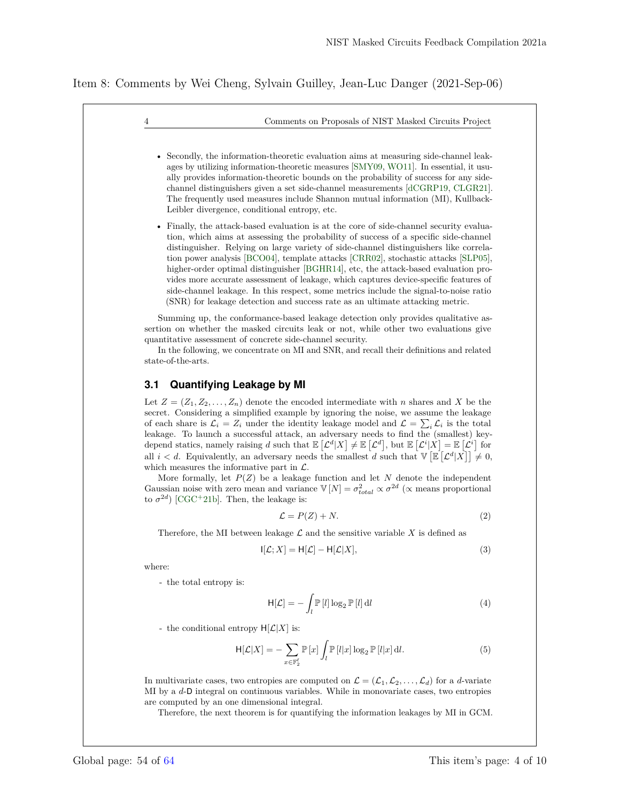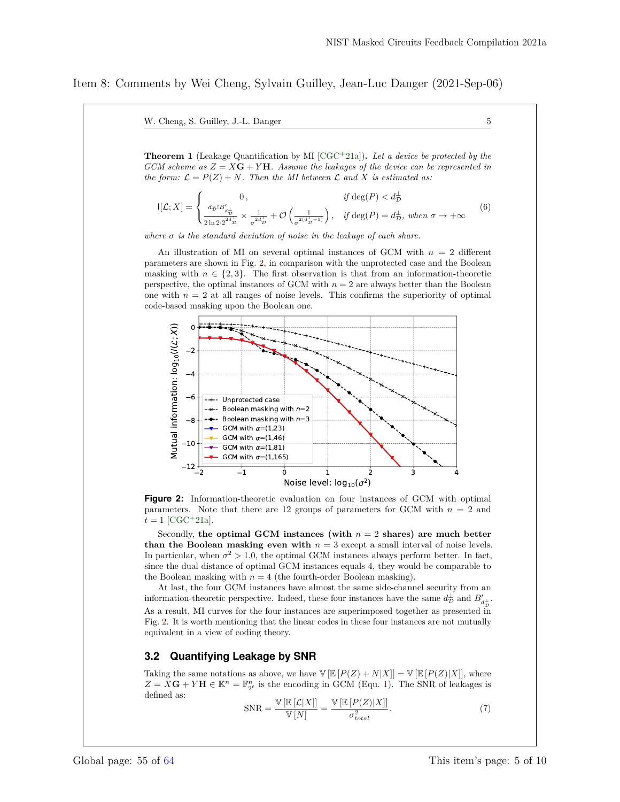W. Cheng, S. Guilley, J.-L. Danger 5

**Theorem 1** (Leakage Quantification by MI [CGC+21a])**.** *Let a device be protected by the GCM scheme as*  $Z = XG + YH$ *. Assume the leakages of the device can be represented in the form:*  $\mathcal{L} = P(Z) + N$ *. Then the MI between*  $\mathcal{L}$  *and*  $X$  *is estimated as:* 

$$
\mathsf{I}[\mathcal{L}; X] = \begin{cases} 0, & \text{if } \deg(P) < d_{\mathcal{D}}^{\perp} \\ \frac{d_{\mathcal{D}}^{\perp}! B_{d_{\mathcal{D}}^{\perp}}}{2 \ln 2 \cdot 2^{2d_{\mathcal{D}}^{\perp}}} \times \frac{1}{\sigma^{2d_{\mathcal{D}}^{\perp}}} + \mathcal{O}\left(\frac{1}{\sigma^{2(d_{\mathcal{D}}^{\perp}+1)}}\right), & \text{if } \deg(P) = d_{\mathcal{D}}^{\perp}, \text{ when } \sigma \to +\infty \end{cases} \tag{6}
$$

*where*  $\sigma$  *is the standard deviation of noise in the leakage of each share.* 

An illustration of MI on several optimal instances of GCM with *n* = 2 different parameters are shown in Fig. 2, in comparison with the unprotected case and the Boolean masking with  $n \in \{2,3\}$ . The first observation is that from an information-theoretic perspective, the optimal instances of GCM with  $n = 2$  are always better than the Boolean one with  $n = 2$  at all ranges of noise levels. This confirms the superiority of optimal code-based masking upon the Boolean one.



**Figure 2:** Information-theoretic evaluation on four instances of GCM with optimal parameters. Note that there are 12 groups of parameters for GCM with *n* = 2 and  $t = 1$  [CGC<sup>+</sup>21a].

Secondly, the optimal GCM instances (with  $n = 2$  shares) are much better **than the Boolean masking even with**  $n = 3$  except a small interval of noise levels. In particular, when  $\sigma^2 > 1.0$ , the optimal GCM instances always perform better. In fact, since the dual distance of optimal GCM instances equals 4, they would be comparable to the Boolean masking with  $n = 4$  (the fourth-order Boolean masking).

At last, the four GCM instances have almost the same side-channel security from an information-theoretic perspective. Indeed, these four instances have the same  $d_{\mathcal{D}}^{\perp}$  and  $B'_{d_{\mathcal{D}}^{\perp}}$ . As a result, MI curves for the four instances are superimposed together as presented in Fig. 2. It is worth mentioning that the linear codes in these four instances are not mutually equivalent in a view of coding theory.

#### **3.2 Quantifying Leakage by SNR**

Taking the same notations as above, we have  $V \left[ \mathbb{E} [P(Z) + N|X] \right] = V \left[ \mathbb{E} [P(Z)|X] \right]$ , where  $Z = X\mathbf{G} + Y\mathbf{H} \in \mathbb{K}^n = \mathbb{F}_{2^{\ell}}^n$  is the encoding in GCM (Equ. 1). The SNR of leakages is defined as:

$$
SNR = \frac{\mathbb{V}\left[\mathbb{E}\left[\mathcal{L}|X\right]\right]}{\mathbb{V}\left[N\right]} = \frac{\mathbb{V}\left[\mathbb{E}\left[P(Z)|X\right]\right]}{\sigma_{total}^2}.
$$
\n(7)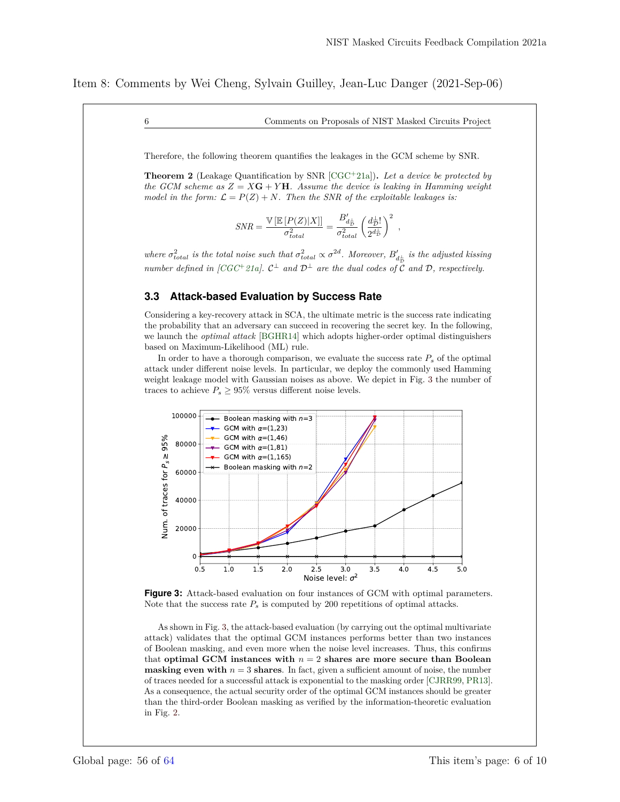#### 6 Comments on Proposals of NIST Masked Circuits Project

Therefore, the following theorem quantifies the leakages in the GCM scheme by SNR.

**Theorem 2** (Leakage Quantification by SNR [CGC<sup>+</sup>21a])**.** *Let a device be protected by the GCM scheme as*  $Z = X\mathbf{G} + Y\mathbf{H}$ *. Assume the device is leaking in Hamming weight model in the form:*  $\mathcal{L} = P(Z) + N$ *. Then the SNR of the exploitable leakages is:* 

$$
SNR = \frac{\mathbb{V}\left[\mathbb{E}\left[P(Z)|X\right]\right]}{\sigma_{total}^2} = \frac{B_{d_{\overline{D}}}'}{\sigma_{total}^2} \left(\frac{d_{\overline{D}}!}{2^{d_{\overline{D}}}^{\perp}}\right)^2 ,
$$

*where*  $\sigma_{total}^2$  *is the total noise such that*  $\sigma_{total}^2 \propto \sigma^{2d}$ *. Moreover,*  $B_{d_{\frac{1}{D}}}$  *is the adjusted kissing number defined in [CGC*<sup>+</sup> 21a].  $C^{\perp}$  *and*  $D^{\perp}$  *are the dual codes of* C *and* D, *respectively.* 

#### **3.3 Attack-based Evaluation by Success Rate**

Considering a key-recovery attack in SCA, the ultimate metric is the success rate indicating the probability that an adversary can succeed in recovering the secret key. In the following, we launch the *optimal attack* [BGHR14] which adopts higher-order optimal distinguishers based on Maximum-Likelihood (ML) rule.

In order to have a thorough comparison, we evaluate the success rate  $P_s$  of the optimal attack under different noise levels. In particular, we deploy the commonly used Hamming weight leakage model with Gaussian noises as above. We depict in Fig. 3 the number of traces to achieve  $P_s \geq 95\%$  versus different noise levels.



**Figure 3:** Attack-based evaluation on four instances of GCM with optimal parameters. Note that the success rate  $P_s$  is computed by 200 repetitions of optimal attacks.

As shown in Fig. 3, the attack-based evaluation (by carrying out the optimal multivariate attack) validates that the optimal GCM instances performs better than two instances of Boolean masking, and even more when the noise level increases. Thus, this confirms that **optimal GCM instances with** *n* = 2 **shares are more secure than Boolean masking even with**  $n = 3$  **shares**. In fact, given a sufficient amount of noise, the number of traces needed for a successful attack is exponential to the masking order [CJRR99, PR13]. As a consequence, the actual security order of the optimal GCM instances should be greater than the third-order Boolean masking as verified by the information-theoretic evaluation in Fig. 2.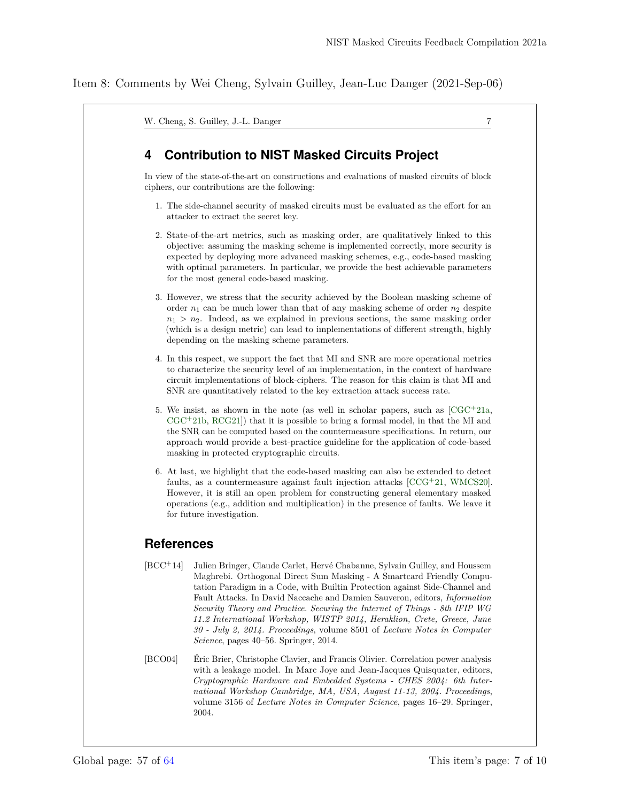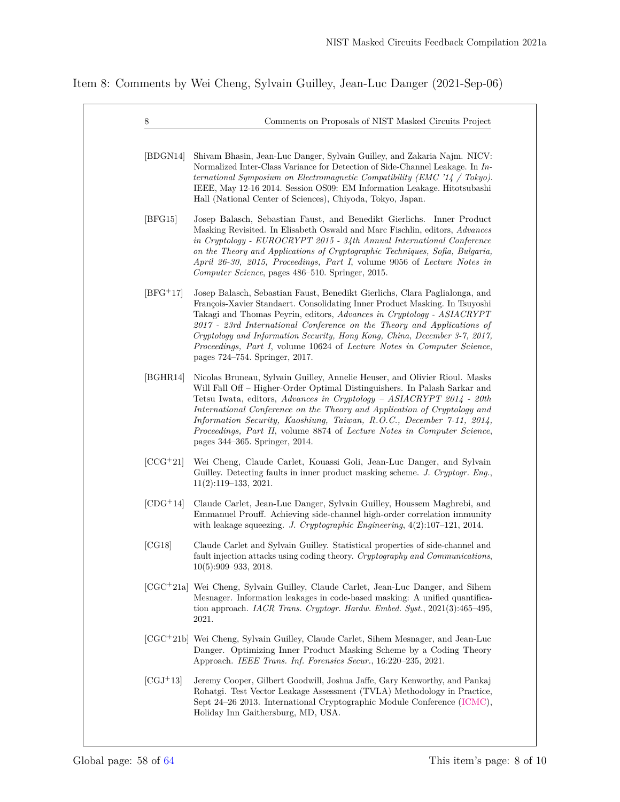Item 8: Comments by Wei Cheng, Sylvain Guilley, Jean-Luc Danger (2021-Sep-06)

| 8          | Comments on Proposals of NIST Masked Circuits Project                                                                                                                                                                                                                                                                                                                                                                                                                                                   |
|------------|---------------------------------------------------------------------------------------------------------------------------------------------------------------------------------------------------------------------------------------------------------------------------------------------------------------------------------------------------------------------------------------------------------------------------------------------------------------------------------------------------------|
| [BDGN14]   | Shivam Bhasin, Jean-Luc Danger, Sylvain Guilley, and Zakaria Najm. NICV:<br>Normalized Inter-Class Variance for Detection of Side-Channel Leakage. In In-<br>ternational Symposium on Electromagnetic Compatibility (EMC $'14$ / Tokyo).<br>IEEE, May 12-16 2014. Session OS09: EM Information Leakage. Hitotsubashi<br>Hall (National Center of Sciences), Chiyoda, Tokyo, Japan.                                                                                                                      |
| [BFG15]    | Josep Balasch, Sebastian Faust, and Benedikt Gierlichs. Inner Product<br>Masking Revisited. In Elisabeth Oswald and Marc Fischlin, editors, <i>Advances</i><br>in Cryptology - EUROCRYPT 2015 - 34th Annual International Conference<br>on the Theory and Applications of Cryptographic Techniques, Sofia, Bulgaria,<br>April 26-30, 2015, Proceedings, Part I, volume 9056 of Lecture Notes in<br>Computer Science, pages 486–510. Springer, 2015.                                                     |
| $[BFG+17]$ | Josep Balasch, Sebastian Faust, Benedikt Gierlichs, Clara Paglialonga, and<br>François-Xavier Standaert. Consolidating Inner Product Masking. In Tsuyoshi<br>Takagi and Thomas Peyrin, editors, Advances in Cryptology - ASIACRYPT<br>2017 - 23rd International Conference on the Theory and Applications of<br>Cryptology and Information Security, Hong Kong, China, December 3-7, 2017,<br>Proceedings, Part I, volume 10624 of Lecture Notes in Computer Science,<br>pages 724–754. Springer, 2017. |
| [BGHR14]   | Nicolas Bruneau, Sylvain Guilley, Annelie Heuser, and Olivier Rioul. Masks<br>Will Fall Off – Higher-Order Optimal Distinguishers. In Palash Sarkar and<br>Tetsu Iwata, editors, Advances in Cryptology - ASIACRYPT 2014 - 20th<br>International Conference on the Theory and Application of Cryptology and<br>Information Security, Kaoshiung, Taiwan, R.O.C., December 7-11, 2014,<br>Proceedings, Part II, volume 8874 of Lecture Notes in Computer Science,<br>pages 344–365. Springer, 2014.       |
| $[CCG+21]$ | Wei Cheng, Claude Carlet, Kouassi Goli, Jean-Luc Danger, and Sylvain<br>Guilley. Detecting faults in inner product masking scheme. J. Cryptogr. Eng.,<br>$11(2):119-133, 2021.$                                                                                                                                                                                                                                                                                                                         |
| $[CDG+14]$ | Claude Carlet, Jean-Luc Danger, Sylvain Guilley, Houssem Maghrebi, and<br>Emmanuel Prouff. Achieving side-channel high-order correlation immunity<br>with leakage squeezing. J. Cryptographic Engineering, $4(2):107-121$ , $2014$ .                                                                                                                                                                                                                                                                    |
| [CG18]     | Claude Carlet and Sylvain Guilley. Statistical properties of side-channel and<br>fault injection attacks using coding theory. Cryptography and Communications,<br>$10(5):909-933, 2018.$                                                                                                                                                                                                                                                                                                                |
|            | [CGC+21a] Wei Cheng, Sylvain Guilley, Claude Carlet, Jean-Luc Danger, and Sihem<br>Mesnager. Information leakages in code-based masking: A unified quantifica-<br>tion approach. IACR Trans. Cryptogr. Hardw. Embed. Syst., $2021(3):465-495$ ,<br>2021.                                                                                                                                                                                                                                                |
|            | [CGC <sup>+</sup> 21b] Wei Cheng, Sylvain Guilley, Claude Carlet, Sihem Mesnager, and Jean-Luc<br>Danger. Optimizing Inner Product Masking Scheme by a Coding Theory<br>Approach. IEEE Trans. Inf. Forensics Secur., 16:220-235, 2021.                                                                                                                                                                                                                                                                  |
| $[CGJ+13]$ | Jeremy Cooper, Gilbert Goodwill, Joshua Jaffe, Gary Kenworthy, and Pankaj<br>Rohatgi. Test Vector Leakage Assessment (TVLA) Methodology in Practice,<br>Sept 24-26 2013. International Cryptographic Module Conference (ICMC),<br>Holiday Inn Gaithersburg, MD, USA.                                                                                                                                                                                                                                    |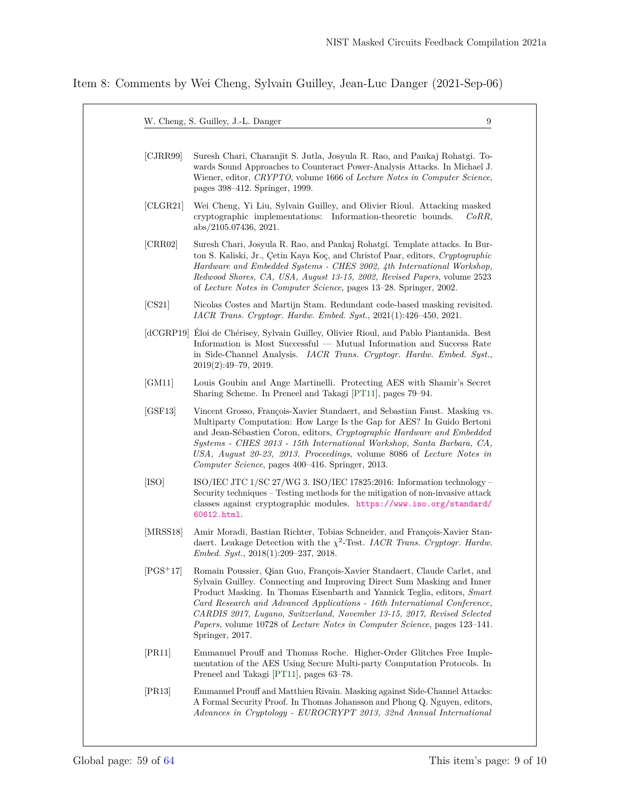| [CIRR99]   | Suresh Chari, Charanjit S. Jutla, Josyula R. Rao, and Pankaj Rohatgi. To-<br>wards Sound Approaches to Counteract Power-Analysis Attacks. In Michael J.<br>Wiener, editor, CRYPTO, volume 1666 of Lecture Notes in Computer Science,<br>pages 398–412. Springer, 1999.                                                                                                                                                                                                                        |
|------------|-----------------------------------------------------------------------------------------------------------------------------------------------------------------------------------------------------------------------------------------------------------------------------------------------------------------------------------------------------------------------------------------------------------------------------------------------------------------------------------------------|
| [CLGR21]   | Wei Cheng, Yi Liu, Sylvain Guilley, and Olivier Rioul. Attacking masked<br>cryptographic implementations: Information-theoretic bounds.<br>CoRR,<br>abs/2105.07436, 2021.                                                                                                                                                                                                                                                                                                                     |
| [CRR02]    | Suresh Chari, Josyula R. Rao, and Pankaj Rohatgi. Template attacks. In Bur-<br>ton S. Kaliski, Jr., Çetin Kaya Koç, and Christof Paar, editors, Cryptographic<br>Hardware and Embedded Systems - CHES 2002, 4th International Workshop,<br>Redwood Shores, CA, USA, August 13-15, 2002, Revised Papers, volume 2523<br>of Lecture Notes in Computer Science, pages 13–28. Springer, 2002.                                                                                                     |
| [CS21]     | Nicolas Costes and Martijn Stam. Redundant code-based masking revisited.<br>$IACR$ Trans. Cryptogr. Hardw. Embed. Syst., 2021(1):426–450, 2021.                                                                                                                                                                                                                                                                                                                                               |
|            | [dCGRP19] Éloi de Chérisey, Sylvain Guilley, Olivier Rioul, and Pablo Piantanida. Best<br>Information is Most Successful — Mutual Information and Success Rate<br>in Side-Channel Analysis. IACR Trans. Cryptogr. Hardw. Embed. Syst.,<br>$2019(2):49-79, 2019.$                                                                                                                                                                                                                              |
| [GM11]     | Louis Goubin and Ange Martinelli. Protecting AES with Shamir's Secret<br>Sharing Scheme. In Preneel and Takagi [PT11], pages 79–94.                                                                                                                                                                                                                                                                                                                                                           |
| [GSF13]    | Vincent Grosso, François-Xavier Standaert, and Sebastian Faust. Masking vs.<br>Multiparty Computation: How Large Is the Gap for AES? In Guido Bertoni<br>and Jean-Sébastien Coron, editors, Cryptographic Hardware and Embedded<br>Systems - CHES 2013 - 15th International Workshop, Santa Barbara, CA,<br>USA, August 20-23, 2013. Proceedings, volume 8086 of Lecture Notes in<br>Computer Science, pages 400–416. Springer, 2013.                                                         |
| [ISO]      | ISO/IEC JTC $1/\text{SC }27/\text{WG }3.$ ISO/IEC 17825:2016: Information technology –<br>Security techniques – Testing methods for the mitigation of non-invasive attack<br>classes against cryptographic modules. https://www.iso.org/standard/<br>60612.html.                                                                                                                                                                                                                              |
| [MRSS18]   | Amir Moradi, Bastian Richter, Tobias Schneider, and François-Xavier Stan-<br>daert. Leakage Detection with the $\chi^2$ -Test. IACR Trans. Cryptogr. Hardw.<br><i>Embed. Syst.</i> , $2018(1):209-237$ , $2018$ .                                                                                                                                                                                                                                                                             |
| $[PGS+17]$ | Romain Poussier, Qian Guo, François-Xavier Standaert, Claude Carlet, and<br>Sylvain Guilley. Connecting and Improving Direct Sum Masking and Inner<br>Product Masking. In Thomas Eisenbarth and Yannick Teglia, editors, Smart<br>Card Research and Advanced Applications - 16th International Conference,<br>CARDIS 2017, Lugano, Switzerland, November 13-15, 2017, Revised Selected<br><i>Papers, volume 10728 of Lecture Notes in Computer Science, pages 123–141.</i><br>Springer, 2017. |
| [PR11]     | Emmanuel Prouff and Thomas Roche. Higher-Order Glitches Free Imple-<br>mentation of the AES Using Secure Multi-party Computation Protocols. In<br>Preneel and Takagi [PT11], pages 63–78.                                                                                                                                                                                                                                                                                                     |
| [PR13]     | Emmanuel Prouff and Matthieu Rivain. Masking against Side-Channel Attacks:<br>A Formal Security Proof. In Thomas Johansson and Phong Q. Nguyen, editors,<br>Advances in Cryptology - EUROCRYPT 2013, 32nd Annual International                                                                                                                                                                                                                                                                |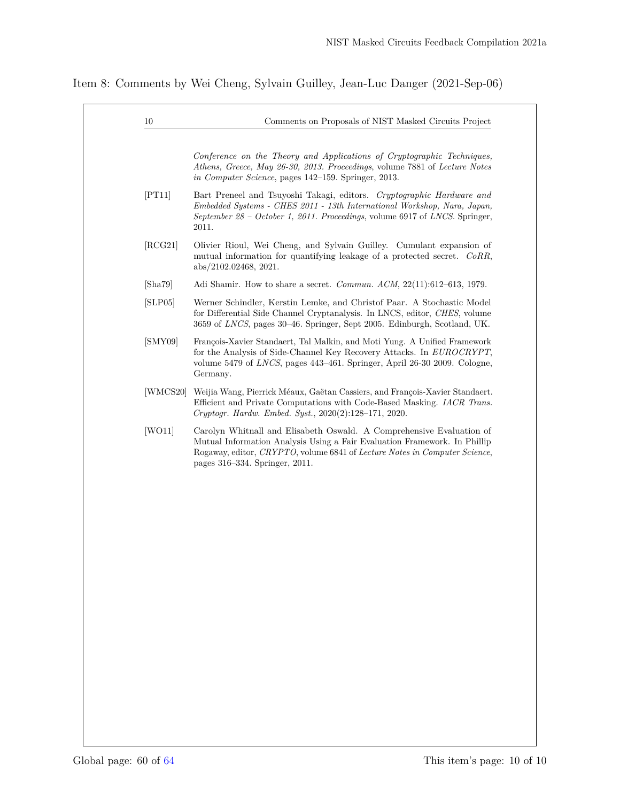Item 8: Comments by Wei Cheng, Sylvain Guilley, Jean-Luc Danger (2021-Sep-06)

| <i>in Computer Science</i> , pages 142–159. Springer, 2013.<br>[PT11]<br>2011.<br>[RCG21]<br>abs/2102.02468, 2021.<br>[Sha79]<br>[SLP05]<br>[SMY09]<br>Germany.<br>[WMCS20] Weijia Wang, Pierrick Méaux, Gaëtan Cassiers, and François-Xavier Standaert.<br>Cryptogr. Hardw. Embed. Syst., 2020(2):128-171, 2020.<br>[WO11] | Conference on the Theory and Applications of Cryptographic Techniques,                                                                                                                                                                                            |
|-----------------------------------------------------------------------------------------------------------------------------------------------------------------------------------------------------------------------------------------------------------------------------------------------------------------------------|-------------------------------------------------------------------------------------------------------------------------------------------------------------------------------------------------------------------------------------------------------------------|
|                                                                                                                                                                                                                                                                                                                             | Athens, Greece, May 26-30, 2013. Proceedings, volume 7881 of Lecture Notes                                                                                                                                                                                        |
|                                                                                                                                                                                                                                                                                                                             | Bart Preneel and Tsuyoshi Takagi, editors. Cryptographic Hardware and<br>Embedded Systems - CHES 2011 - 13th International Workshop, Nara, Japan,<br>September 28 - October 1, 2011. Proceedings, volume 6917 of LNCS. Springer,                                  |
|                                                                                                                                                                                                                                                                                                                             | Olivier Rioul, Wei Cheng, and Sylvain Guilley. Cumulant expansion of<br>mutual information for quantifying leakage of a protected secret. CoRR,                                                                                                                   |
|                                                                                                                                                                                                                                                                                                                             | Adi Shamir. How to share a secret. <i>Commun. ACM</i> , $22(11):612-613$ , 1979.                                                                                                                                                                                  |
|                                                                                                                                                                                                                                                                                                                             | Werner Schindler, Kerstin Lemke, and Christof Paar. A Stochastic Model<br>for Differential Side Channel Cryptanalysis. In LNCS, editor, CHES, volume<br>3659 of LNCS, pages 30-46. Springer, Sept 2005. Edinburgh, Scotland, UK.                                  |
|                                                                                                                                                                                                                                                                                                                             | François-Xavier Standaert, Tal Malkin, and Moti Yung. A Unified Framework<br>for the Analysis of Side-Channel Key Recovery Attacks. In EUROCRYPT,<br>volume 5479 of LNCS, pages 443-461. Springer, April 26-30 2009. Cologne,                                     |
|                                                                                                                                                                                                                                                                                                                             | Efficient and Private Computations with Code-Based Masking. <i>IACR Trans.</i>                                                                                                                                                                                    |
|                                                                                                                                                                                                                                                                                                                             | Carolyn Whitnall and Elisabeth Oswald. A Comprehensive Evaluation of<br>Mutual Information Analysis Using a Fair Evaluation Framework. In Phillip<br>Rogaway, editor, CRYPTO, volume 6841 of Lecture Notes in Computer Science,<br>pages 316–334. Springer, 2011. |
|                                                                                                                                                                                                                                                                                                                             |                                                                                                                                                                                                                                                                   |
|                                                                                                                                                                                                                                                                                                                             |                                                                                                                                                                                                                                                                   |
|                                                                                                                                                                                                                                                                                                                             |                                                                                                                                                                                                                                                                   |
|                                                                                                                                                                                                                                                                                                                             |                                                                                                                                                                                                                                                                   |
|                                                                                                                                                                                                                                                                                                                             |                                                                                                                                                                                                                                                                   |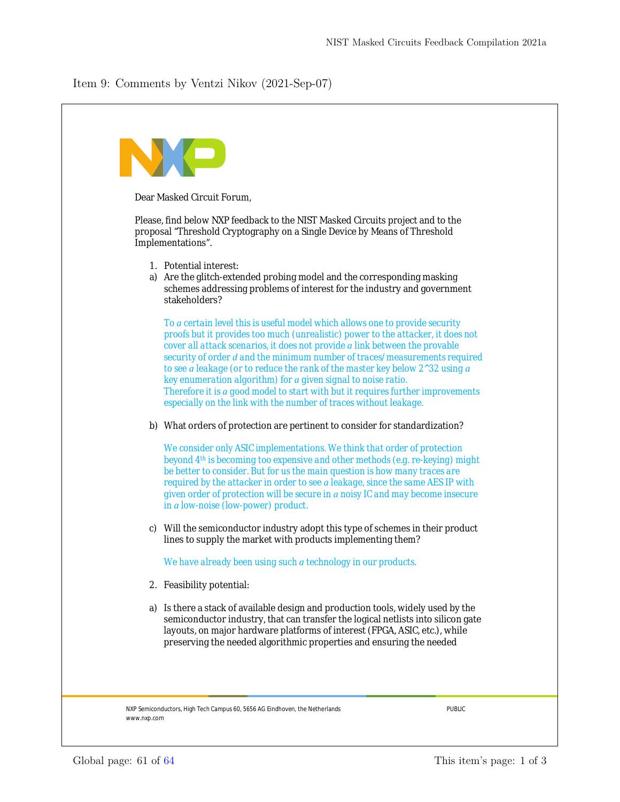## <span id="page-60-0"></span>Item 9: Comments by Ventzi Nikov (2021-Sep-07)

|    | Dear Masked Circuit Forum,                                                                                                                                                                                                                                                                                                                                                                                                                                                                                                                                                                                                             |
|----|----------------------------------------------------------------------------------------------------------------------------------------------------------------------------------------------------------------------------------------------------------------------------------------------------------------------------------------------------------------------------------------------------------------------------------------------------------------------------------------------------------------------------------------------------------------------------------------------------------------------------------------|
|    |                                                                                                                                                                                                                                                                                                                                                                                                                                                                                                                                                                                                                                        |
|    | Please, find below NXP feedback to the NIST Masked Circuits project and to the<br>proposal "Threshold Cryptography on a Single Device by Means of Threshold<br>Implementations".                                                                                                                                                                                                                                                                                                                                                                                                                                                       |
|    | 1. Potential interest:<br>a) Are the glitch-extended probing model and the corresponding masking<br>schemes addressing problems of interest for the industry and government<br>stakeholders?                                                                                                                                                                                                                                                                                                                                                                                                                                           |
|    | To a certain level this is useful model which allows one to provide security<br>proofs but it provides too much (unrealistic) power to the attacker, it does not<br>cover all attack scenarios, it does not provide a link between the provable<br>security of order d and the minimum number of traces/measurements required<br>to see a leakage (or to reduce the rank of the master key below 2^32 using a<br>key enumeration algorithm) for a given signal to noise ratio.<br>Therefore it is a good model to start with but it requires further improvements<br>especially on the link with the number of traces without leakage. |
|    | b) What orders of protection are pertinent to consider for standardization?                                                                                                                                                                                                                                                                                                                                                                                                                                                                                                                                                            |
|    | We consider only ASIC implementations. We think that order of protection<br>beyond 4th is becoming too expensive and other methods (e.g. re-keying) might<br>be better to consider. But for us the main question is how many traces are<br>required by the attacker in order to see a leakage, since the same AES IP with<br>given order of protection will be secure in a noisy IC and may become insecure<br>in a low-noise (low-power) product.                                                                                                                                                                                     |
|    | c) Will the semiconductor industry adopt this type of schemes in their product<br>lines to supply the market with products implementing them?                                                                                                                                                                                                                                                                                                                                                                                                                                                                                          |
|    | We have already been using such a technology in our products.                                                                                                                                                                                                                                                                                                                                                                                                                                                                                                                                                                          |
|    | 2. Feasibility potential:                                                                                                                                                                                                                                                                                                                                                                                                                                                                                                                                                                                                              |
| a) | Is there a stack of available design and production tools, widely used by the<br>semiconductor industry, that can transfer the logical netlists into silicon gate<br>layouts, on major hardware platforms of interest (FPGA, ASIC, etc.), while<br>preserving the needed algorithmic properties and ensuring the needed                                                                                                                                                                                                                                                                                                                |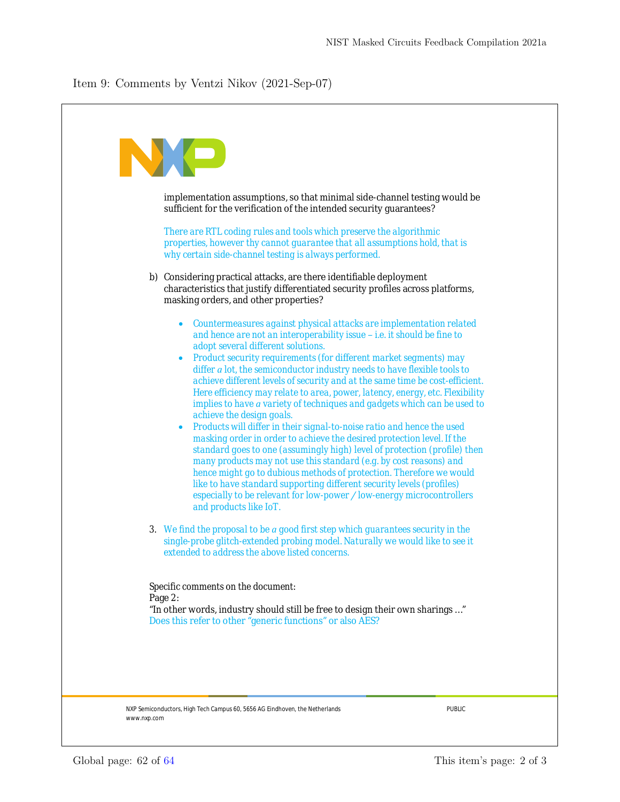NXP Semiconductors, High Tech Campus 60, 5656 AG Eindhoven, the Netherlands PUBLIC www.nxp.com implementation assumptions, so that minimal side-channel testing would be sufficient for the verification of the intended security guarantees? *There are RTL coding rules and tools which preserve the algorithmic properties, however thy cannot guarantee that all assumptions hold, that is why certain side-channel testing is always performed.* b) Considering practical attacks, are there identifiable deployment characteristics that justify differentiated security profiles across platforms, masking orders, and other properties? · *Countermeasures against physical attacks are implementation related and hence are not an interoperability issue – i.e. it should be fine to adopt several different solutions.* · *Product security requirements (for different market segments) may differ a lot, the semiconductor industry needs to have flexible tools to achieve different levels of security and at the same time be cost-efficient. Here efficiency may relate to area, power, latency, energy, etc. Flexibility implies to have a variety of techniques and gadgets which can be used to achieve the design goals.* · *Products will differ in their signal-to-noise ratio and hence the used masking order in order to achieve the desired protection level. If the standard goes to one (assumingly high) level of protection (profile) then many products may not use this standard (e.g. by cost reasons) and hence might go to dubious methods of protection. Therefore we would like to have standard supporting different security levels (profiles) especially to be relevant for low-power / low-energy microcontrollers and products like IoT. 3. We find the proposal to be a good first step which guarantees security in the single-probe glitch-extended probing model. Naturally we would like to see it extended to address the above listed concerns. Specific comments on the document:* Page 2: "In other words, industry should still be free to design their own sharings …" Does this refer to other "generic functions" or also AES?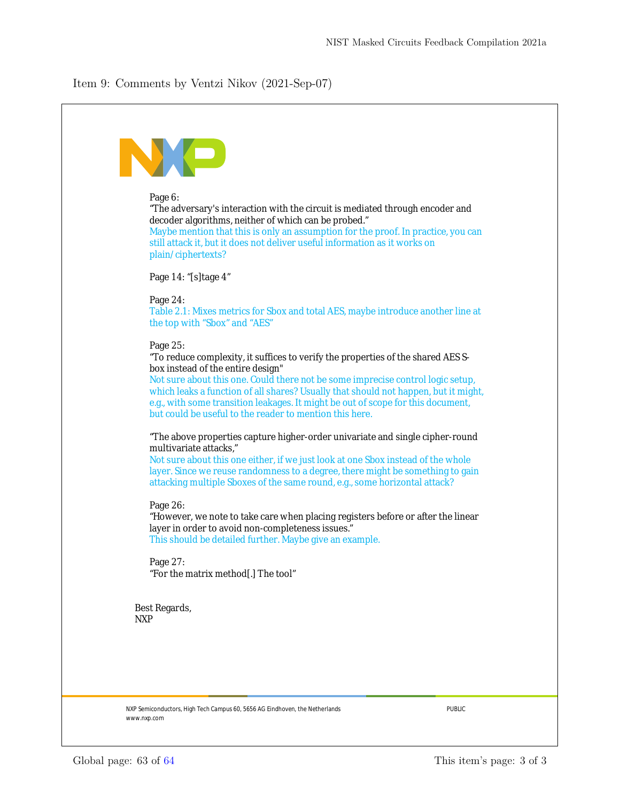## Item 9: Comments by Ventzi Nikov (2021-Sep-07)

| Page 6:<br>"The adversary's interaction with the circuit is mediated through encoder and<br>decoder algorithms, neither of which can be probed."<br>Maybe mention that this is only an assumption for the proof. In practice, you can<br>still attack it, but it does not deliver useful information as it works on<br>plain/ciphertexts?                                                                                                                  |
|------------------------------------------------------------------------------------------------------------------------------------------------------------------------------------------------------------------------------------------------------------------------------------------------------------------------------------------------------------------------------------------------------------------------------------------------------------|
| Page 14: "[s]tage 4"                                                                                                                                                                                                                                                                                                                                                                                                                                       |
| Page 24:<br>Table 2.1: Mixes metrics for Sbox and total AES, maybe introduce another line at<br>the top with "Sbox" and "AES"                                                                                                                                                                                                                                                                                                                              |
| Page 25:<br>"To reduce complexity, it suffices to verify the properties of the shared AES S-<br>box instead of the entire design"<br>Not sure about this one. Could there not be some imprecise control logic setup,<br>which leaks a function of all shares? Usually that should not happen, but it might,<br>e.g., with some transition leakages. It might be out of scope for this document,<br>but could be useful to the reader to mention this here. |
| "The above properties capture higher-order univariate and single cipher-round<br>multivariate attacks,"<br>Not sure about this one either, if we just look at one Sbox instead of the whole<br>layer. Since we reuse randomness to a degree, there might be something to gain<br>attacking multiple Sboxes of the same round, e.g., some horizontal attack?                                                                                                |
| Page 26:<br>"However, we note to take care when placing registers before or after the linear<br>layer in order to avoid non-completeness issues."<br>This should be detailed further. Maybe give an example.                                                                                                                                                                                                                                               |
| Page 27:<br>"For the matrix method[.] The tool"                                                                                                                                                                                                                                                                                                                                                                                                            |
| Best Regards,<br><b>NXP</b>                                                                                                                                                                                                                                                                                                                                                                                                                                |
|                                                                                                                                                                                                                                                                                                                                                                                                                                                            |
| <b>PUBLIC</b><br>NXP Semiconductors, High Tech Campus 60, 5656 AG Eindhoven, the Netherlands<br>www.nxp.com                                                                                                                                                                                                                                                                                                                                                |